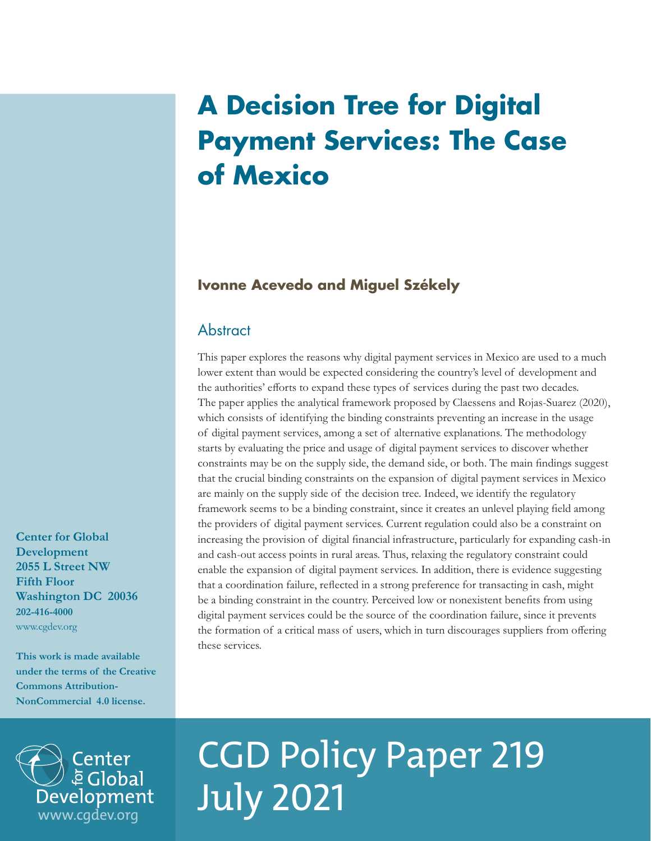# **A Decision Tree for Digital Payment Services: The Case of Mexico**

## **Ivonne Acevedo and Miguel Székely**

## **Abstract**

This paper explores the reasons why digital payment services in Mexico are used to a much lower extent than would be expected considering the country's level of development and the authorities' efforts to expand these types of services during the past two decades. The paper applies the analytical framework proposed by Claessens and Rojas-Suarez (2020), which consists of identifying the binding constraints preventing an increase in the usage of digital payment services, among a set of alternative explanations. The methodology starts by evaluating the price and usage of digital payment services to discover whether constraints may be on the supply side, the demand side, or both. The main findings suggest that the crucial binding constraints on the expansion of digital payment services in Mexico are mainly on the supply side of the decision tree. Indeed, we identify the regulatory framework seems to be a binding constraint, since it creates an unlevel playing field among the providers of digital payment services. Current regulation could also be a constraint on increasing the provision of digital financial infrastructure, particularly for expanding cash-in and cash-out access points in rural areas. Thus, relaxing the regulatory constraint could enable the expansion of digital payment services. In addition, there is evidence suggesting that a coordination failure, reflected in a strong preference for transacting in cash, might be a binding constraint in the country. Perceived low or nonexistent benefits from using digital payment services could be the source of the coordination failure, since it prevents the formation of a critical mass of users, which in turn discourages suppliers from offering these services.

**Development 2055 L Street NW Fifth Floor Washington DC 20036 202-416-4000** www.cgdev.org

**Center for Global** 

**This work is made available under the terms of the Creative Commons Attribution-NonCommercial 4.0 license.**

[www.cgdev.org](http://www.cgdev.org)

Development

Center **E** Global

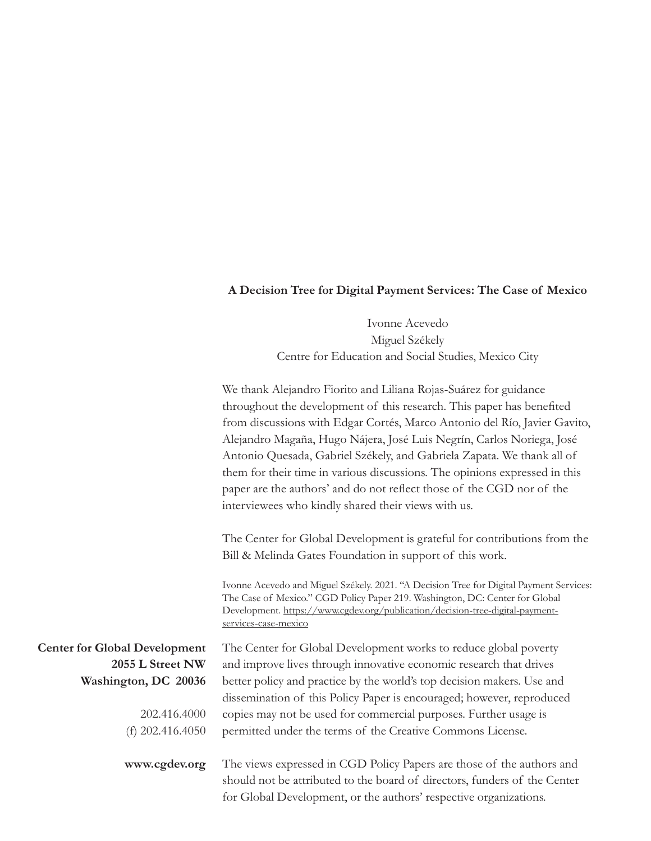## **A Decision Tree for Digital Payment Services: The Case of Mexico**

Ivonne Acevedo Miguel Székely Centre for Education and Social Studies, Mexico City

|                                                                                                                        | We thank Alejandro Fiorito and Liliana Rojas-Suárez for guidance<br>throughout the development of this research. This paper has benefited<br>from discussions with Edgar Cortés, Marco Antonio del Río, Javier Gavito,<br>Alejandro Magaña, Hugo Nájera, José Luis Negrín, Carlos Noriega, José<br>Antonio Quesada, Gabriel Székely, and Gabriela Zapata. We thank all of<br>them for their time in various discussions. The opinions expressed in this<br>paper are the authors' and do not reflect those of the CGD nor of the<br>interviewees who kindly shared their views with us. |
|------------------------------------------------------------------------------------------------------------------------|-----------------------------------------------------------------------------------------------------------------------------------------------------------------------------------------------------------------------------------------------------------------------------------------------------------------------------------------------------------------------------------------------------------------------------------------------------------------------------------------------------------------------------------------------------------------------------------------|
|                                                                                                                        | The Center for Global Development is grateful for contributions from the<br>Bill & Melinda Gates Foundation in support of this work.                                                                                                                                                                                                                                                                                                                                                                                                                                                    |
|                                                                                                                        | Ivonne Acevedo and Miguel Székely. 2021. "A Decision Tree for Digital Payment Services:<br>The Case of Mexico." CGD Policy Paper 219. Washington, DC: Center for Global<br>Development. https://www.cgdev.org/publication/decision-tree-digital-payment-<br>services-case-mexico                                                                                                                                                                                                                                                                                                        |
| <b>Center for Global Development</b><br>2055 L Street NW<br>Washington, DC 20036<br>202.416.4000<br>(f) $202.416.4050$ | The Center for Global Development works to reduce global poverty<br>and improve lives through innovative economic research that drives<br>better policy and practice by the world's top decision makers. Use and<br>dissemination of this Policy Paper is encouraged; however, reproduced<br>copies may not be used for commercial purposes. Further usage is<br>permitted under the terms of the Creative Commons License.                                                                                                                                                             |
| www.cgdev.org                                                                                                          | The views expressed in CGD Policy Papers are those of the authors and<br>should not be attributed to the board of directors, funders of the Center<br>for Global Development, or the authors' respective organizations.                                                                                                                                                                                                                                                                                                                                                                 |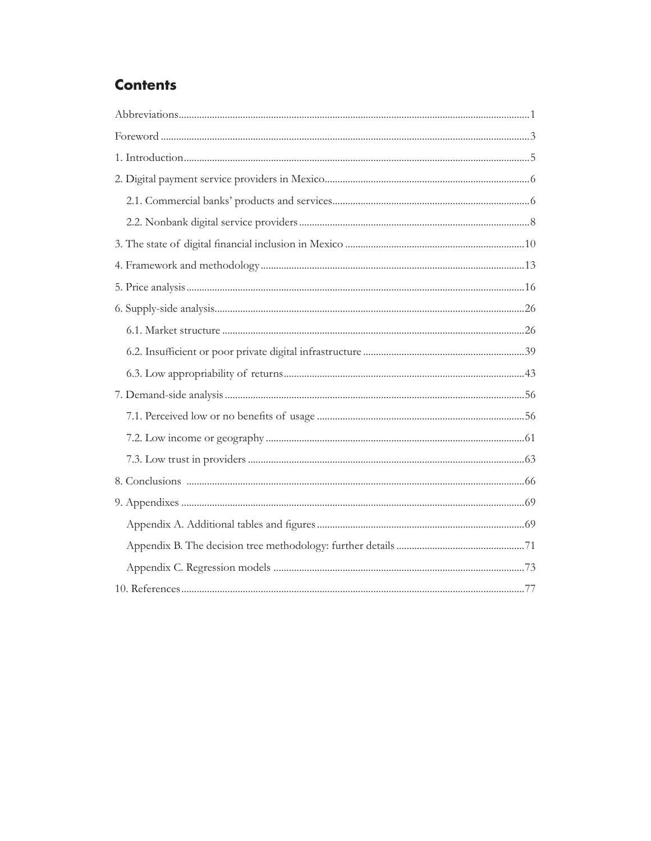## **Contents**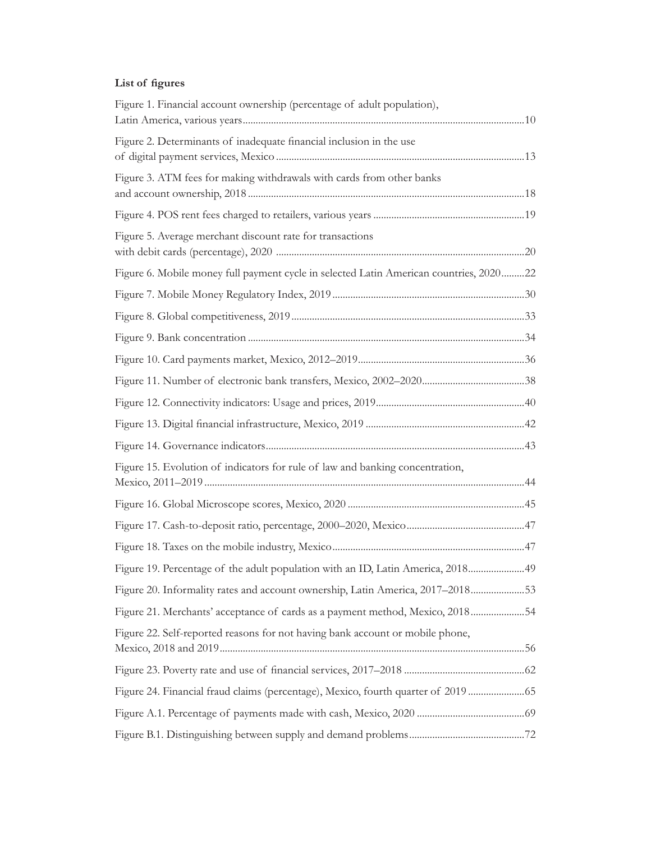## **List of figures**

| Figure 1. Financial account ownership (percentage of adult population),                |  |
|----------------------------------------------------------------------------------------|--|
| Figure 2. Determinants of inadequate financial inclusion in the use                    |  |
| Figure 3. ATM fees for making withdrawals with cards from other banks                  |  |
|                                                                                        |  |
| Figure 5. Average merchant discount rate for transactions                              |  |
| Figure 6. Mobile money full payment cycle in selected Latin American countries, 202022 |  |
|                                                                                        |  |
|                                                                                        |  |
|                                                                                        |  |
|                                                                                        |  |
|                                                                                        |  |
|                                                                                        |  |
|                                                                                        |  |
|                                                                                        |  |
| Figure 15. Evolution of indicators for rule of law and banking concentration,          |  |
|                                                                                        |  |
|                                                                                        |  |
|                                                                                        |  |
| Figure 19. Percentage of the adult population with an ID, Latin America, 201849        |  |
| Figure 20. Informality rates and account ownership, Latin America, 2017-201853         |  |
| Figure 21. Merchants' acceptance of cards as a payment method, Mexico, 201854          |  |
| Figure 22. Self-reported reasons for not having bank account or mobile phone,          |  |
|                                                                                        |  |
| Figure 24. Financial fraud claims (percentage), Mexico, fourth quarter of 2019  65     |  |
|                                                                                        |  |
|                                                                                        |  |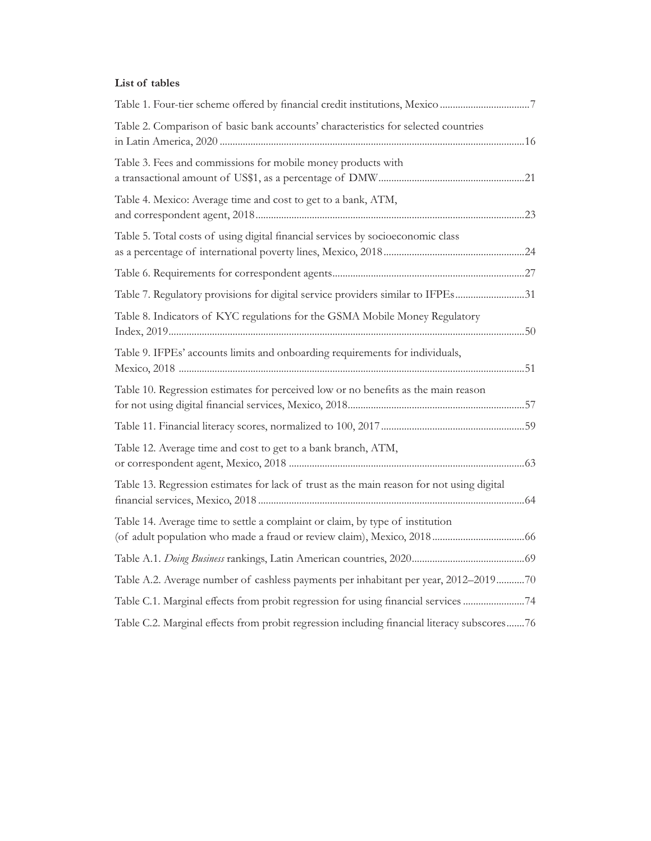### **List of tables**

| Table 1. Four-tier scheme offered by financial credit institutions, Mexico 7                |  |
|---------------------------------------------------------------------------------------------|--|
| Table 2. Comparison of basic bank accounts' characteristics for selected countries          |  |
| Table 3. Fees and commissions for mobile money products with                                |  |
| Table 4. Mexico: Average time and cost to get to a bank, ATM,                               |  |
| Table 5. Total costs of using digital financial services by socioeconomic class             |  |
|                                                                                             |  |
| Table 7. Regulatory provisions for digital service providers similar to IFPEs31             |  |
| Table 8. Indicators of KYC regulations for the GSMA Mobile Money Regulatory                 |  |
| Table 9. IFPEs' accounts limits and onboarding requirements for individuals,                |  |
| Table 10. Regression estimates for perceived low or no benefits as the main reason          |  |
|                                                                                             |  |
| Table 12. Average time and cost to get to a bank branch, ATM,                               |  |
| Table 13. Regression estimates for lack of trust as the main reason for not using digital   |  |
| Table 14. Average time to settle a complaint or claim, by type of institution               |  |
|                                                                                             |  |
| Table A.2. Average number of cashless payments per inhabitant per year, 2012-201970         |  |
| Table C.1. Marginal effects from probit regression for using financial services 74          |  |
| Table C.2. Marginal effects from probit regression including financial literacy subscores76 |  |
|                                                                                             |  |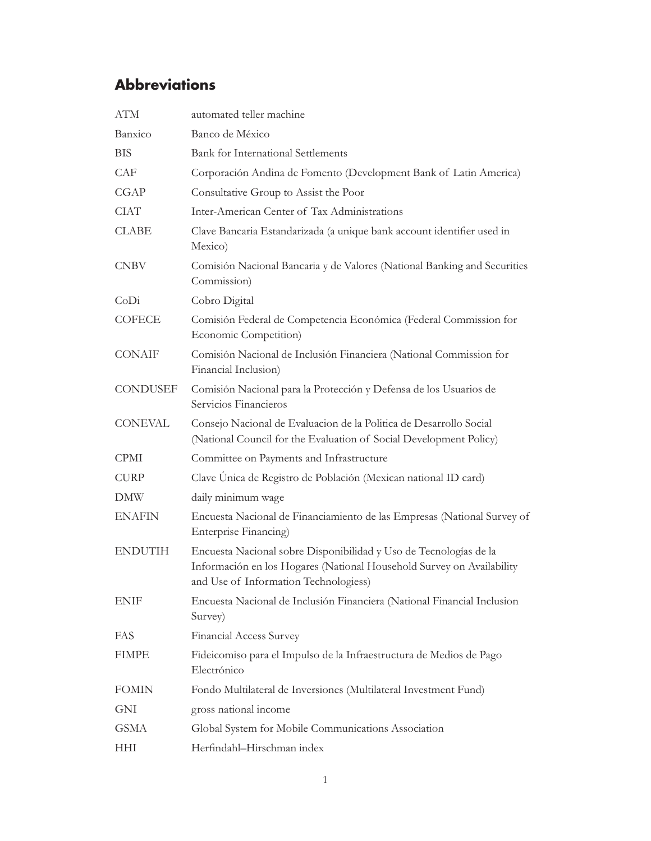# <span id="page-5-0"></span>**Abbreviations**

| <b>ATM</b>     | automated teller machine                                                                                                                                                            |
|----------------|-------------------------------------------------------------------------------------------------------------------------------------------------------------------------------------|
| Banxico        | Banco de México                                                                                                                                                                     |
| <b>BIS</b>     | <b>Bank for International Settlements</b>                                                                                                                                           |
| CAF            | Corporación Andina de Fomento (Development Bank of Latin America)                                                                                                                   |
| CGAP           | Consultative Group to Assist the Poor                                                                                                                                               |
| <b>CIAT</b>    | Inter-American Center of Tax Administrations                                                                                                                                        |
| <b>CLABE</b>   | Clave Bancaria Estandarizada (a unique bank account identifier used in<br>Mexico)                                                                                                   |
| <b>CNBV</b>    | Comisión Nacional Bancaria y de Valores (National Banking and Securities<br>Commission)                                                                                             |
| CoDi           | Cobro Digital                                                                                                                                                                       |
| <b>COFECE</b>  | Comisión Federal de Competencia Económica (Federal Commission for<br>Economic Competition)                                                                                          |
| CONAIF         | Comisión Nacional de Inclusión Financiera (National Commission for<br>Financial Inclusion)                                                                                          |
| CONDUSEF       | Comisión Nacional para la Protección y Defensa de los Usuarios de<br>Servicios Financieros                                                                                          |
| <b>CONEVAL</b> | Consejo Nacional de Evaluacion de la Politica de Desarrollo Social<br>(National Council for the Evaluation of Social Development Policy)                                            |
| <b>CPMI</b>    | Committee on Payments and Infrastructure                                                                                                                                            |
| <b>CURP</b>    | Clave Unica de Registro de Población (Mexican national ID card)                                                                                                                     |
| <b>DMW</b>     | daily minimum wage                                                                                                                                                                  |
| <b>ENAFIN</b>  | Encuesta Nacional de Financiamiento de las Empresas (National Survey of<br>Enterprise Financing)                                                                                    |
| <b>ENDUTIH</b> | Encuesta Nacional sobre Disponibilidad y Uso de Tecnologías de la<br>Información en los Hogares (National Household Survey on Availability<br>and Use of Information Technologiess) |
| <b>ENIF</b>    | Encuesta Nacional de Inclusión Financiera (National Financial Inclusion<br>Survey)                                                                                                  |
| FAS            | Financial Access Survey                                                                                                                                                             |
| <b>FIMPE</b>   | Fideicomiso para el Impulso de la Infraestructura de Medios de Pago<br>Electrónico                                                                                                  |
| <b>FOMIN</b>   | Fondo Multilateral de Inversiones (Multilateral Investment Fund)                                                                                                                    |
| GNI            | gross national income                                                                                                                                                               |
| <b>GSMA</b>    | Global System for Mobile Communications Association                                                                                                                                 |
| <b>HHI</b>     | Herfindahl-Hirschman index                                                                                                                                                          |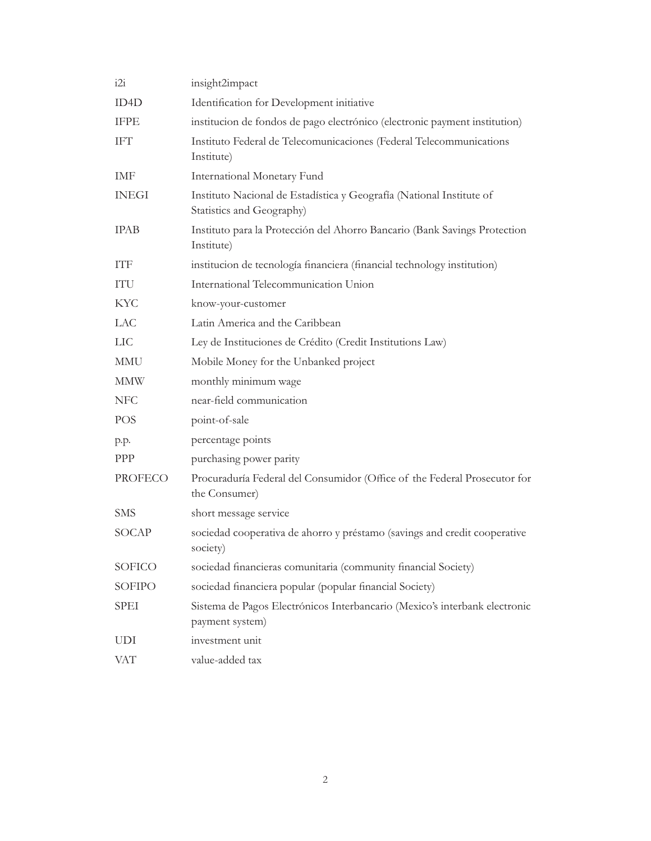| i2i            | insight2impact                                                                                    |
|----------------|---------------------------------------------------------------------------------------------------|
| ID4D           | Identification for Development initiative                                                         |
| <b>IFPE</b>    | institucion de fondos de pago electrónico (electronic payment institution)                        |
| <b>IFT</b>     | Instituto Federal de Telecomunicaciones (Federal Telecommunications<br>Institute)                 |
| IMF            | International Monetary Fund                                                                       |
| <b>INEGI</b>   | Instituto Nacional de Estadística y Geografía (National Institute of<br>Statistics and Geography) |
| <b>IPAB</b>    | Instituto para la Protección del Ahorro Bancario (Bank Savings Protection<br>Institute)           |
| <b>ITF</b>     | institucion de tecnología financiera (financial technology institution)                           |
| ITU            | International Telecommunication Union                                                             |
| KYC            | know-your-customer                                                                                |
| LAC            | Latin America and the Caribbean                                                                   |
| LIC            | Ley de Instituciones de Crédito (Credit Institutions Law)                                         |
| MMU            | Mobile Money for the Unbanked project                                                             |
| <b>MMW</b>     | monthly minimum wage                                                                              |
| <b>NFC</b>     | near-field communication                                                                          |
| POS            | point-of-sale                                                                                     |
| p.p.           | percentage points                                                                                 |
| <b>PPP</b>     | purchasing power parity                                                                           |
| <b>PROFECO</b> | Procuraduría Federal del Consumidor (Office of the Federal Prosecutor for<br>the Consumer)        |
| <b>SMS</b>     | short message service                                                                             |
| SOCAP          | sociedad cooperativa de ahorro y préstamo (savings and credit cooperative<br>society)             |
| <b>SOFICO</b>  | sociedad financieras comunitaria (community financial Society)                                    |
| <b>SOFIPO</b>  | sociedad financiera popular (popular financial Society)                                           |
| SPEI           | Sistema de Pagos Electrónicos Interbancario (Mexico's interbank electronic<br>payment system)     |
| UDI            | investment unit                                                                                   |
| <b>VAT</b>     | value-added tax                                                                                   |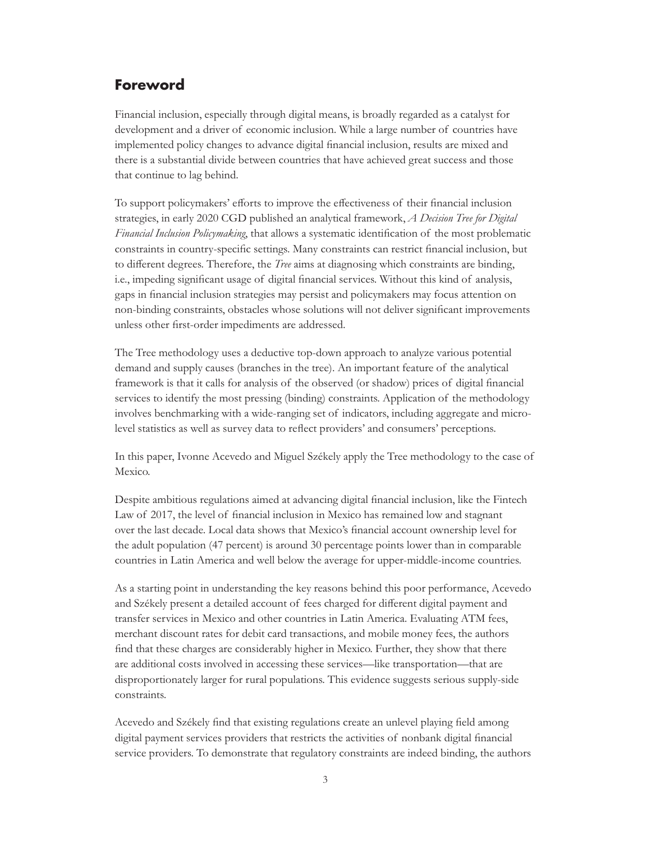## <span id="page-7-0"></span>**Foreword**

Financial inclusion, especially through digital means, is broadly regarded as a catalyst for development and a driver of economic inclusion. While a large number of countries have implemented policy changes to advance digital financial inclusion, results are mixed and there is a substantial divide between countries that have achieved great success and those that continue to lag behind.

To support policymakers' efforts to improve the effectiveness of their financial inclusion strategies, in early 2020 CGD published an analytical framework, *A Decision Tree for Digital Financial Inclusion Policymaking*, that allows a systematic identification of the most problematic constraints in country-specific settings. Many constraints can restrict financial inclusion, but to different degrees. Therefore, the *Tree* aims at diagnosing which constraints are binding, i.e., impeding significant usage of digital financial services. Without this kind of analysis, gaps in financial inclusion strategies may persist and policymakers may focus attention on non-binding constraints, obstacles whose solutions will not deliver significant improvements unless other first-order impediments are addressed.

The Tree methodology uses a deductive top-down approach to analyze various potential demand and supply causes (branches in the tree). An important feature of the analytical framework is that it calls for analysis of the observed (or shadow) prices of digital financial services to identify the most pressing (binding) constraints. Application of the methodology involves benchmarking with a wide-ranging set of indicators, including aggregate and microlevel statistics as well as survey data to reflect providers' and consumers' perceptions.

In this paper, Ivonne Acevedo and Miguel Székely apply the Tree methodology to the case of Mexico.

Despite ambitious regulations aimed at advancing digital financial inclusion, like the Fintech Law of 2017, the level of financial inclusion in Mexico has remained low and stagnant over the last decade. Local data shows that Mexico's financial account ownership level for the adult population (47 percent) is around 30 percentage points lower than in comparable countries in Latin America and well below the average for upper-middle-income countries.

As a starting point in understanding the key reasons behind this poor performance, Acevedo and Székely present a detailed account of fees charged for different digital payment and transfer services in Mexico and other countries in Latin America. Evaluating ATM fees, merchant discount rates for debit card transactions, and mobile money fees, the authors find that these charges are considerably higher in Mexico. Further, they show that there are additional costs involved in accessing these services—like transportation—that are disproportionately larger for rural populations. This evidence suggests serious supply-side constraints.

Acevedo and Székely find that existing regulations create an unlevel playing field among digital payment services providers that restricts the activities of nonbank digital financial service providers. To demonstrate that regulatory constraints are indeed binding, the authors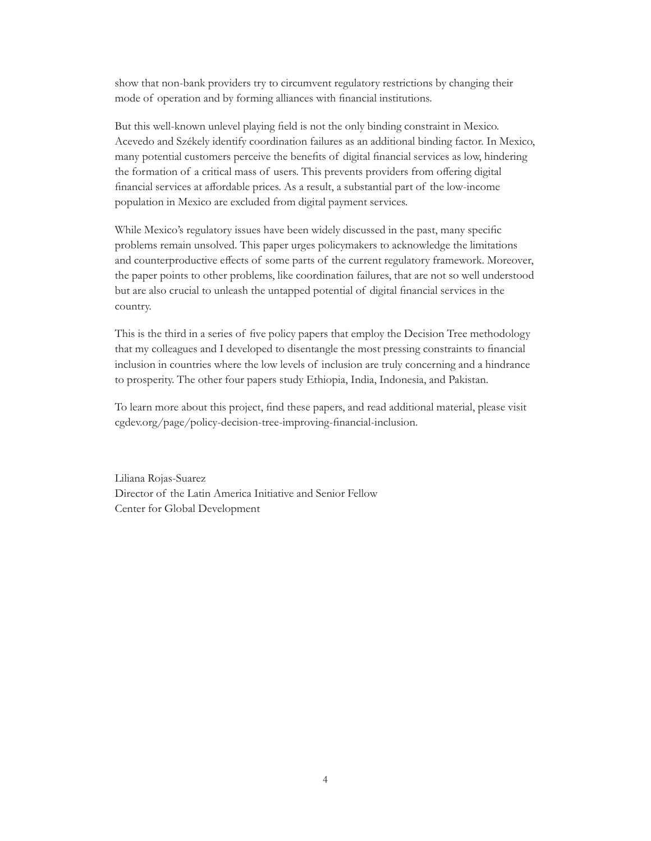show that non-bank providers try to circumvent regulatory restrictions by changing their mode of operation and by forming alliances with financial institutions.

But this well-known unlevel playing field is not the only binding constraint in Mexico. Acevedo and Székely identify coordination failures as an additional binding factor. In Mexico, many potential customers perceive the benefits of digital financial services as low, hindering the formation of a critical mass of users. This prevents providers from offering digital financial services at affordable prices. As a result, a substantial part of the low-income population in Mexico are excluded from digital payment services.

While Mexico's regulatory issues have been widely discussed in the past, many specific problems remain unsolved. This paper urges policymakers to acknowledge the limitations and counterproductive effects of some parts of the current regulatory framework. Moreover, the paper points to other problems, like coordination failures, that are not so well understood but are also crucial to unleash the untapped potential of digital financial services in the country.

This is the third in a series of five policy papers that employ the Decision Tree methodology that my colleagues and I developed to disentangle the most pressing constraints to financial inclusion in countries where the low levels of inclusion are truly concerning and a hindrance to prosperity. The other four papers study Ethiopia, India, Indonesia, and Pakistan.

To learn more about this project, find these papers, and read additional material, please visit [cgdev.org/page/policy-decision-tree-improving-financial-inclusion.](https://www.cgdev.org/page/policy-decision-tree-improving-financial-inclusion)

Liliana Rojas-Suarez Director of the Latin America Initiative and Senior Fellow Center for Global Development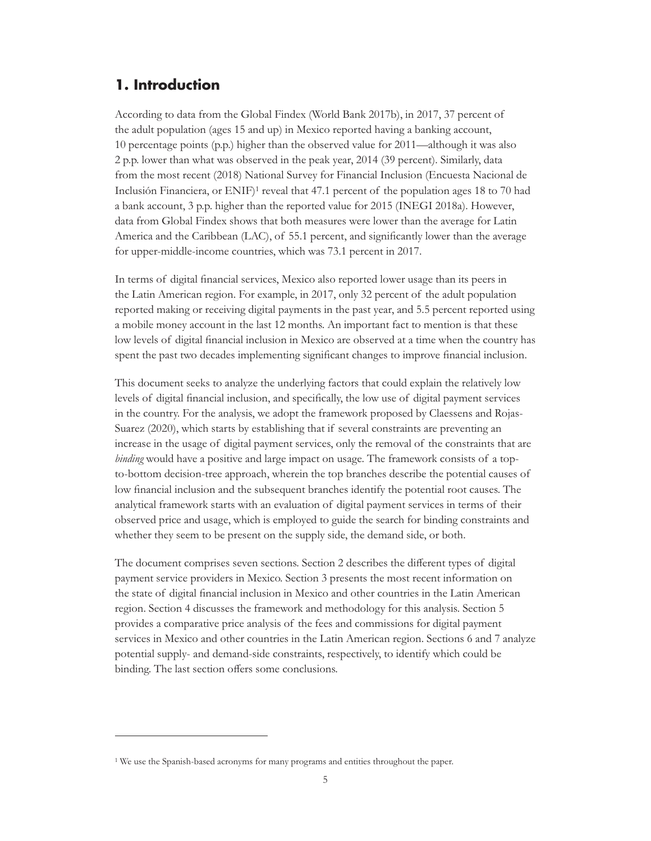## <span id="page-9-0"></span>**1. Introduction**

According to data from the Global Findex (World Bank 2017b), in 2017, 37 percent of the adult population (ages 15 and up) in Mexico reported having a banking account, 10 percentage points (p.p.) higher than the observed value for 2011—although it was also 2 p.p. lower than what was observed in the peak year, 2014 (39 percent). Similarly, data from the most recent (2018) National Survey for Financial Inclusion (Encuesta Nacional de Inclusión Financiera, or ENIF)1 reveal that 47.1 percent of the population ages 18 to 70 had a bank account, 3 p.p. higher than the reported value for 2015 (INEGI 2018a). However, data from Global Findex shows that both measures were lower than the average for Latin America and the Caribbean (LAC), of 55.1 percent, and significantly lower than the average for upper-middle-income countries, which was 73.1 percent in 2017.

In terms of digital financial services, Mexico also reported lower usage than its peers in the Latin American region. For example, in 2017, only 32 percent of the adult population reported making or receiving digital payments in the past year, and 5.5 percent reported using a mobile money account in the last 12 months. An important fact to mention is that these low levels of digital financial inclusion in Mexico are observed at a time when the country has spent the past two decades implementing significant changes to improve financial inclusion.

This document seeks to analyze the underlying factors that could explain the relatively low levels of digital financial inclusion, and specifically, the low use of digital payment services in the country. For the analysis, we adopt the framework proposed by Claessens and Rojas-Suarez (2020), which starts by establishing that if several constraints are preventing an increase in the usage of digital payment services, only the removal of the constraints that are *binding* would have a positive and large impact on usage. The framework consists of a topto-bottom decision-tree approach, wherein the top branches describe the potential causes of low financial inclusion and the subsequent branches identify the potential root causes. The analytical framework starts with an evaluation of digital payment services in terms of their observed price and usage, which is employed to guide the search for binding constraints and whether they seem to be present on the supply side, the demand side, or both.

The document comprises seven sections. Section 2 describes the different types of digital payment service providers in Mexico. Section 3 presents the most recent information on the state of digital financial inclusion in Mexico and other countries in the Latin American region. Section 4 discusses the framework and methodology for this analysis. Section 5 provides a comparative price analysis of the fees and commissions for digital payment services in Mexico and other countries in the Latin American region. Sections 6 and 7 analyze potential supply- and demand-side constraints, respectively, to identify which could be binding. The last section offers some conclusions.

<sup>&</sup>lt;sup>1</sup> We use the Spanish-based acronyms for many programs and entities throughout the paper.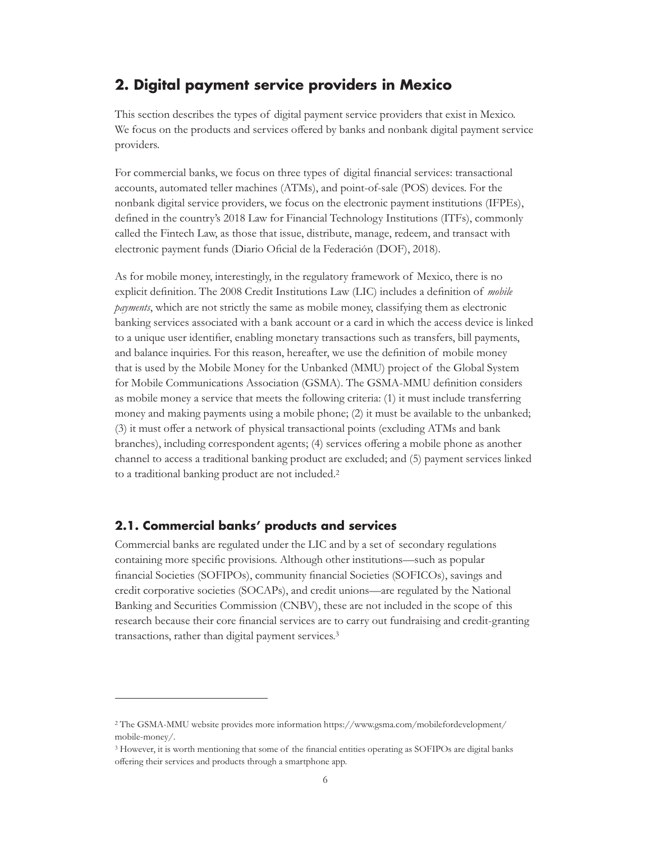## <span id="page-10-0"></span>**2. Digital payment service providers in Mexico**

This section describes the types of digital payment service providers that exist in Mexico. We focus on the products and services offered by banks and nonbank digital payment service providers.

For commercial banks, we focus on three types of digital financial services: transactional accounts, automated teller machines (ATMs), and point-of-sale (POS) devices. For the nonbank digital service providers, we focus on the electronic payment institutions (IFPEs), defined in the country's 2018 Law for Financial Technology Institutions (ITFs), commonly called the Fintech Law, as those that issue, distribute, manage, redeem, and transact with electronic payment funds (Diario Oficial de la Federación (DOF), 2018).

As for mobile money, interestingly, in the regulatory framework of Mexico, there is no explicit definition. The 2008 Credit Institutions Law (LIC) includes a definition of *mobile payments*, which are not strictly the same as mobile money, classifying them as electronic banking services associated with a bank account or a card in which the access device is linked to a unique user identifier, enabling monetary transactions such as transfers, bill payments, and balance inquiries. For this reason, hereafter, we use the definition of mobile money that is used by the Mobile Money for the Unbanked (MMU) project of the Global System for Mobile Communications Association (GSMA). The GSMA-MMU definition considers as mobile money a service that meets the following criteria: (1) it must include transferring money and making payments using a mobile phone; (2) it must be available to the unbanked; (3) it must offer a network of physical transactional points (excluding ATMs and bank branches), including correspondent agents; (4) services offering a mobile phone as another channel to access a traditional banking product are excluded; and (5) payment services linked to a traditional banking product are not included.2

## **2.1. Commercial banks' products and services**

Commercial banks are regulated under the LIC and by a set of secondary regulations containing more specific provisions. Although other institutions—such as popular financial Societies (SOFIPOs), community financial Societies (SOFICOs), savings and credit corporative societies (SOCAPs), and credit unions—are regulated by the National Banking and Securities Commission (CNBV), these are not included in the scope of this research because their core financial services are to carry out fundraising and credit-granting transactions, rather than digital payment services.3

<sup>2</sup> The GSMA-MMU website provides more information [https://www.gsma.com/mobilefordevelopment/](https://www.gsma.com/mobilefordevelopment/mobile-money/) [mobile-money/](https://www.gsma.com/mobilefordevelopment/mobile-money/).

<sup>3</sup> However, it is worth mentioning that some of the financial entities operating as SOFIPOs are digital banks offering their services and products through a smartphone app.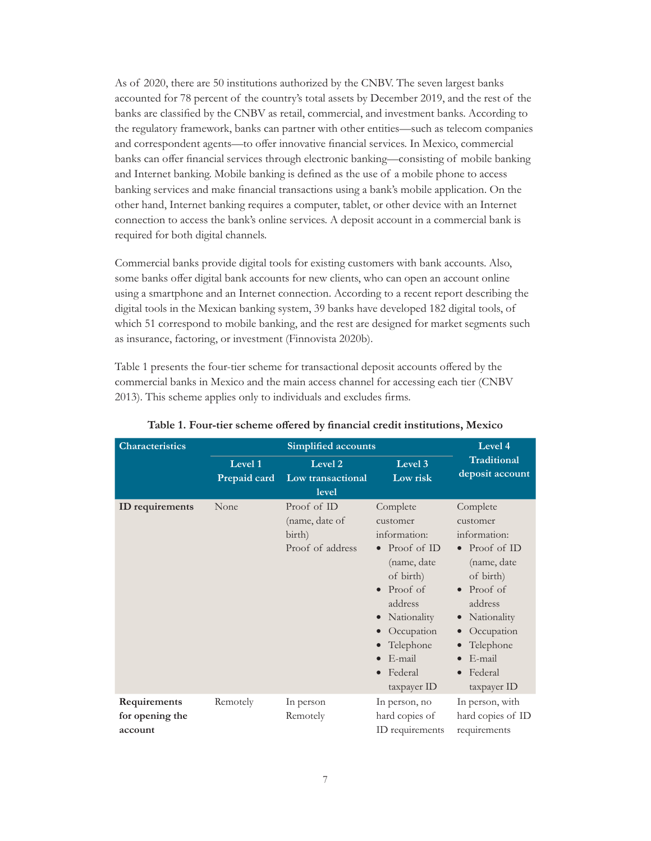<span id="page-11-0"></span>As of 2020, there are 50 institutions authorized by the CNBV. The seven largest banks accounted for 78 percent of the country's total assets by December 2019, and the rest of the banks are classified by the CNBV as retail, commercial, and investment banks. According to the regulatory framework, banks can partner with other entities—such as telecom companies and correspondent agents—to offer innovative financial services. In Mexico, commercial banks can offer financial services through electronic banking—consisting of mobile banking and Internet banking. Mobile banking is defined as the use of a mobile phone to access banking services and make financial transactions using a bank's mobile application. On the other hand, Internet banking requires a computer, tablet, or other device with an Internet connection to access the bank's online services. A deposit account in a commercial bank is required for both digital channels.

Commercial banks provide digital tools for existing customers with bank accounts. Also, some banks offer digital bank accounts for new clients, who can open an account online using a smartphone and an Internet connection. According to a recent report describing the digital tools in the Mexican banking system, 39 banks have developed 182 digital tools, of which 51 correspond to mobile banking, and the rest are designed for market segments such as insurance, factoring, or investment (Finnovista 2020b).

Table 1 presents the four-tier scheme for transactional deposit accounts offered by the commercial banks in Mexico and the main access channel for accessing each tier (CNBV 2013). This scheme applies only to individuals and excludes firms.

| <b>Characteristics</b>                     |                         | Level 4                                                     |                                                                                                                                                                                      |                                                                                                                                                                                      |
|--------------------------------------------|-------------------------|-------------------------------------------------------------|--------------------------------------------------------------------------------------------------------------------------------------------------------------------------------------|--------------------------------------------------------------------------------------------------------------------------------------------------------------------------------------|
|                                            | Level 1<br>Prepaid card | Level <sub>2</sub><br>Low transactional<br>level            | Level 3<br>Low risk                                                                                                                                                                  | <b>Traditional</b><br>deposit account                                                                                                                                                |
| ID requirements                            | None                    | Proof of ID<br>(name, date of<br>birth)<br>Proof of address | Complete<br>customer<br>information:<br>Proof of ID<br>(name, date<br>of birth)<br>Proof of<br>address<br>Nationality<br>Occupation<br>Telephone<br>E-mail<br>Federal<br>taxpayer ID | Complete<br>customer<br>information:<br>Proof of ID<br>(name, date<br>of birth)<br>Proof of<br>address<br>Nationality<br>Occupation<br>Telephone<br>E-mail<br>Federal<br>taxpayer ID |
| Requirements<br>for opening the<br>account | Remotely                | In person<br>Remotely                                       | In person, no<br>hard copies of<br>ID requirements                                                                                                                                   | In person, with<br>hard copies of ID<br>requirements                                                                                                                                 |

**Table 1. Four-tier scheme offered by financial credit institutions, Mexico**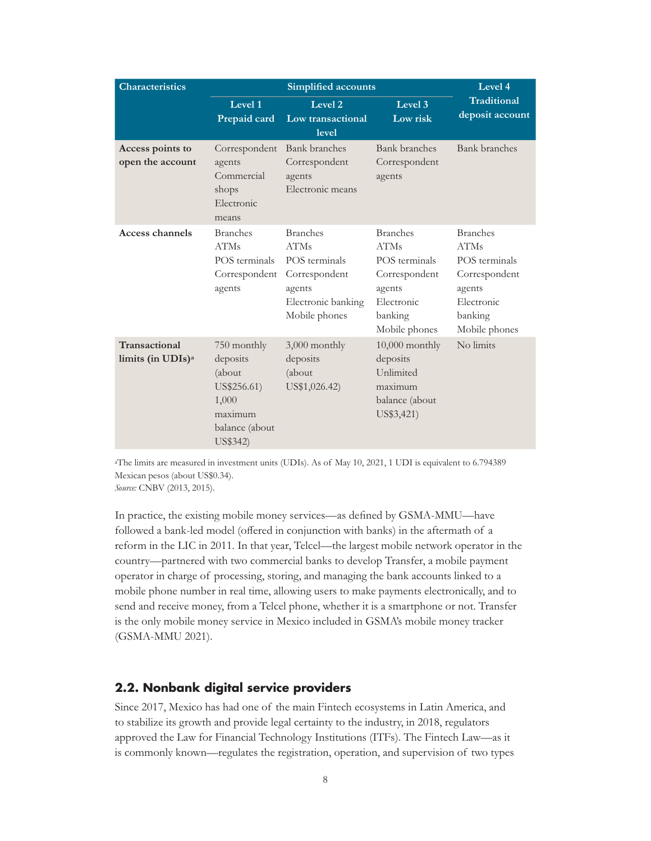<span id="page-12-0"></span>

| <b>Characteristics</b>                         | <b>Simplified accounts</b>                                                                         |                                                                                                                   |                                                                                                                      | Level 4                                                                                                              |
|------------------------------------------------|----------------------------------------------------------------------------------------------------|-------------------------------------------------------------------------------------------------------------------|----------------------------------------------------------------------------------------------------------------------|----------------------------------------------------------------------------------------------------------------------|
|                                                | Level 1<br>Prepaid card                                                                            | Level 2<br>Low transactional<br>level                                                                             | Level 3<br>Low risk                                                                                                  | <b>Traditional</b><br>deposit account                                                                                |
| Access points to<br>open the account           | Correspondent<br>agents<br>Commercial<br>shops<br>Electronic<br>means                              | <b>Bank</b> branches<br>Correspondent<br>agents<br>Electronic means                                               | <b>Bank</b> branches<br>Correspondent<br>agents                                                                      | <b>Bank</b> branches                                                                                                 |
| <b>Access channels</b>                         | <b>Branches</b><br><b>ATMs</b><br>POS terminals<br>Correspondent<br>agents                         | <b>Branches</b><br><b>ATMs</b><br>POS terminals<br>Correspondent<br>agents<br>Electronic banking<br>Mobile phones | <b>Branches</b><br><b>ATMs</b><br>POS terminals<br>Correspondent<br>agents<br>Electronic<br>banking<br>Mobile phones | <b>Branches</b><br><b>ATMs</b><br>POS terminals<br>Correspondent<br>agents<br>Electronic<br>banking<br>Mobile phones |
| Transactional<br>limits (in UDIs) <sup>a</sup> | 750 monthly<br>deposits<br>(about<br>US\$256.61)<br>1,000<br>maximum<br>balance (about<br>US\$342) | 3,000 monthly<br>deposits<br>(about<br>US\$1,026.42)                                                              | $10,000$ monthly<br>deposits<br>Unlimited<br>maximum<br>balance (about<br>US\$3,421)                                 | No limits                                                                                                            |

aThe limits are measured in investment units (UDIs). As of May 10, 2021, 1 UDI is equivalent to 6.794389 Mexican pesos (about US\$0.34).

*Source:* CNBV (2013, 2015).

In practice, the existing mobile money services—as defined by GSMA-MMU—have followed a bank-led model (offered in conjunction with banks) in the aftermath of a reform in the LIC in 2011. In that year, Telcel—the largest mobile network operator in the country—partnered with two commercial banks to develop Transfer, a mobile payment operator in charge of processing, storing, and managing the bank accounts linked to a mobile phone number in real time, allowing users to make payments electronically, and to send and receive money, from a Telcel phone, whether it is a smartphone or not. Transfer is the only mobile money service in Mexico included in GSMA's mobile money tracker (GSMA-MMU 2021).

#### **2.2. Nonbank digital service providers**

Since 2017, Mexico has had one of the main Fintech ecosystems in Latin America, and to stabilize its growth and provide legal certainty to the industry, in 2018, regulators approved the Law for Financial Technology Institutions (ITFs). The Fintech Law—as it is commonly known—regulates the registration, operation, and supervision of two types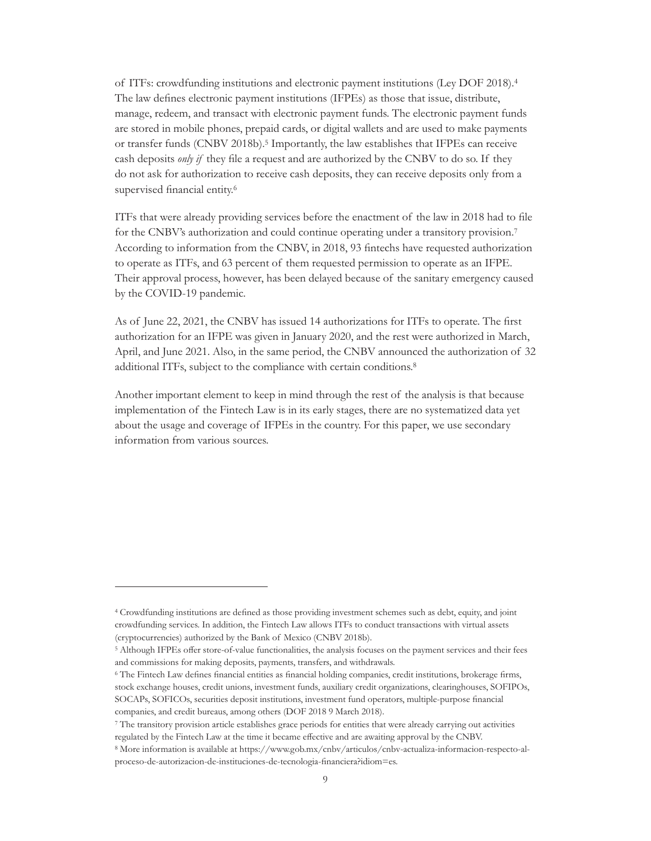of ITFs: crowdfunding institutions and electronic payment institutions (Ley DOF 2018).4 The law defines electronic payment institutions (IFPEs) as those that issue, distribute, manage, redeem, and transact with electronic payment funds. The electronic payment funds are stored in mobile phones, prepaid cards, or digital wallets and are used to make payments or transfer funds (CNBV 2018b).5 Importantly, the law establishes that IFPEs can receive cash deposits *only if* they file a request and are authorized by the CNBV to do so. If they do not ask for authorization to receive cash deposits, they can receive deposits only from a supervised financial entity.<sup>6</sup>

ITFs that were already providing services before the enactment of the law in 2018 had to file for the CNBV's authorization and could continue operating under a transitory provision.7 According to information from the CNBV, in 2018, 93 fintechs have requested authorization to operate as ITFs, and 63 percent of them requested permission to operate as an IFPE. Their approval process, however, has been delayed because of the sanitary emergency caused by the COVID-19 pandemic.

As of June 22, 2021, the CNBV has issued 14 authorizations for ITFs to operate. The first authorization for an IFPE was given in January 2020, and the rest were authorized in March, April, and June 2021. Also, in the same period, the CNBV announced the authorization of 32 additional ITFs, subject to the compliance with certain conditions.8

Another important element to keep in mind through the rest of the analysis is that because implementation of the Fintech Law is in its early stages, there are no systematized data yet about the usage and coverage of IFPEs in the country. For this paper, we use secondary information from various sources.

<sup>4</sup> Crowdfunding institutions are defined as those providing investment schemes such as debt, equity, and joint crowdfunding services. In addition, the Fintech Law allows ITFs to conduct transactions with virtual assets (cryptocurrencies) authorized by the Bank of Mexico (CNBV 2018b).

<sup>5</sup> Although IFPEs offer store-of-value functionalities, the analysis focuses on the payment services and their fees and commissions for making deposits, payments, transfers, and withdrawals.

<sup>6</sup> The Fintech Law defines financial entities as financial holding companies, credit institutions, brokerage firms, stock exchange houses, credit unions, investment funds, auxiliary credit organizations, clearinghouses, SOFIPOs, SOCAPs, SOFICOs, securities deposit institutions, investment fund operators, multiple-purpose financial companies, and credit bureaus, among others (DOF 2018 9 March 2018).

<sup>7</sup> The transitory provision article establishes grace periods for entities that were already carrying out activities regulated by the Fintech Law at the time it became effective and are awaiting approval by the CNBV.

<sup>8</sup> More information is available at [https://www.gob.mx/cnbv/articulos/cnbv-actualiza-informacion-respecto-al](https://www.gob.mx/cnbv/articulos/cnbv-actualiza-informacion-respecto-al-proceso-de-autorizacion-de-instituciones-de-tecnologia-financiera?idiom=es)[proceso-de-autorizacion-de-instituciones-de-tecnologia-financiera?idiom=es](https://www.gob.mx/cnbv/articulos/cnbv-actualiza-informacion-respecto-al-proceso-de-autorizacion-de-instituciones-de-tecnologia-financiera?idiom=es).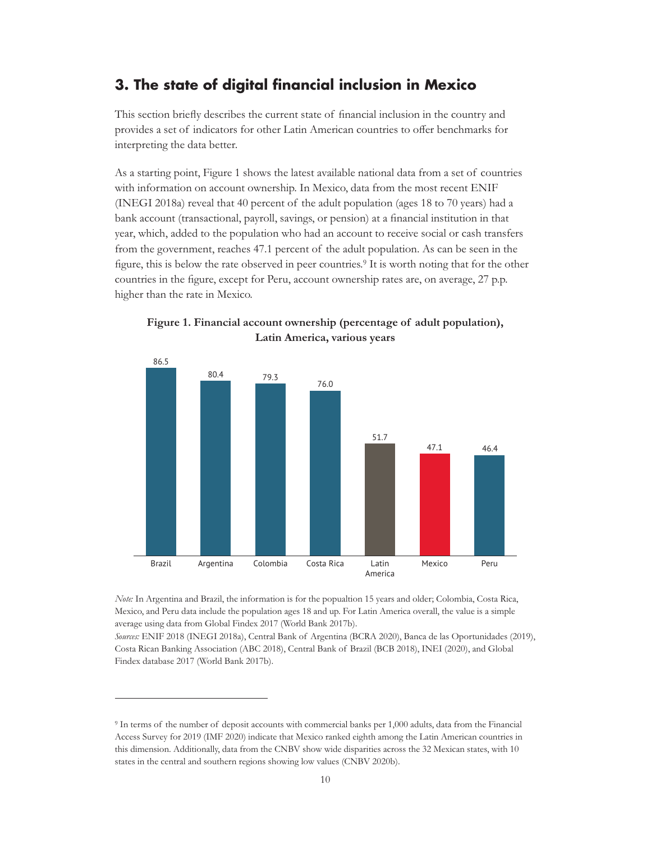## <span id="page-14-0"></span>**3. The state of digital financial inclusion in Mexico**

This section briefly describes the current state of financial inclusion in the country and provides a set of indicators for other Latin American countries to offer benchmarks for interpreting the data better.

As a starting point, Figure 1 shows the latest available national data from a set of countries with information on account ownership. In Mexico, data from the most recent ENIF (INEGI 2018a) reveal that 40 percent of the adult population (ages 18 to 70 years) had a bank account (transactional, payroll, savings, or pension) at a financial institution in that year, which, added to the population who had an account to receive social or cash transfers from the government, reaches 47.1 percent of the adult population. As can be seen in the figure, this is below the rate observed in peer countries.9 It is worth noting that for the other countries in the figure, except for Peru, account ownership rates are, on average, 27 p.p. higher than the rate in Mexico.



**Figure 1. Financial account ownership (percentage of adult population), Latin America, various years**

*Note:* In Argentina and Brazil, the information is for the popualtion 15 years and older; Colombia, Costa Rica, Mexico, and Peru data include the population ages 18 and up. For Latin America overall, the value is a simple average using data from Global Findex 2017 (World Bank 2017b).

*Sources:* ENIF 2018 (INEGI 2018a), Central Bank of Argentina (BCRA 2020), Banca de las Oportunidades (2019), Costa Rican Banking Association (ABC 2018), Central Bank of Brazil (BCB 2018), INEI (2020), and Global Findex database 2017 (World Bank 2017b).

<sup>9</sup> In terms of the number of deposit accounts with commercial banks per 1,000 adults, data from the Financial Access Survey for 2019 (IMF 2020) indicate that Mexico ranked eighth among the Latin American countries in this dimension. Additionally, data from the CNBV show wide disparities across the 32 Mexican states, with 10 states in the central and southern regions showing low values (CNBV 2020b).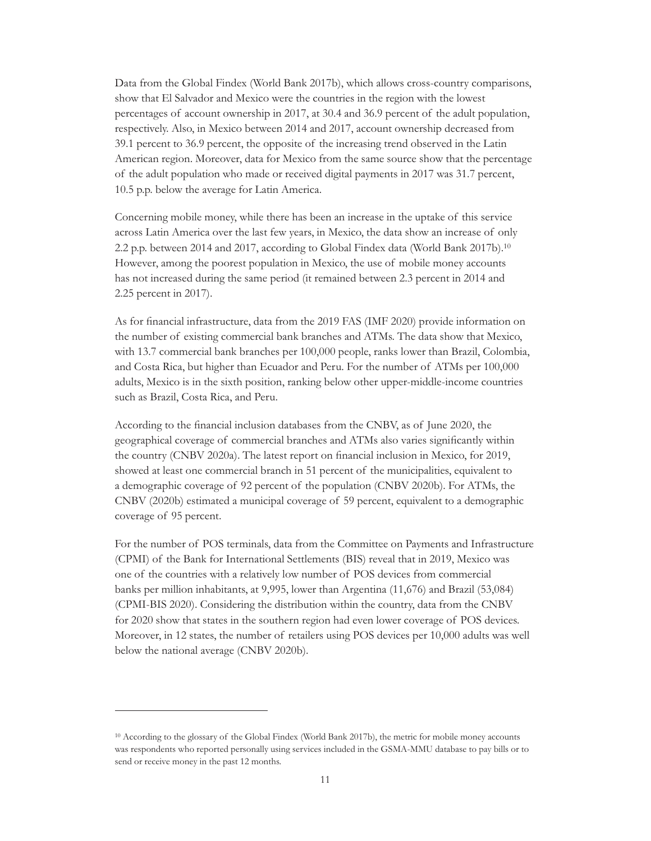Data from the Global Findex (World Bank 2017b), which allows cross-country comparisons, show that El Salvador and Mexico were the countries in the region with the lowest percentages of account ownership in 2017, at 30.4 and 36.9 percent of the adult population, respectively. Also, in Mexico between 2014 and 2017, account ownership decreased from 39.1 percent to 36.9 percent, the opposite of the increasing trend observed in the Latin American region. Moreover, data for Mexico from the same source show that the percentage of the adult population who made or received digital payments in 2017 was 31.7 percent, 10.5 p.p. below the average for Latin America.

Concerning mobile money, while there has been an increase in the uptake of this service across Latin America over the last few years, in Mexico, the data show an increase of only 2.2 p.p. between 2014 and 2017, according to Global Findex data (World Bank 2017b).10 However, among the poorest population in Mexico, the use of mobile money accounts has not increased during the same period (it remained between 2.3 percent in 2014 and 2.25 percent in 2017).

As for financial infrastructure, data from the 2019 FAS (IMF 2020) provide information on the number of existing commercial bank branches and ATMs. The data show that Mexico, with 13.7 commercial bank branches per 100,000 people, ranks lower than Brazil, Colombia, and Costa Rica, but higher than Ecuador and Peru. For the number of ATMs per 100,000 adults, Mexico is in the sixth position, ranking below other upper-middle-income countries such as Brazil, Costa Rica, and Peru.

According to the financial inclusion databases from the CNBV, as of June 2020, the geographical coverage of commercial branches and ATMs also varies significantly within the country (CNBV 2020a). The latest report on financial inclusion in Mexico, for 2019, showed at least one commercial branch in 51 percent of the municipalities, equivalent to a demographic coverage of 92 percent of the population (CNBV 2020b). For ATMs, the CNBV (2020b) estimated a municipal coverage of 59 percent, equivalent to a demographic coverage of 95 percent.

For the number of POS terminals, data from the Committee on Payments and Infrastructure (CPMI) of the Bank for International Settlements (BIS) reveal that in 2019, Mexico was one of the countries with a relatively low number of POS devices from commercial banks per million inhabitants, at 9,995, lower than Argentina (11,676) and Brazil (53,084) (CPMI-BIS 2020). Considering the distribution within the country, data from the CNBV for 2020 show that states in the southern region had even lower coverage of POS devices. Moreover, in 12 states, the number of retailers using POS devices per 10,000 adults was well below the national average (CNBV 2020b).

<sup>10</sup> According to the glossary of the Global Findex (World Bank 2017b), the metric for mobile money accounts was respondents who reported personally using services included in the GSMA-MMU database to pay bills or to send or receive money in the past 12 months.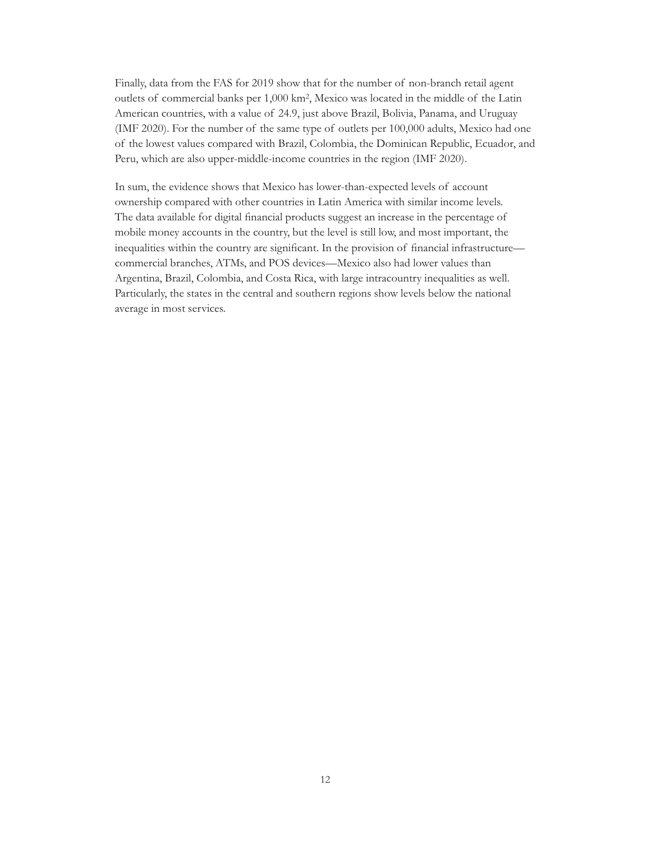Finally, data from the FAS for 2019 show that for the number of non-branch retail agent outlets of commercial banks per 1,000 km2, Mexico was located in the middle of the Latin American countries, with a value of 24.9, just above Brazil, Bolivia, Panama, and Uruguay (IMF 2020). For the number of the same type of outlets per 100,000 adults, Mexico had one of the lowest values compared with Brazil, Colombia, the Dominican Republic, Ecuador, and Peru, which are also upper-middle-income countries in the region (IMF 2020).

In sum, the evidence shows that Mexico has lower-than-expected levels of account ownership compared with other countries in Latin America with similar income levels. The data available for digital financial products suggest an increase in the percentage of mobile money accounts in the country, but the level is still low, and most important, the inequalities within the country are significant. In the provision of financial infrastructure commercial branches, ATMs, and POS devices—Mexico also had lower values than Argentina, Brazil, Colombia, and Costa Rica, with large intracountry inequalities as well. Particularly, the states in the central and southern regions show levels below the national average in most services.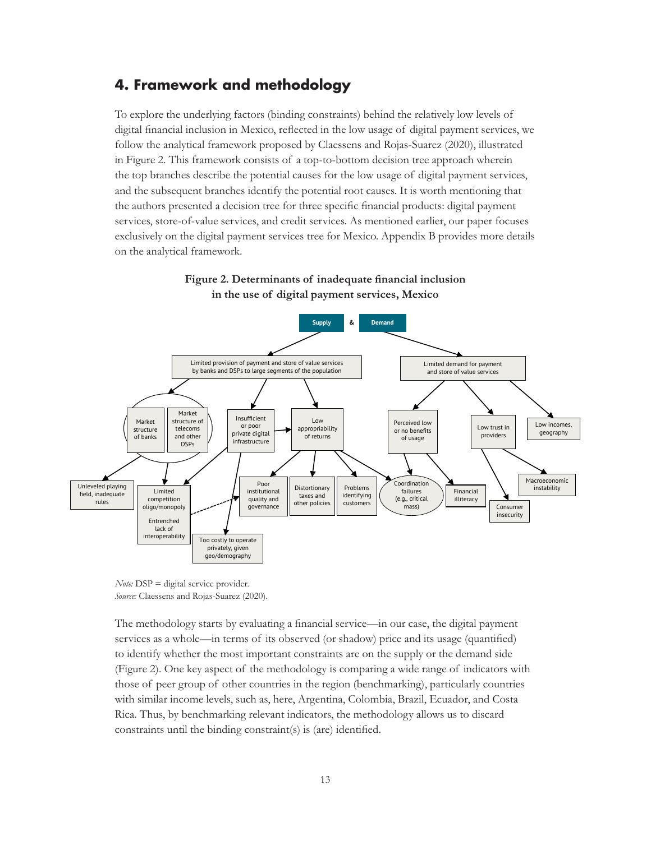## <span id="page-17-0"></span>**4. Framework and methodology**

To explore the underlying factors (binding constraints) behind the relatively low levels of digital financial inclusion in Mexico, reflected in the low usage of digital payment services, we follow the analytical framework proposed by Claessens and Rojas-Suarez (2020), illustrated in Figure 2. This framework consists of a top-to-bottom decision tree approach wherein the top branches describe the potential causes for the low usage of digital payment services, and the subsequent branches identify the potential root causes. It is worth mentioning that the authors presented a decision tree for three specific financial products: digital payment services, store-of-value services, and credit services. As mentioned earlier, our paper focuses exclusively on the digital payment services tree for Mexico. Appendix B provides more details on the analytical framework.



**Figure 2. Determinants of inadequate financial inclusion in the use of digital payment services, Mexico**

The methodology starts by evaluating a financial service—in our case, the digital payment services as a whole—in terms of its observed (or shadow) price and its usage (quantified) to identify whether the most important constraints are on the supply or the demand side (Figure 2). One key aspect of the methodology is comparing a wide range of indicators with those of peer group of other countries in the region (benchmarking), particularly countries with similar income levels, such as, here, Argentina, Colombia, Brazil, Ecuador, and Costa Rica. Thus, by benchmarking relevant indicators, the methodology allows us to discard constraints until the binding constraint(s) is (are) identified.

*Note:* DSP = digital service provider. *Source:* Claessens and Rojas-Suarez (2020).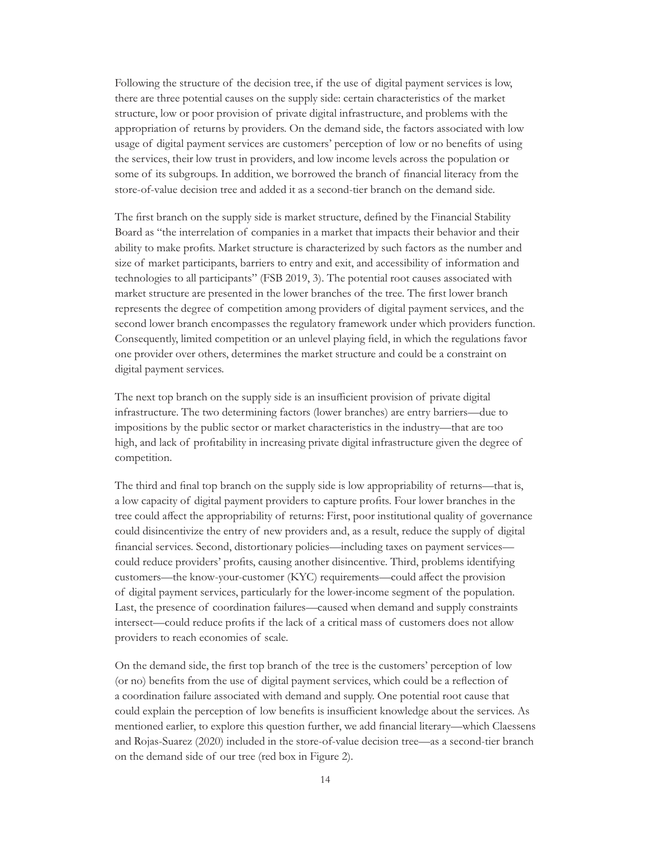Following the structure of the decision tree, if the use of digital payment services is low, there are three potential causes on the supply side: certain characteristics of the market structure, low or poor provision of private digital infrastructure, and problems with the appropriation of returns by providers. On the demand side, the factors associated with low usage of digital payment services are customers' perception of low or no benefits of using the services, their low trust in providers, and low income levels across the population or some of its subgroups. In addition, we borrowed the branch of financial literacy from the store-of-value decision tree and added it as a second-tier branch on the demand side.

The first branch on the supply side is market structure, defined by the Financial Stability Board as "the interrelation of companies in a market that impacts their behavior and their ability to make profits. Market structure is characterized by such factors as the number and size of market participants, barriers to entry and exit, and accessibility of information and technologies to all participants" (FSB 2019, 3). The potential root causes associated with market structure are presented in the lower branches of the tree. The first lower branch represents the degree of competition among providers of digital payment services, and the second lower branch encompasses the regulatory framework under which providers function. Consequently, limited competition or an unlevel playing field, in which the regulations favor one provider over others, determines the market structure and could be a constraint on digital payment services.

The next top branch on the supply side is an insufficient provision of private digital infrastructure. The two determining factors (lower branches) are entry barriers—due to impositions by the public sector or market characteristics in the industry—that are too high, and lack of profitability in increasing private digital infrastructure given the degree of competition.

The third and final top branch on the supply side is low appropriability of returns—that is, a low capacity of digital payment providers to capture profits. Four lower branches in the tree could affect the appropriability of returns: First, poor institutional quality of governance could disincentivize the entry of new providers and, as a result, reduce the supply of digital financial services. Second, distortionary policies—including taxes on payment services could reduce providers' profits, causing another disincentive. Third, problems identifying customers—the know-your-customer (KYC) requirements—could affect the provision of digital payment services, particularly for the lower-income segment of the population. Last, the presence of coordination failures—caused when demand and supply constraints intersect—could reduce profits if the lack of a critical mass of customers does not allow providers to reach economies of scale.

On the demand side, the first top branch of the tree is the customers' perception of low (or no) benefits from the use of digital payment services, which could be a reflection of a coordination failure associated with demand and supply. One potential root cause that could explain the perception of low benefits is insufficient knowledge about the services. As mentioned earlier, to explore this question further, we add financial literary—which Claessens and Rojas-Suarez (2020) included in the store-of-value decision tree—as a second-tier branch on the demand side of our tree (red box in Figure 2).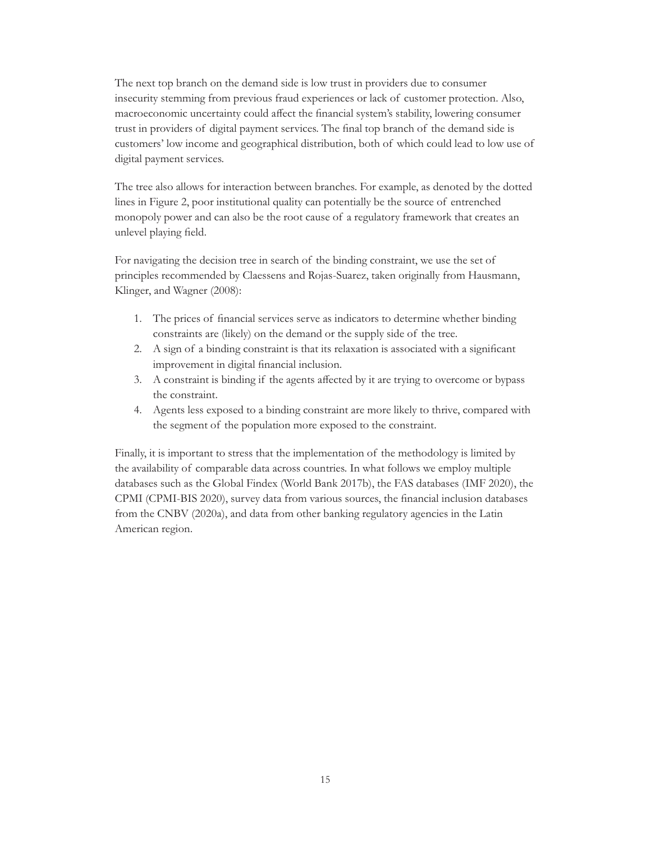The next top branch on the demand side is low trust in providers due to consumer insecurity stemming from previous fraud experiences or lack of customer protection. Also, macroeconomic uncertainty could affect the financial system's stability, lowering consumer trust in providers of digital payment services. The final top branch of the demand side is customers' low income and geographical distribution, both of which could lead to low use of digital payment services.

The tree also allows for interaction between branches. For example, as denoted by the dotted lines in Figure 2, poor institutional quality can potentially be the source of entrenched monopoly power and can also be the root cause of a regulatory framework that creates an unlevel playing field.

For navigating the decision tree in search of the binding constraint, we use the set of principles recommended by Claessens and Rojas-Suarez, taken originally from Hausmann, Klinger, and Wagner (2008):

- 1. The prices of financial services serve as indicators to determine whether binding constraints are (likely) on the demand or the supply side of the tree.
- 2. A sign of a binding constraint is that its relaxation is associated with a significant improvement in digital financial inclusion.
- 3. A constraint is binding if the agents affected by it are trying to overcome or bypass the constraint.
- 4. Agents less exposed to a binding constraint are more likely to thrive, compared with the segment of the population more exposed to the constraint.

Finally, it is important to stress that the implementation of the methodology is limited by the availability of comparable data across countries. In what follows we employ multiple databases such as the Global Findex (World Bank 2017b), the FAS databases (IMF 2020), the CPMI (CPMI-BIS 2020), survey data from various sources, the financial inclusion databases from the CNBV (2020a), and data from other banking regulatory agencies in the Latin American region.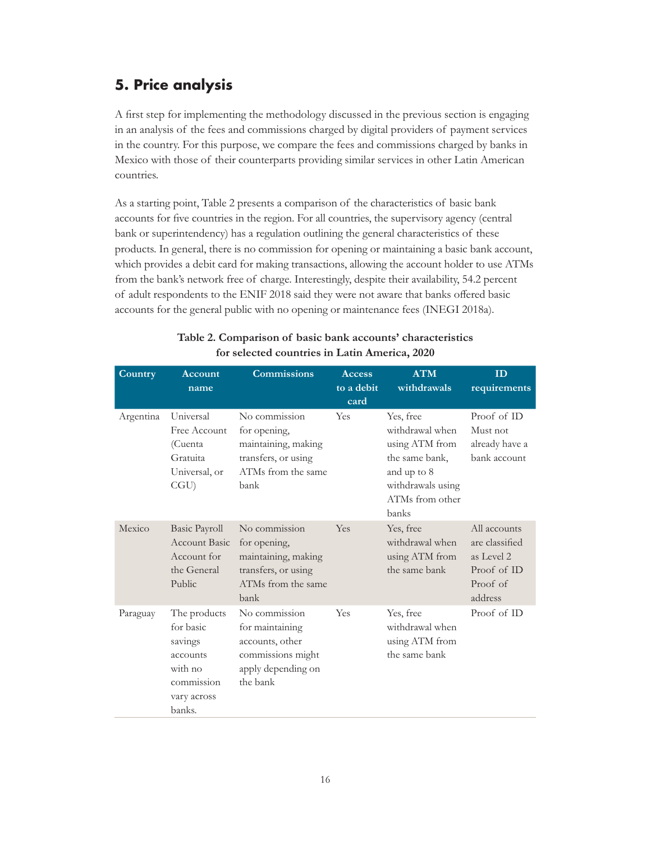## <span id="page-20-0"></span>**5. Price analysis**

A first step for implementing the methodology discussed in the previous section is engaging in an analysis of the fees and commissions charged by digital providers of payment services in the country. For this purpose, we compare the fees and commissions charged by banks in Mexico with those of their counterparts providing similar services in other Latin American countries.

As a starting point, Table 2 presents a comparison of the characteristics of basic bank accounts for five countries in the region. For all countries, the supervisory agency (central bank or superintendency) has a regulation outlining the general characteristics of these products. In general, there is no commission for opening or maintaining a basic bank account, which provides a debit card for making transactions, allowing the account holder to use ATMs from the bank's network free of charge. Interestingly, despite their availability, 54.2 percent of adult respondents to the ENIF 2018 said they were not aware that banks offered basic accounts for the general public with no opening or maintenance fees (INEGI 2018a).

| Country   | Account<br>name                                                                                    | <b>Commissions</b>                                                                                         | <b>Access</b><br>to a debit<br>card | <b>ATM</b><br>withdrawals                                                                                                        | ID<br>requirements                                                                 |
|-----------|----------------------------------------------------------------------------------------------------|------------------------------------------------------------------------------------------------------------|-------------------------------------|----------------------------------------------------------------------------------------------------------------------------------|------------------------------------------------------------------------------------|
| Argentina | Universal<br>Free Account<br>(Cuenta<br>Gratuita<br>Universal, or<br>CGU                           | No commission<br>for opening,<br>maintaining, making<br>transfers, or using<br>ATMs from the same<br>bank  | Yes                                 | Yes, free<br>withdrawal when<br>using ATM from<br>the same bank,<br>and up to 8<br>withdrawals using<br>ATMs from other<br>banks | Proof of ID<br>Must not<br>already have a<br>bank account                          |
| Mexico    | <b>Basic Payroll</b><br><b>Account Basic</b><br>Account for<br>the General<br>Public               | No commission<br>for opening,<br>maintaining, making<br>transfers, or using<br>ATMs from the same<br>bank  | Yes                                 | Yes, free<br>withdrawal when<br>using ATM from<br>the same bank                                                                  | All accounts<br>are classified<br>as Level 2<br>Proof of ID<br>Proof of<br>address |
| Paraguay  | The products<br>for basic<br>savings<br>accounts<br>with no<br>commission<br>vary across<br>banks. | No commission<br>for maintaining<br>accounts, other<br>commissions might<br>apply depending on<br>the bank | Yes                                 | Yes, free<br>withdrawal when<br>using ATM from<br>the same bank                                                                  | Proof of ID                                                                        |

#### **Table 2. Comparison of basic bank accounts' characteristics for selected countries in Latin America, 2020**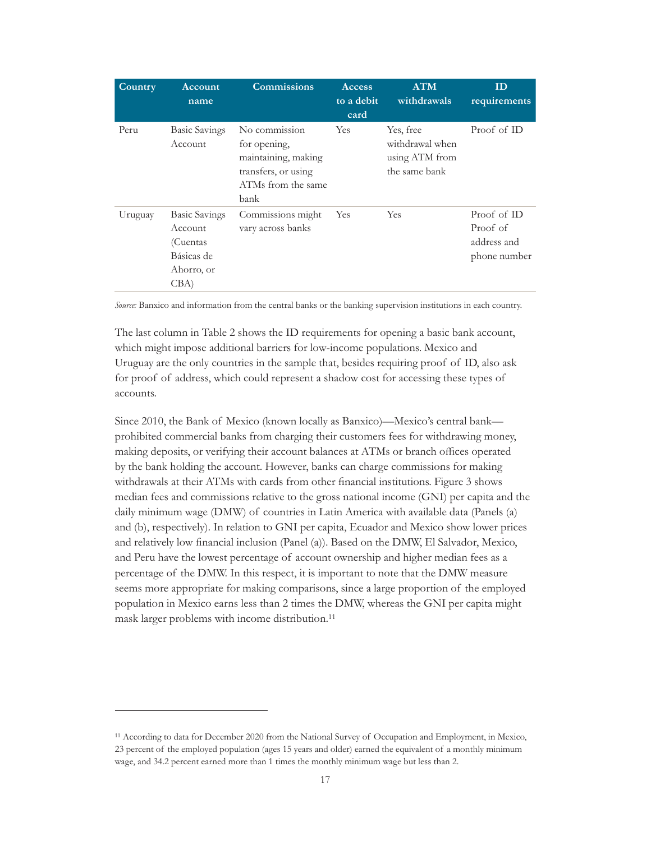| Country | Account<br>name                                                                 | <b>Commissions</b>                                                                                        | <b>Access</b><br>to a debit<br>card | <b>ATM</b><br>withdrawals                                       | ID<br>requirements                                     |
|---------|---------------------------------------------------------------------------------|-----------------------------------------------------------------------------------------------------------|-------------------------------------|-----------------------------------------------------------------|--------------------------------------------------------|
| Peru    | <b>Basic Savings</b><br>Account                                                 | No commission<br>for opening,<br>maintaining, making<br>transfers, or using<br>ATMs from the same<br>bank | <b>Yes</b>                          | Yes, free<br>withdrawal when<br>using ATM from<br>the same bank | Proof of ID                                            |
| Uruguay | <b>Basic Savings</b><br>Account<br>(Cuentas<br>Básicas de<br>Ahorro, or<br>CBA) | Commissions might<br>vary across banks                                                                    | Yes                                 | Yes                                                             | Proof of ID<br>Proof of<br>address and<br>phone number |

*Source:* Banxico and information from the central banks or the banking supervision institutions in each country.

The last column in Table 2 shows the ID requirements for opening a basic bank account, which might impose additional barriers for low-income populations. Mexico and Uruguay are the only countries in the sample that, besides requiring proof of ID, also ask for proof of address, which could represent a shadow cost for accessing these types of accounts.

Since 2010, the Bank of Mexico (known locally as Banxico)—Mexico's central bank prohibited commercial banks from charging their customers fees for withdrawing money, making deposits, or verifying their account balances at ATMs or branch offices operated by the bank holding the account. However, banks can charge commissions for making withdrawals at their ATMs with cards from other financial institutions. Figure 3 shows median fees and commissions relative to the gross national income (GNI) per capita and the daily minimum wage (DMW) of countries in Latin America with available data (Panels (a) and (b), respectively). In relation to GNI per capita, Ecuador and Mexico show lower prices and relatively low financial inclusion (Panel (a)). Based on the DMW, El Salvador, Mexico, and Peru have the lowest percentage of account ownership and higher median fees as a percentage of the DMW. In this respect, it is important to note that the DMW measure seems more appropriate for making comparisons, since a large proportion of the employed population in Mexico earns less than 2 times the DMW, whereas the GNI per capita might mask larger problems with income distribution.11

<sup>11</sup> According to data for December 2020 from the National Survey of Occupation and Employment, in Mexico, 23 percent of the employed population (ages 15 years and older) earned the equivalent of a monthly minimum wage, and 34.2 percent earned more than 1 times the monthly minimum wage but less than 2.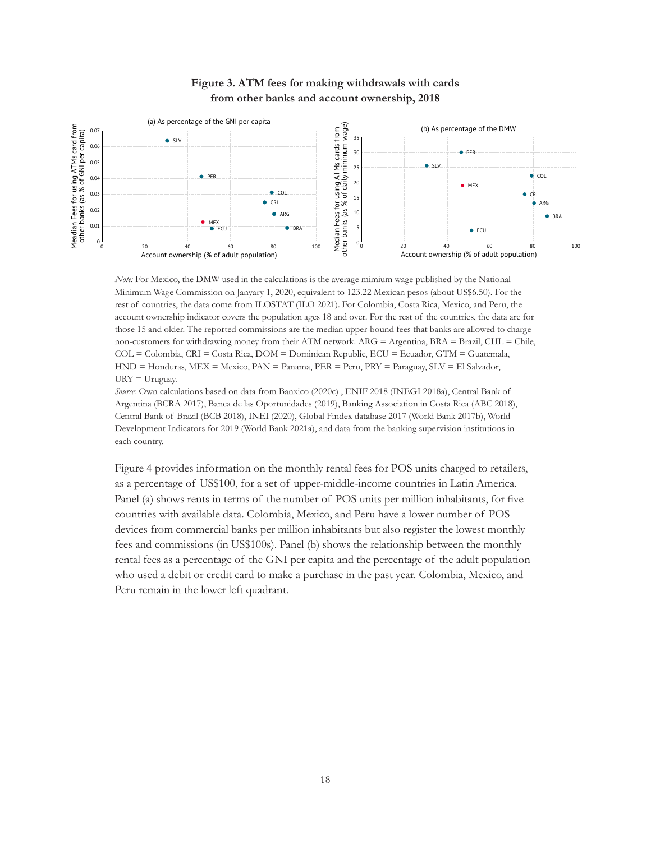<span id="page-22-0"></span>

### **Figure 3. ATM fees for making withdrawals with cards from other banks and account ownership, 2018**

*Note:* For Mexico, the DMW used in the calculations is the average mimium wage published by the National Minimum Wage Commission on Janyary 1, 2020, equivalent to 123.22 Mexican pesos (about US\$6.50). For the rest of countries, the data come from ILOSTAT (ILO 2021). For Colombia, Costa Rica, Mexico, and Peru, the account ownership indicator covers the population ages 18 and over. For the rest of the countries, the data are for those 15 and older. The reported commissions are the median upper-bound fees that banks are allowed to charge non-customers for withdrawing money from their ATM network. ARG = Argentina, BRA = Brazil, CHL = Chile, COL = Colombia, CRI = Costa Rica, DOM = Dominican Republic, ECU = Ecuador, GTM = Guatemala, HND = Honduras, MEX = Mexico, PAN = Panama, PER = Peru, PRY = Paraguay, SLV = El Salvador,  $URY = Uruguay.$ 

*Source:* Own calculations based on data from Banxico (2020c) , ENIF 2018 (INEGI 2018a), Central Bank of Argentina (BCRA 2017), Banca de las Oportunidades (2019), Banking Association in Costa Rica (ABC 2018), Central Bank of Brazil (BCB 2018), INEI (2020), Global Findex database 2017 (World Bank 2017b), World Development Indicators for 2019 (World Bank 2021a), and data from the banking supervision institutions in each country.

Figure 4 provides information on the monthly rental fees for POS units charged to retailers, as a percentage of US\$100, for a set of upper-middle-income countries in Latin America. Panel (a) shows rents in terms of the number of POS units per million inhabitants, for five countries with available data. Colombia, Mexico, and Peru have a lower number of POS devices from commercial banks per million inhabitants but also register the lowest monthly fees and commissions (in US\$100s). Panel (b) shows the relationship between the monthly rental fees as a percentage of the GNI per capita and the percentage of the adult population who used a debit or credit card to make a purchase in the past year. Colombia, Mexico, and Peru remain in the lower left quadrant.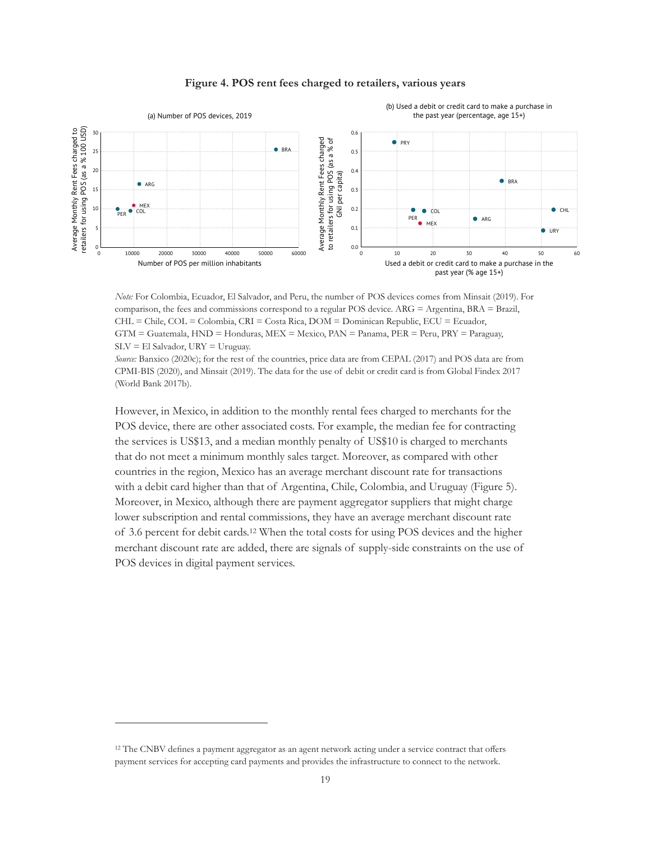<span id="page-23-0"></span>

#### **Figure 4. POS rent fees charged to retailers, various years**

*Note:* For Colombia, Ecuador, El Salvador, and Peru, the number of POS devices comes from Minsait (2019). For comparison, the fees and commissions correspond to a regular POS device. ARG = Argentina, BRA = Brazil, CHL = Chile, COL = Colombia, CRI = Costa Rica, DOM = Dominican Republic, ECU = Ecuador, GTM = Guatemala, HND = Honduras, MEX = Mexico, PAN = Panama, PER = Peru, PRY = Paraguay,  $SLV = El$  Salvador,  $URY = U$ ruguay.

*Source:* Banxico (2020c); for the rest of the countries, price data are from CEPAL (2017) and POS data are from CPMI-BIS (2020), and Minsait (2019). The data for the use of debit or credit card is from Global Findex 2017 (World Bank 2017b).

However, in Mexico, in addition to the monthly rental fees charged to merchants for the POS device, there are other associated costs. For example, the median fee for contracting the services is US\$13, and a median monthly penalty of US\$10 is charged to merchants that do not meet a minimum monthly sales target. Moreover, as compared with other countries in the region, Mexico has an average merchant discount rate for transactions with a debit card higher than that of Argentina, Chile, Colombia, and Uruguay (Figure 5). Moreover, in Mexico, although there are payment aggregator suppliers that might charge lower subscription and rental commissions, they have an average merchant discount rate of 3.6 percent for debit cards.12 When the total costs for using POS devices and the higher merchant discount rate are added, there are signals of supply-side constraints on the use of POS devices in digital payment services.

<sup>12</sup> The CNBV defines a payment aggregator as an agent network acting under a service contract that offers payment services for accepting card payments and provides the infrastructure to connect to the network.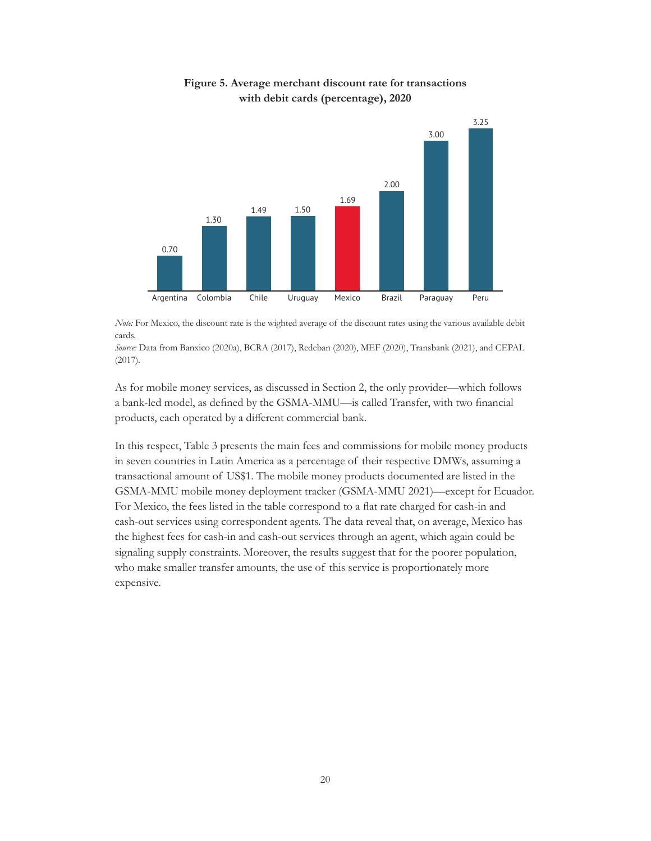<span id="page-24-0"></span>

#### **Figure 5. Average merchant discount rate for transactions with debit cards (percentage), 2020**

*Note:* For Mexico, the discount rate is the wighted average of the discount rates using the various available debit cards.

*Source:* Data from Banxico (2020a), BCRA (2017), Redeban (2020), MEF (2020), Transbank (2021), and CEPAL (2017).

As for mobile money services, as discussed in Section 2, the only provider—which follows a bank-led model, as defined by the GSMA-MMU—is called Transfer, with two financial products, each operated by a different commercial bank.

In this respect, Table 3 presents the main fees and commissions for mobile money products in seven countries in Latin America as a percentage of their respective DMWs, assuming a transactional amount of US\$1. The mobile money products documented are listed in the GSMA-MMU mobile money deployment tracker (GSMA-MMU 2021)—except for Ecuador. For Mexico, the fees listed in the table correspond to a flat rate charged for cash-in and cash-out services using correspondent agents. The data reveal that, on average, Mexico has the highest fees for cash-in and cash-out services through an agent, which again could be signaling supply constraints. Moreover, the results suggest that for the poorer population, who make smaller transfer amounts, the use of this service is proportionately more expensive.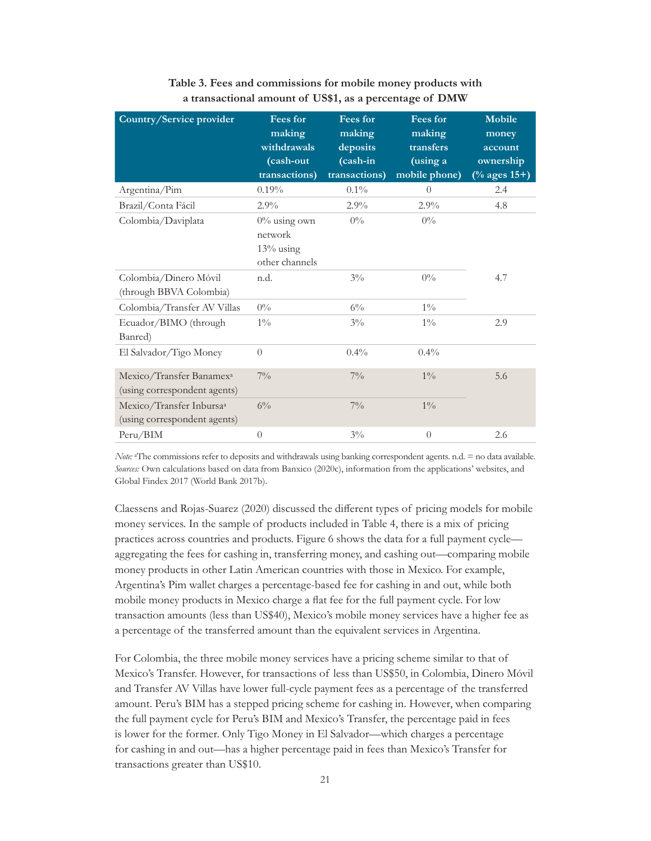<span id="page-25-0"></span>

| Country/Service provider                                             | <b>Fees for</b><br>making<br>withdrawals<br>(cash-out        | <b>Fees for</b><br>making<br>deposits<br>(cash-in | <b>Fees for</b><br>making<br>transfers<br>(using a | Mobile<br>money<br>account<br>ownership |
|----------------------------------------------------------------------|--------------------------------------------------------------|---------------------------------------------------|----------------------------------------------------|-----------------------------------------|
|                                                                      | transactions)                                                | transactions)                                     | mobile phone)                                      | $(\%$ ages 15+)                         |
| Argentina/Pim                                                        | 0.19%                                                        | $0.1\%$                                           | $\overline{0}$                                     | 2.4                                     |
| Brazil/Conta Fácil                                                   | 2.9%                                                         | $2.9\%$                                           | $2.9\%$                                            | 4.8                                     |
| Colombia/Daviplata                                                   | $0\%$ using own<br>network<br>$13\%$ using<br>other channels | $0\%$                                             | $0\%$                                              |                                         |
| Colombia/Dinero Móvil<br>(through BBVA Colombia)                     | n.d.                                                         | $3\%$                                             | $0\%$                                              | 4.7                                     |
| Colombia/Transfer AV Villas                                          | $0\%$                                                        | $6\%$                                             | $1\%$                                              |                                         |
| Ecuador/BIMO (through<br>Banred)                                     | $1\%$                                                        | $3\%$                                             | $1\%$                                              | 2.9                                     |
| El Salvador/Tigo Money                                               | $\Omega$                                                     | $0.4\%$                                           | $0.4\%$                                            |                                         |
| Mexico/Transfer Banamex <sup>a</sup><br>(using correspondent agents) | $7\%$                                                        | $7\%$                                             | $1\%$                                              | 5.6                                     |
| Mexico/Transfer Inbursa <sup>a</sup><br>(using correspondent agents) | $6\%$                                                        | $7\%$                                             | $1\%$                                              |                                         |
| Peru/BIM                                                             | $\overline{0}$                                               | $3\%$                                             | $\overline{0}$                                     | 2.6                                     |

**Table 3. Fees and commissions for mobile money products with a transactional amount of US\$1, as a percentage of DMW**

*Note:* aThe commissions refer to deposits and withdrawals using banking correspondent agents. n.d. = no data available. *Sources:* Own calculations based on data from Banxico (2020c), information from the applications' websites, and Global Findex 2017 (World Bank 2017b).

Claessens and Rojas-Suarez (2020) discussed the different types of pricing models for mobile money services. In the sample of products included in Table 4, there is a mix of pricing practices across countries and products. Figure 6 shows the data for a full payment cycle aggregating the fees for cashing in, transferring money, and cashing out—comparing mobile money products in other Latin American countries with those in Mexico. For example, Argentina's Pim wallet charges a percentage-based fee for cashing in and out, while both mobile money products in Mexico charge a flat fee for the full payment cycle. For low transaction amounts (less than US\$40), Mexico's mobile money services have a higher fee as a percentage of the transferred amount than the equivalent services in Argentina.

For Colombia, the three mobile money services have a pricing scheme similar to that of Mexico's Transfer. However, for transactions of less than US\$50, in Colombia, Dinero Móvil and Transfer AV Villas have lower full-cycle payment fees as a percentage of the transferred amount. Peru's BIM has a stepped pricing scheme for cashing in. However, when comparing the full payment cycle for Peru's BIM and Mexico's Transfer, the percentage paid in fees is lower for the former. Only Tigo Money in El Salvador—which charges a percentage for cashing in and out—has a higher percentage paid in fees than Mexico's Transfer for transactions greater than US\$10.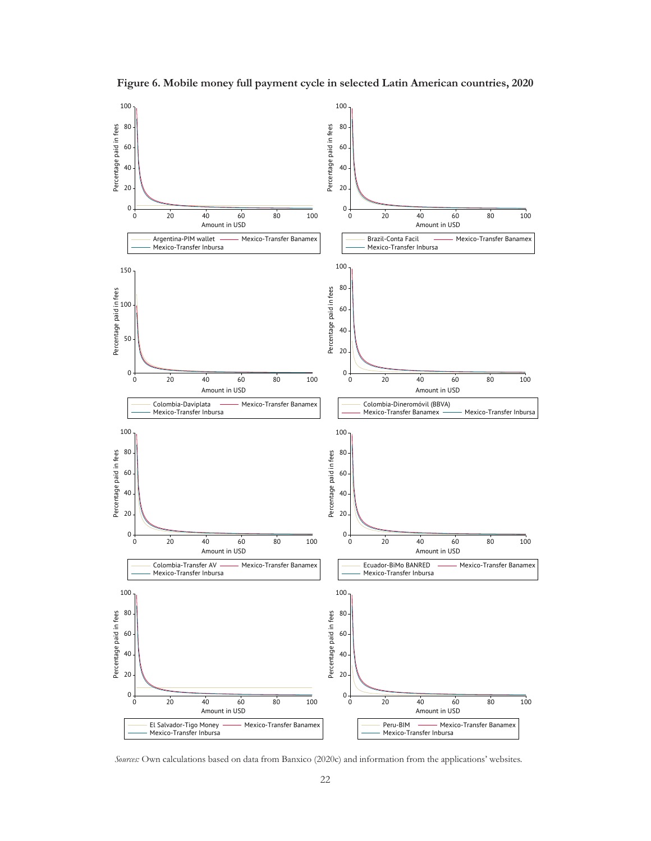<span id="page-26-0"></span>

**Figure 6. Mobile money full payment cycle in selected Latin American countries, 2020**

*Sources:* Own calculations based on data from Banxico (2020c) and information from the applications' websites.

Mexico-Transfer Banamex

El Salvador-Tigo Money<br>Mexico-Transfer Inbursa

Amount in USD

Mexico-Transfer Banamex

Peru-BIM -- Mexi<br>Mexico-Transfer Inbursa

Amount in USD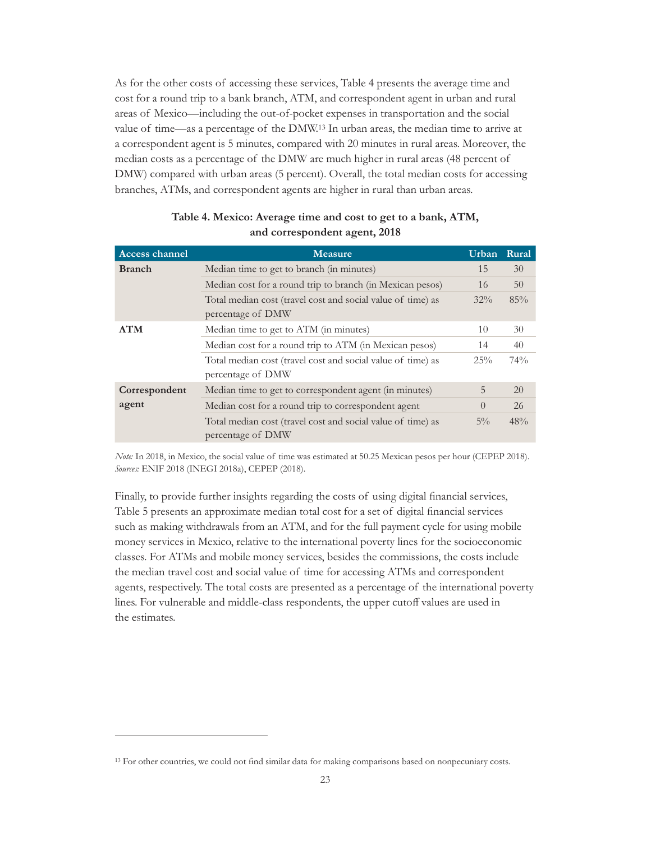<span id="page-27-0"></span>As for the other costs of accessing these services, Table 4 presents the average time and cost for a round trip to a bank branch, ATM, and correspondent agent in urban and rural areas of Mexico—including the out-of-pocket expenses in transportation and the social value of time—as a percentage of the DMW.13 In urban areas, the median time to arrive at a correspondent agent is 5 minutes, compared with 20 minutes in rural areas. Moreover, the median costs as a percentage of the DMW are much higher in rural areas (48 percent of DMW) compared with urban areas (5 percent). Overall, the total median costs for accessing branches, ATMs, and correspondent agents are higher in rural than urban areas.

| <b>Access channel</b> | <b>Measure</b>                                                                   | Urban Rural |     |
|-----------------------|----------------------------------------------------------------------------------|-------------|-----|
| <b>Branch</b>         | Median time to get to branch (in minutes)                                        | 15          | 30  |
|                       | Median cost for a round trip to branch (in Mexican pesos)                        | 16          | 50  |
|                       | Total median cost (travel cost and social value of time) as<br>percentage of DMW | $32\%$      | 85% |
| <b>ATM</b>            | Median time to get to ATM (in minutes)                                           | 10          | 30  |
|                       | Median cost for a round trip to ATM (in Mexican pesos)                           | 14          | 40  |
|                       | Total median cost (travel cost and social value of time) as<br>percentage of DMW | 25%         | 74% |
| Correspondent         | Median time to get to correspondent agent (in minutes)                           | 5           | 20  |
| agent                 | Median cost for a round trip to correspondent agent                              | $\Omega$    | 26  |
|                       | Total median cost (travel cost and social value of time) as<br>percentage of DMW | $5\%$       | 48% |

#### **Table 4. Mexico: Average time and cost to get to a bank, ATM, and correspondent agent, 2018**

*Note:* In 2018, in Mexico, the social value of time was estimated at 50.25 Mexican pesos per hour (CEPEP 2018). *Sources:* ENIF 2018 (INEGI 2018a), CEPEP (2018).

Finally, to provide further insights regarding the costs of using digital financial services, Table 5 presents an approximate median total cost for a set of digital financial services such as making withdrawals from an ATM, and for the full payment cycle for using mobile money services in Mexico, relative to the international poverty lines for the socioeconomic classes. For ATMs and mobile money services, besides the commissions, the costs include the median travel cost and social value of time for accessing ATMs and correspondent agents, respectively. The total costs are presented as a percentage of the international poverty lines. For vulnerable and middle-class respondents, the upper cutoff values are used in the estimates.

<sup>&</sup>lt;sup>13</sup> For other countries, we could not find similar data for making comparisons based on nonpecuniary costs.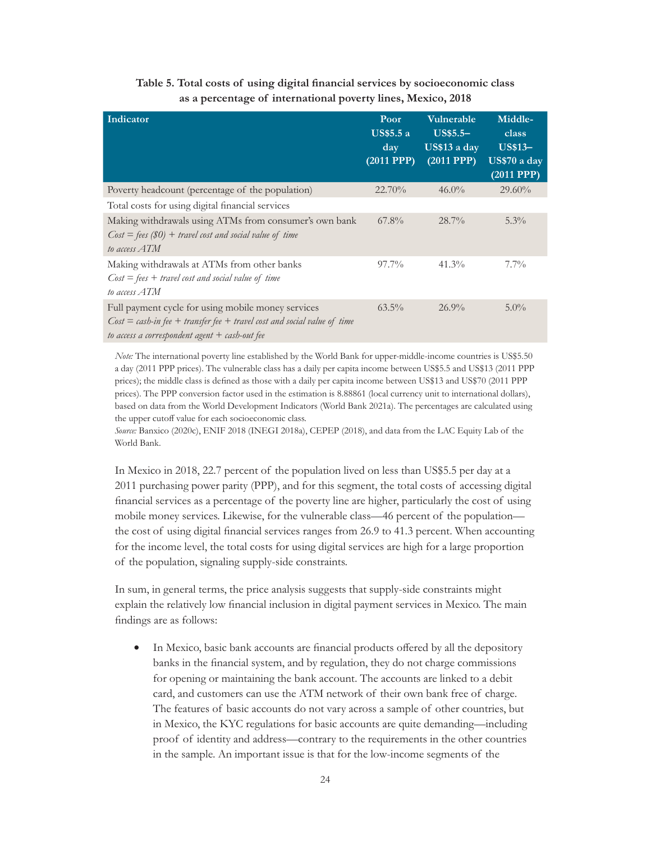<span id="page-28-0"></span>

| Indicator                                                                                                                                                                            | Poor<br><b>US\$5.5 a</b><br>day<br>$(2011$ PPP $)$ | <b>Vulnerable</b><br>$US$5.5-$<br>US\$13 a day<br>$(2011$ PPP $)$ | Middle-<br>class<br><b>US\$13-</b><br>US\$70 a day<br>$(2011$ PPP $)$ |
|--------------------------------------------------------------------------------------------------------------------------------------------------------------------------------------|----------------------------------------------------|-------------------------------------------------------------------|-----------------------------------------------------------------------|
| Poverty headcount (percentage of the population)                                                                                                                                     | 22.70%                                             | $46.0\%$                                                          | $29.60\%$                                                             |
| Total costs for using digital financial services                                                                                                                                     |                                                    |                                                                   |                                                                       |
| Making withdrawals using ATMs from consumer's own bank<br>$Cost = fees (\$0) + travel cost and social value of time$<br>to access ATM                                                | $67.8\%$                                           | $28.7\%$                                                          | $5.3\%$                                                               |
| Making withdrawals at ATMs from other banks<br>$Cost = fees + travel cost and social value of time$<br>to access ATM                                                                 | 97.7%                                              | $41.3\%$                                                          | $7.7\%$                                                               |
| Full payment cycle for using mobile money services<br>$Cost = cash-in fee + transfer fee + travel cost and social value of time$<br>to access a correspondent agent $+$ cash-out fee | $63.5\%$                                           | $26.9\%$                                                          | $5.0\%$                                                               |

#### **Table 5. Total costs of using digital financial services by socioeconomic class as a percentage of international poverty lines, Mexico, 2018**

*Note:* The international poverty line established by the World Bank for upper-middle-income countries is US\$5.50 a day (2011 PPP prices). The vulnerable class has a daily per capita income between US\$5.5 and US\$13 (2011 PPP prices); the middle class is defined as those with a daily per capita income between US\$13 and US\$70 (2011 PPP prices). The PPP conversion factor used in the estimation is 8.88861 (local currency unit to international dollars), based on data from the World Development Indicators (World Bank 2021a). The percentages are calculated using the upper cutoff value for each socioeconomic class.

*Source:* Banxico (2020c), ENIF 2018 (INEGI 2018a), CEPEP (2018), and data from the LAC Equity Lab of the World Bank.

In Mexico in 2018, 22.7 percent of the population lived on less than US\$5.5 per day at a 2011 purchasing power parity (PPP), and for this segment, the total costs of accessing digital financial services as a percentage of the poverty line are higher, particularly the cost of using mobile money services. Likewise, for the vulnerable class—46 percent of the population the cost of using digital financial services ranges from 26.9 to 41.3 percent. When accounting for the income level, the total costs for using digital services are high for a large proportion of the population, signaling supply-side constraints.

In sum, in general terms, the price analysis suggests that supply-side constraints might explain the relatively low financial inclusion in digital payment services in Mexico. The main findings are as follows:

• In Mexico, basic bank accounts are financial products offered by all the depository banks in the financial system, and by regulation, they do not charge commissions for opening or maintaining the bank account. The accounts are linked to a debit card, and customers can use the ATM network of their own bank free of charge. The features of basic accounts do not vary across a sample of other countries, but in Mexico, the KYC regulations for basic accounts are quite demanding—including proof of identity and address—contrary to the requirements in the other countries in the sample. An important issue is that for the low-income segments of the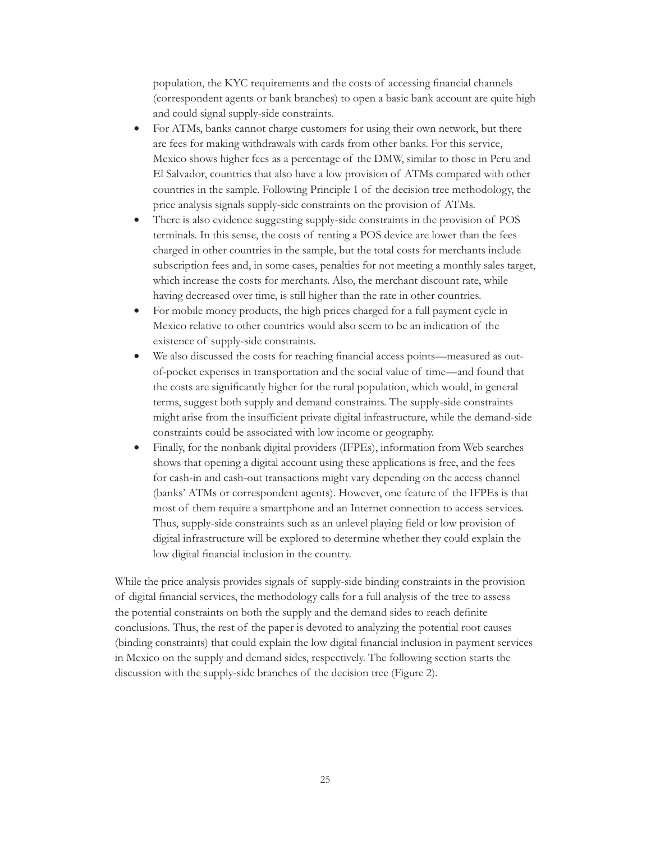population, the KYC requirements and the costs of accessing financial channels (correspondent agents or bank branches) to open a basic bank account are quite high and could signal supply-side constraints.

- For ATMs, banks cannot charge customers for using their own network, but there are fees for making withdrawals with cards from other banks. For this service, Mexico shows higher fees as a percentage of the DMW, similar to those in Peru and El Salvador, countries that also have a low provision of ATMs compared with other countries in the sample. Following Principle 1 of the decision tree methodology, the price analysis signals supply-side constraints on the provision of ATMs.
- There is also evidence suggesting supply-side constraints in the provision of POS terminals. In this sense, the costs of renting a POS device are lower than the fees charged in other countries in the sample, but the total costs for merchants include subscription fees and, in some cases, penalties for not meeting a monthly sales target, which increase the costs for merchants. Also, the merchant discount rate, while having decreased over time, is still higher than the rate in other countries.
- For mobile money products, the high prices charged for a full payment cycle in Mexico relative to other countries would also seem to be an indication of the existence of supply-side constraints.
- • We also discussed the costs for reaching financial access points—measured as outof-pocket expenses in transportation and the social value of time—and found that the costs are significantly higher for the rural population, which would, in general terms, suggest both supply and demand constraints. The supply-side constraints might arise from the insufficient private digital infrastructure, while the demand-side constraints could be associated with low income or geography.
- Finally, for the nonbank digital providers (IFPEs), information from Web searches shows that opening a digital account using these applications is free, and the fees for cash-in and cash-out transactions might vary depending on the access channel (banks' ATMs or correspondent agents). However, one feature of the IFPEs is that most of them require a smartphone and an Internet connection to access services. Thus, supply-side constraints such as an unlevel playing field or low provision of digital infrastructure will be explored to determine whether they could explain the low digital financial inclusion in the country.

While the price analysis provides signals of supply-side binding constraints in the provision of digital financial services, the methodology calls for a full analysis of the tree to assess the potential constraints on both the supply and the demand sides to reach definite conclusions. Thus, the rest of the paper is devoted to analyzing the potential root causes (binding constraints) that could explain the low digital financial inclusion in payment services in Mexico on the supply and demand sides, respectively. The following section starts the discussion with the supply-side branches of the decision tree (Figure 2).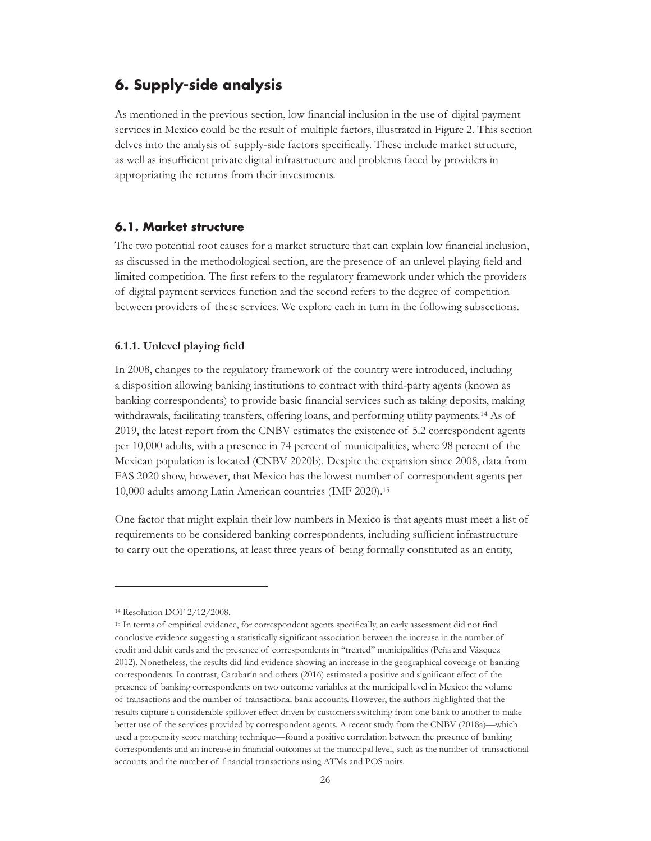## <span id="page-30-0"></span>**6. Supply-side analysis**

As mentioned in the previous section, low financial inclusion in the use of digital payment services in Mexico could be the result of multiple factors, illustrated in Figure 2. This section delves into the analysis of supply-side factors specifically. These include market structure, as well as insufficient private digital infrastructure and problems faced by providers in appropriating the returns from their investments.

#### **6.1. Market structure**

The two potential root causes for a market structure that can explain low financial inclusion, as discussed in the methodological section, are the presence of an unlevel playing field and limited competition. The first refers to the regulatory framework under which the providers of digital payment services function and the second refers to the degree of competition between providers of these services. We explore each in turn in the following subsections.

#### **6.1.1. Unlevel playing field**

In 2008, changes to the regulatory framework of the country were introduced, including a disposition allowing banking institutions to contract with third-party agents (known as banking correspondents) to provide basic financial services such as taking deposits, making withdrawals, facilitating transfers, offering loans, and performing utility payments.14 As of 2019, the latest report from the CNBV estimates the existence of 5.2 correspondent agents per 10,000 adults, with a presence in 74 percent of municipalities, where 98 percent of the Mexican population is located (CNBV 2020b). Despite the expansion since 2008, data from FAS 2020 show, however, that Mexico has the lowest number of correspondent agents per 10,000 adults among Latin American countries (IMF 2020).15

One factor that might explain their low numbers in Mexico is that agents must meet a list of requirements to be considered banking correspondents, including sufficient infrastructure to carry out the operations, at least three years of being formally constituted as an entity,

<sup>14</sup> Resolution DOF 2/12/2008.

<sup>15</sup> In terms of empirical evidence, for correspondent agents specifically, an early assessment did not find conclusive evidence suggesting a statistically significant association between the increase in the number of credit and debit cards and the presence of correspondents in "treated" municipalities (Peña and Vázquez 2012). Nonetheless, the results did find evidence showing an increase in the geographical coverage of banking correspondents. In contrast, Carabarín and others (2016) estimated a positive and significant effect of the presence of banking correspondents on two outcome variables at the municipal level in Mexico: the volume of transactions and the number of transactional bank accounts. However, the authors highlighted that the results capture a considerable spillover effect driven by customers switching from one bank to another to make better use of the services provided by correspondent agents. A recent study from the CNBV (2018a)—which used a propensity score matching technique—found a positive correlation between the presence of banking correspondents and an increase in financial outcomes at the municipal level, such as the number of transactional accounts and the number of financial transactions using ATMs and POS units.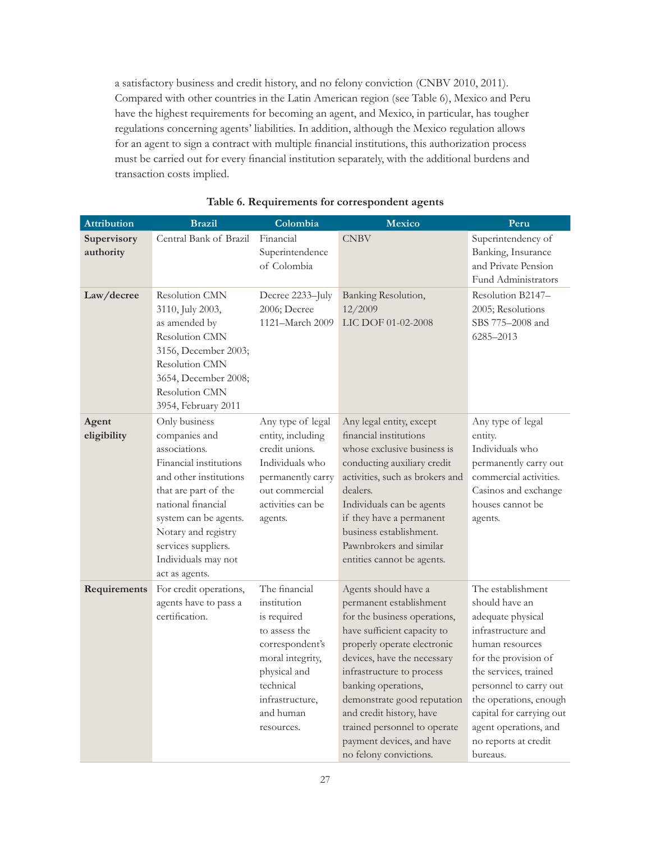<span id="page-31-0"></span>a satisfactory business and credit history, and no felony conviction (CNBV 2010, 2011). Compared with other countries in the Latin American region (see Table 6), Mexico and Peru have the highest requirements for becoming an agent, and Mexico, in particular, has tougher regulations concerning agents' liabilities. In addition, although the Mexico regulation allows for an agent to sign a contract with multiple financial institutions, this authorization process must be carried out for every financial institution separately, with the additional burdens and transaction costs implied.

| <b>Attribution</b>       | <b>Brazil</b>                                                                                                                                                                                                                                                     | Colombia                                                                                                                                                                       | <b>Mexico</b>                                                                                                                                                                                                                                                                                                                                                                      | Peru                                                                                                                                                                                                                                                                                            |  |
|--------------------------|-------------------------------------------------------------------------------------------------------------------------------------------------------------------------------------------------------------------------------------------------------------------|--------------------------------------------------------------------------------------------------------------------------------------------------------------------------------|------------------------------------------------------------------------------------------------------------------------------------------------------------------------------------------------------------------------------------------------------------------------------------------------------------------------------------------------------------------------------------|-------------------------------------------------------------------------------------------------------------------------------------------------------------------------------------------------------------------------------------------------------------------------------------------------|--|
| Supervisory<br>authority | Central Bank of Brazil                                                                                                                                                                                                                                            | Financial<br>Superintendence<br>of Colombia                                                                                                                                    | <b>CNBV</b>                                                                                                                                                                                                                                                                                                                                                                        | Superintendency of<br>Banking, Insurance<br>and Private Pension<br>Fund Administrators                                                                                                                                                                                                          |  |
| Law/decree               | Resolution CMN<br>3110, July 2003,<br>as amended by<br>Resolution CMN<br>3156, December 2003;<br><b>Resolution CMN</b><br>3654, December 2008;<br>Resolution CMN<br>3954, February 2011                                                                           | Decree 2233-July<br>2006; Decree<br>1121-March 2009                                                                                                                            | Banking Resolution,<br>12/2009<br>LIC DOF 01-02-2008                                                                                                                                                                                                                                                                                                                               | Resolution B2147-<br>2005; Resolutions<br>SBS 775-2008 and<br>6285-2013                                                                                                                                                                                                                         |  |
| Agent<br>eligibility     | Only business<br>companies and<br>associations.<br>Financial institutions<br>and other institutions<br>that are part of the<br>national financial<br>system can be agents.<br>Notary and registry<br>services suppliers.<br>Individuals may not<br>act as agents. | Any type of legal<br>entity, including<br>credit unions.<br>Individuals who<br>permanently carry<br>out commercial<br>activities can be<br>agents.                             | Any legal entity, except<br>financial institutions<br>whose exclusive business is<br>conducting auxiliary credit<br>activities, such as brokers and<br>dealers.<br>Individuals can be agents<br>if they have a permanent<br>business establishment.<br>Pawnbrokers and similar<br>entities cannot be agents.                                                                       | Any type of legal<br>entity.<br>Individuals who<br>permanently carry out<br>commercial activities.<br>Casinos and exchange<br>houses cannot be<br>agents.                                                                                                                                       |  |
| Requirements             | For credit operations,<br>agents have to pass a<br>certification.                                                                                                                                                                                                 | The financial<br>institution<br>is required<br>to assess the<br>correspondent's<br>moral integrity,<br>physical and<br>technical<br>infrastructure,<br>and human<br>resources. | Agents should have a<br>permanent establishment<br>for the business operations,<br>have sufficient capacity to<br>properly operate electronic<br>devices, have the necessary<br>infrastructure to process<br>banking operations,<br>demonstrate good reputation<br>and credit history, have<br>trained personnel to operate<br>payment devices, and have<br>no felony convictions. | The establishment<br>should have an<br>adequate physical<br>infrastructure and<br>human resources<br>for the provision of<br>the services, trained<br>personnel to carry out<br>the operations, enough<br>capital for carrying out<br>agent operations, and<br>no reports at credit<br>bureaus. |  |

#### **Table 6. Requirements for correspondent agents**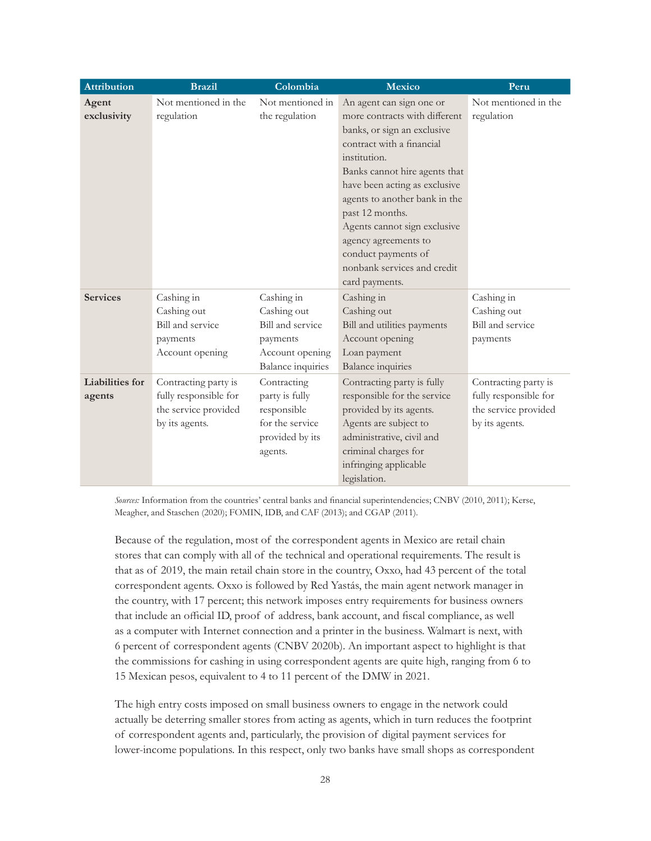| <b>Attribution</b>     | <b>Brazil</b>         | Colombia                 | <b>Mexico</b>                 | Peru                  |  |
|------------------------|-----------------------|--------------------------|-------------------------------|-----------------------|--|
| Agent                  | Not mentioned in the  | Not mentioned in         | An agent can sign one or      | Not mentioned in the  |  |
| exclusivity            | regulation            | the regulation           | more contracts with different | regulation            |  |
|                        |                       |                          | banks, or sign an exclusive   |                       |  |
|                        |                       |                          | contract with a financial     |                       |  |
|                        |                       |                          | institution.                  |                       |  |
|                        |                       |                          | Banks cannot hire agents that |                       |  |
|                        |                       |                          | have been acting as exclusive |                       |  |
|                        |                       |                          | agents to another bank in the |                       |  |
|                        |                       |                          | past 12 months.               |                       |  |
|                        |                       |                          | Agents cannot sign exclusive  |                       |  |
|                        |                       |                          | agency agreements to          |                       |  |
|                        |                       |                          | conduct payments of           |                       |  |
|                        |                       |                          | nonbank services and credit   |                       |  |
|                        |                       |                          | card payments.                |                       |  |
| <b>Services</b>        | Cashing in            | Cashing in               | Cashing in                    | Cashing in            |  |
|                        | Cashing out           | Cashing out              | Cashing out                   | Cashing out           |  |
|                        | Bill and service      | Bill and service         | Bill and utilities payments   | Bill and service      |  |
|                        | payments              | payments                 | Account opening               | payments              |  |
|                        | Account opening       | Account opening          | Loan payment                  |                       |  |
|                        |                       | <b>Balance</b> inquiries | <b>Balance</b> inquiries      |                       |  |
| <b>Liabilities for</b> | Contracting party is  | Contracting              | Contracting party is fully    | Contracting party is  |  |
| agents                 | fully responsible for | party is fully           | responsible for the service   | fully responsible for |  |
|                        | the service provided  | responsible              | provided by its agents.       | the service provided  |  |
|                        | by its agents.        | for the service          | Agents are subject to         | by its agents.        |  |
|                        |                       | provided by its          | administrative, civil and     |                       |  |
|                        |                       | agents.                  | criminal charges for          |                       |  |
|                        |                       |                          | infringing applicable         |                       |  |
|                        |                       |                          | legislation.                  |                       |  |

*Sources:* Information from the countries' central banks and financial superintendencies; CNBV (2010, 2011); Kerse, Meagher, and Staschen (2020); FOMIN, IDB, and CAF (2013); and CGAP (2011).

Because of the regulation, most of the correspondent agents in Mexico are retail chain stores that can comply with all of the technical and operational requirements. The result is that as of 2019, the main retail chain store in the country, Oxxo, had 43 percent of the total correspondent agents. Oxxo is followed by Red Yastás, the main agent network manager in the country, with 17 percent; this network imposes entry requirements for business owners that include an official ID, proof of address, bank account, and fiscal compliance, as well as a computer with Internet connection and a printer in the business. Walmart is next, with 6 percent of correspondent agents (CNBV 2020b). An important aspect to highlight is that the commissions for cashing in using correspondent agents are quite high, ranging from 6 to 15 Mexican pesos, equivalent to 4 to 11 percent of the DMW in 2021.

The high entry costs imposed on small business owners to engage in the network could actually be deterring smaller stores from acting as agents, which in turn reduces the footprint of correspondent agents and, particularly, the provision of digital payment services for lower-income populations. In this respect, only two banks have small shops as correspondent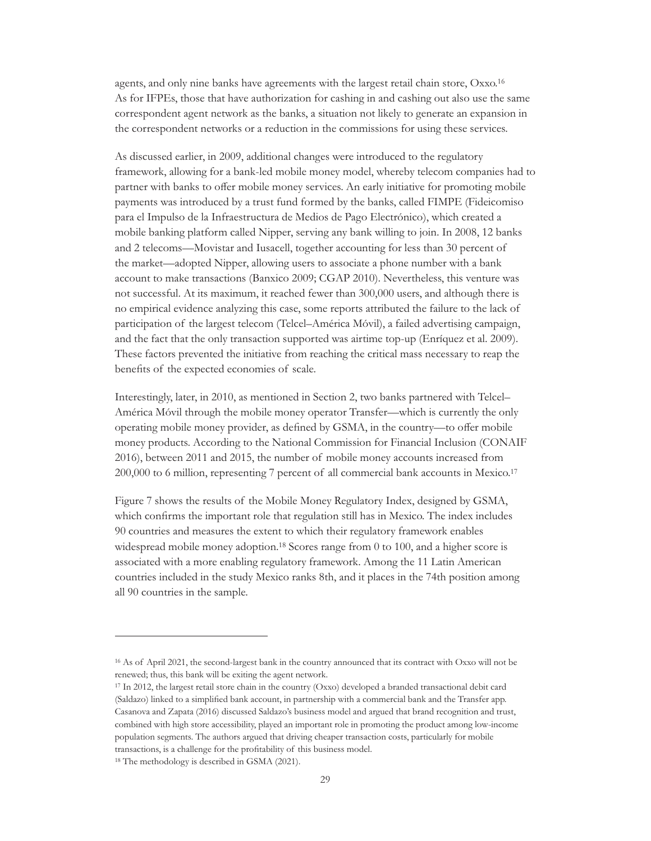agents, and only nine banks have agreements with the largest retail chain store, Oxxo.16 As for IFPEs, those that have authorization for cashing in and cashing out also use the same correspondent agent network as the banks, a situation not likely to generate an expansion in the correspondent networks or a reduction in the commissions for using these services.

As discussed earlier, in 2009, additional changes were introduced to the regulatory framework, allowing for a bank-led mobile money model, whereby telecom companies had to partner with banks to offer mobile money services. An early initiative for promoting mobile payments was introduced by a trust fund formed by the banks, called FIMPE (Fideicomiso para el Impulso de la Infraestructura de Medios de Pago Electrónico), which created a mobile banking platform called Nipper, serving any bank willing to join. In 2008, 12 banks and 2 telecoms—Movistar and Iusacell, together accounting for less than 30 percent of the market—adopted Nipper, allowing users to associate a phone number with a bank account to make transactions (Banxico 2009; CGAP 2010). Nevertheless, this venture was not successful. At its maximum, it reached fewer than 300,000 users, and although there is no empirical evidence analyzing this case, some reports attributed the failure to the lack of participation of the largest telecom (Telcel–América Móvil), a failed advertising campaign, and the fact that the only transaction supported was airtime top-up (Enríquez et al. 2009). These factors prevented the initiative from reaching the critical mass necessary to reap the benefits of the expected economies of scale.

Interestingly, later, in 2010, as mentioned in Section 2, two banks partnered with Telcel– América Móvil through the mobile money operator Transfer—which is currently the only operating mobile money provider, as defined by GSMA, in the country—to offer mobile money products. According to the National Commission for Financial Inclusion (CONAIF 2016), between 2011 and 2015, the number of mobile money accounts increased from 200,000 to 6 million, representing 7 percent of all commercial bank accounts in Mexico.17

Figure 7 shows the results of the Mobile Money Regulatory Index, designed by GSMA, which confirms the important role that regulation still has in Mexico. The index includes 90 countries and measures the extent to which their regulatory framework enables widespread mobile money adoption.<sup>18</sup> Scores range from 0 to 100, and a higher score is associated with a more enabling regulatory framework. Among the 11 Latin American countries included in the study Mexico ranks 8th, and it places in the 74th position among all 90 countries in the sample.

<sup>16</sup> As of April 2021, the second-largest bank in the country announced that its contract with Oxxo will not be renewed; thus, this bank will be exiting the agent network.

<sup>17</sup> In 2012, the largest retail store chain in the country (Oxxo) developed a branded transactional debit card (Saldazo) linked to a simplified bank account, in partnership with a commercial bank and the Transfer app. Casanova and Zapata (2016) discussed Saldazo's business model and argued that brand recognition and trust, combined with high store accessibility, played an important role in promoting the product among low-income population segments. The authors argued that driving cheaper transaction costs, particularly for mobile transactions, is a challenge for the profitability of this business model.

<sup>18</sup> The methodology is described in GSMA (2021).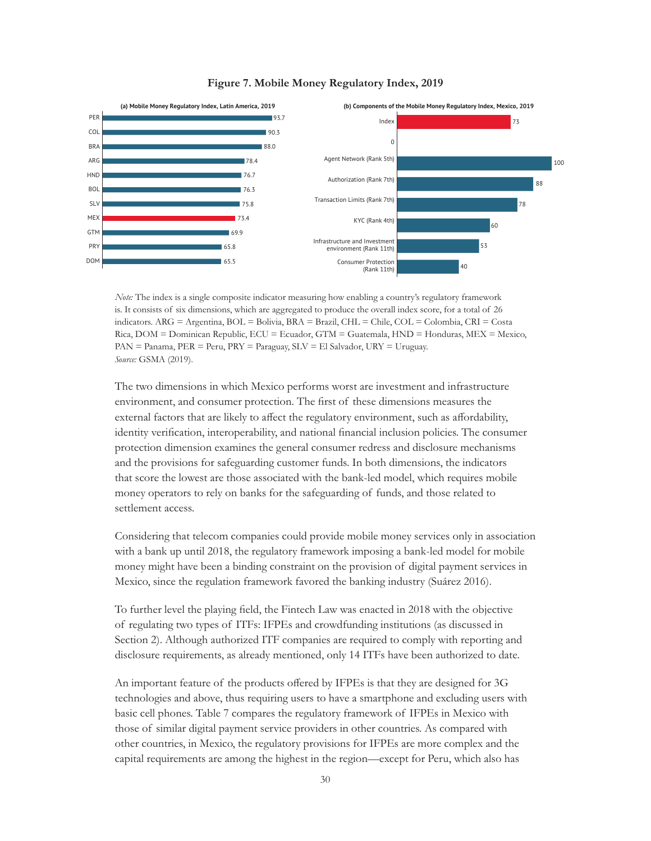<span id="page-34-0"></span>

#### **Figure 7. Mobile Money Regulatory Index, 2019**

*Note:* The index is a single composite indicator measuring how enabling a country's regulatory framework is. It consists of six dimensions, which are aggregated to produce the overall index score, for a total of 26 indicators. ARG = Argentina, BOL = Bolivia, BRA = Brazil, CHL = Chile, COL = Colombia, CRI = Costa Rica, DOM = Dominican Republic, ECU = Ecuador, GTM = Guatemala, HND = Honduras, MEX = Mexico, PAN = Panama, PER = Peru, PRY = Paraguay, SLV = El Salvador, URY = Uruguay. *Source:* GSMA (2019).

The two dimensions in which Mexico performs worst are investment and infrastructure environment, and consumer protection. The first of these dimensions measures the external factors that are likely to affect the regulatory environment, such as affordability, identity verification, interoperability, and national financial inclusion policies. The consumer protection dimension examines the general consumer redress and disclosure mechanisms and the provisions for safeguarding customer funds. In both dimensions, the indicators that score the lowest are those associated with the bank-led model, which requires mobile money operators to rely on banks for the safeguarding of funds, and those related to settlement access.

Considering that telecom companies could provide mobile money services only in association with a bank up until 2018, the regulatory framework imposing a bank-led model for mobile money might have been a binding constraint on the provision of digital payment services in Mexico, since the regulation framework favored the banking industry (Suárez 2016).

To further level the playing field, the Fintech Law was enacted in 2018 with the objective of regulating two types of ITFs: IFPEs and crowdfunding institutions (as discussed in Section 2). Although authorized ITF companies are required to comply with reporting and disclosure requirements, as already mentioned, only 14 ITFs have been authorized to date.

An important feature of the products offered by IFPEs is that they are designed for 3G technologies and above, thus requiring users to have a smartphone and excluding users with basic cell phones. Table 7 compares the regulatory framework of IFPEs in Mexico with those of similar digital payment service providers in other countries. As compared with other countries, in Mexico, the regulatory provisions for IFPEs are more complex and the capital requirements are among the highest in the region—except for Peru, which also has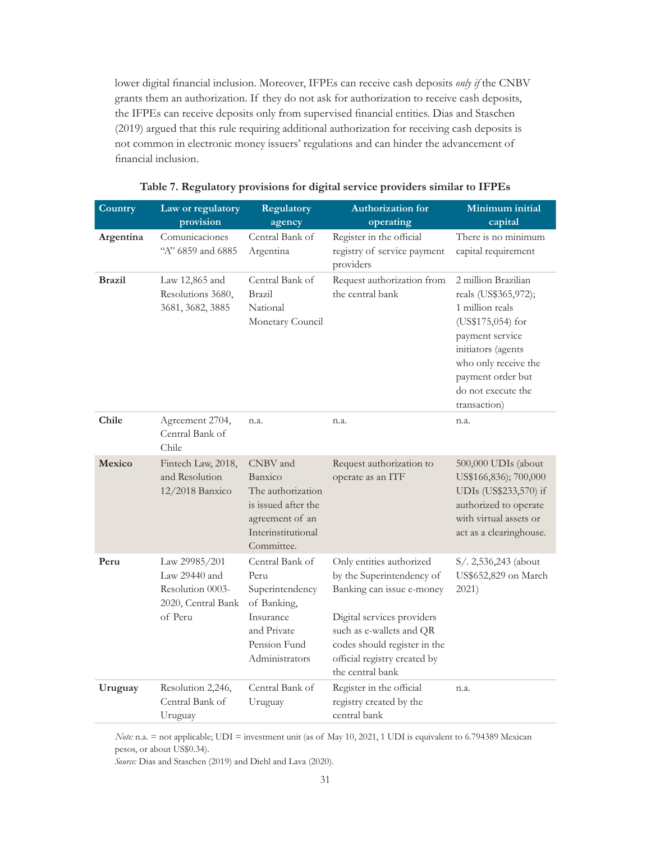<span id="page-35-0"></span>lower digital financial inclusion. Moreover, IFPEs can receive cash deposits *only if* the CNBV grants them an authorization. If they do not ask for authorization to receive cash deposits, the IFPEs can receive deposits only from supervised financial entities. Dias and Staschen (2019) argued that this rule requiring additional authorization for receiving cash deposits is not common in electronic money issuers' regulations and can hinder the advancement of financial inclusion.

| Country       | Law or regulatory<br>provision                                                        | Regulatory<br>agency                                                                                                    | Authorization for<br>operating                                                                                                                                                                                                   | Minimum initial<br>capital                                                                                                                                                                                      |  |
|---------------|---------------------------------------------------------------------------------------|-------------------------------------------------------------------------------------------------------------------------|----------------------------------------------------------------------------------------------------------------------------------------------------------------------------------------------------------------------------------|-----------------------------------------------------------------------------------------------------------------------------------------------------------------------------------------------------------------|--|
| Argentina     | Comunicaciones<br>"A" 6859 and 6885                                                   | Central Bank of<br>Argentina                                                                                            | Register in the official<br>registry of service payment<br>providers                                                                                                                                                             | There is no minimum<br>capital requirement                                                                                                                                                                      |  |
| <b>Brazil</b> | Law 12,865 and<br>Resolutions 3680,<br>3681, 3682, 3885                               | Central Bank of<br><b>Brazil</b><br>National<br>Monetary Council                                                        | Request authorization from<br>the central bank                                                                                                                                                                                   | 2 million Brazilian<br>reals (US\$365,972);<br>1 million reals<br>(US\$175,054) for<br>payment service<br>initiators (agents<br>who only receive the<br>payment order but<br>do not execute the<br>transaction) |  |
| Chile         | Agreement 2704,<br>Central Bank of<br>Chile                                           | n.a.                                                                                                                    | n.a.                                                                                                                                                                                                                             | n.a.                                                                                                                                                                                                            |  |
| <b>Mexico</b> | Fintech Law, 2018,<br>and Resolution<br>12/2018 Banxico                               | CNBV and<br>Banxico<br>The authorization<br>is issued after the<br>agreement of an<br>Interinstitutional<br>Committee.  | Request authorization to<br>operate as an ITF                                                                                                                                                                                    | 500,000 UDIs (about<br>US\$166,836); 700,000<br>UDIs (US\$233,570) if<br>authorized to operate<br>with virtual assets or<br>act as a clearinghouse.                                                             |  |
| Peru          | Law 29985/201<br>Law $29440$ and<br>Resolution 0003-<br>2020, Central Bank<br>of Peru | Central Bank of<br>Peru<br>Superintendency<br>of Banking,<br>Insurance<br>and Private<br>Pension Fund<br>Administrators | Only entities authorized<br>by the Superintendency of<br>Banking can issue e-money<br>Digital services providers<br>such as e-wallets and QR<br>codes should register in the<br>official registry created by<br>the central bank | S/. 2,536,243 (about<br>US\$652,829 on March<br>2021)                                                                                                                                                           |  |
| Uruguay       | Resolution 2,246,<br>Central Bank of<br>Uruguay                                       | Central Bank of<br>Uruguay                                                                                              | Register in the official<br>registry created by the<br>central bank                                                                                                                                                              | n.a.                                                                                                                                                                                                            |  |

| Table 7. Regulatory provisions for digital service providers similar to IFPEs |  |  |  |
|-------------------------------------------------------------------------------|--|--|--|
|                                                                               |  |  |  |

*Note:* n.a. = not applicable; UDI = investment unit (as of May 10, 2021, 1 UDI is equivalent to 6.794389 Mexican pesos, or about US\$0.34).

*Source:* Dias and Staschen (2019) and Diehl and Lava (2020).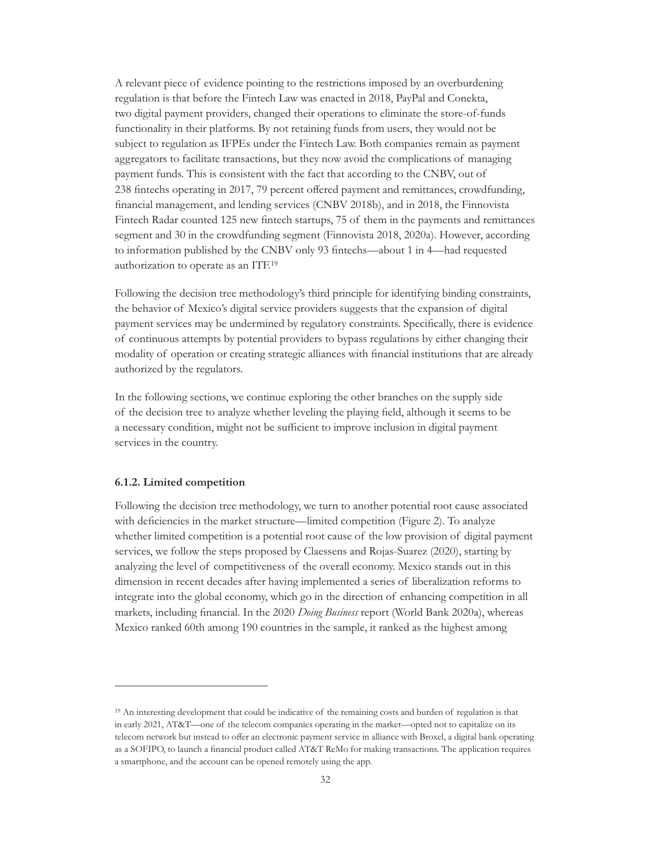A relevant piece of evidence pointing to the restrictions imposed by an overburdening regulation is that before the Fintech Law was enacted in 2018, PayPal and Conekta, two digital payment providers, changed their operations to eliminate the store-of-funds functionality in their platforms. By not retaining funds from users, they would not be subject to regulation as IFPEs under the Fintech Law. Both companies remain as payment aggregators to facilitate transactions, but they now avoid the complications of managing payment funds. This is consistent with the fact that according to the CNBV, out of 238 fintechs operating in 2017, 79 percent offered payment and remittances, crowdfunding, financial management, and lending services (CNBV 2018b), and in 2018, the Finnovista Fintech Radar counted 125 new fintech startups, 75 of them in the payments and remittances segment and 30 in the crowdfunding segment (Finnovista 2018, 2020a). However, according to information published by the CNBV only 93 fintechs—about 1 in 4—had requested authorization to operate as an ITF.19

Following the decision tree methodology's third principle for identifying binding constraints, the behavior of Mexico's digital service providers suggests that the expansion of digital payment services may be undermined by regulatory constraints. Specifically, there is evidence of continuous attempts by potential providers to bypass regulations by either changing their modality of operation or creating strategic alliances with financial institutions that are already authorized by the regulators.

In the following sections, we continue exploring the other branches on the supply side of the decision tree to analyze whether leveling the playing field, although it seems to be a necessary condition, might not be sufficient to improve inclusion in digital payment services in the country.

#### **6.1.2. Limited competition**

Following the decision tree methodology, we turn to another potential root cause associated with deficiencies in the market structure—limited competition (Figure 2). To analyze whether limited competition is a potential root cause of the low provision of digital payment services, we follow the steps proposed by Claessens and Rojas-Suarez (2020), starting by analyzing the level of competitiveness of the overall economy. Mexico stands out in this dimension in recent decades after having implemented a series of liberalization reforms to integrate into the global economy, which go in the direction of enhancing competition in all markets, including financial. In the 2020 *Doing Business* report (World Bank 2020a), whereas Mexico ranked 60th among 190 countries in the sample, it ranked as the highest among

<sup>19</sup> An interesting development that could be indicative of the remaining costs and burden of regulation is that in early 2021, AT&T—one of the telecom companies operating in the market—opted not to capitalize on its telecom network but instead to offer an electronic payment service in alliance with Broxel, a digital bank operating as a SOFIPO, to launch a financial product called AT&T ReMo for making transactions. The application requires a smartphone, and the account can be opened remotely using the app.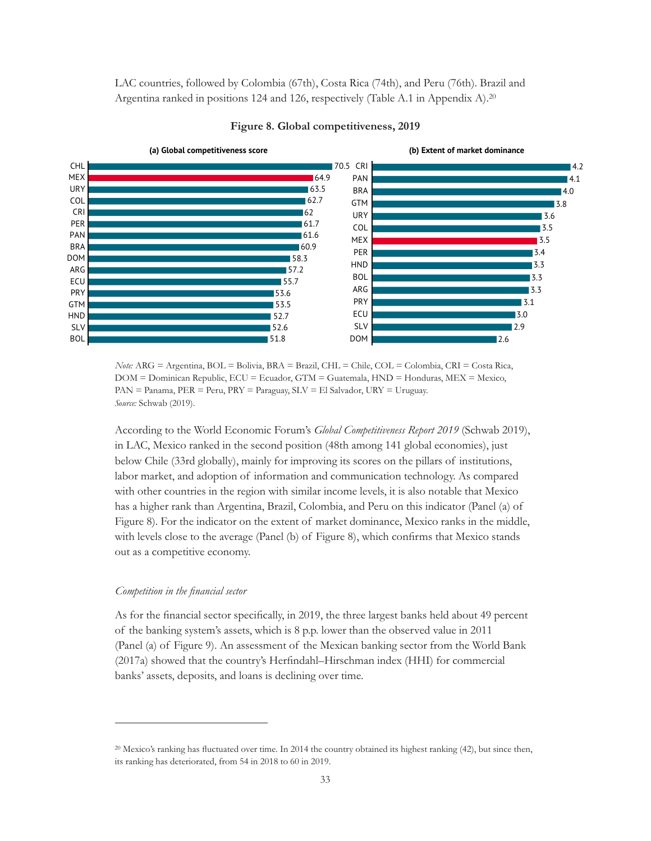LAC countries, followed by Colombia (67th), Costa Rica (74th), and Peru (76th). Brazil and Argentina ranked in positions 124 and 126, respectively (Table A.1 in Appendix A).<sup>20</sup>



#### **Figure 8. Global competitiveness, 2019**

*Note:* ARG = Argentina, BOL = Bolivia, BRA = Brazil, CHL = Chile, COL = Colombia, CRI = Costa Rica, DOM = Dominican Republic, ECU = Ecuador, GTM = Guatemala, HND = Honduras, MEX = Mexico, PAN = Panama, PER = Peru, PRY = Paraguay, SLV = El Salvador, URY = Uruguay. *Source:* Schwab (2019).

According to the World Economic Forum's *Global Competitiveness Report 2019* (Schwab 2019), in LAC, Mexico ranked in the second position (48th among 141 global economies), just below Chile (33rd globally), mainly for improving its scores on the pillars of institutions, labor market, and adoption of information and communication technology. As compared with other countries in the region with similar income levels, it is also notable that Mexico has a higher rank than Argentina, Brazil, Colombia, and Peru on this indicator (Panel (a) of Figure 8). For the indicator on the extent of market dominance, Mexico ranks in the middle, with levels close to the average (Panel (b) of Figure 8), which confirms that Mexico stands out as a competitive economy.

#### *Competition in the financial sector*

As for the financial sector specifically, in 2019, the three largest banks held about 49 percent of the banking system's assets, which is 8 p.p. lower than the observed value in 2011 (Panel (a) of Figure 9). An assessment of the Mexican banking sector from the World Bank (2017a) showed that the country's Herfindahl–Hirschman index (HHI) for commercial banks' assets, deposits, and loans is declining over time.

<sup>20</sup> Mexico's ranking has fluctuated over time. In 2014 the country obtained its highest ranking (42), but since then, its ranking has deteriorated, from 54 in 2018 to 60 in 2019.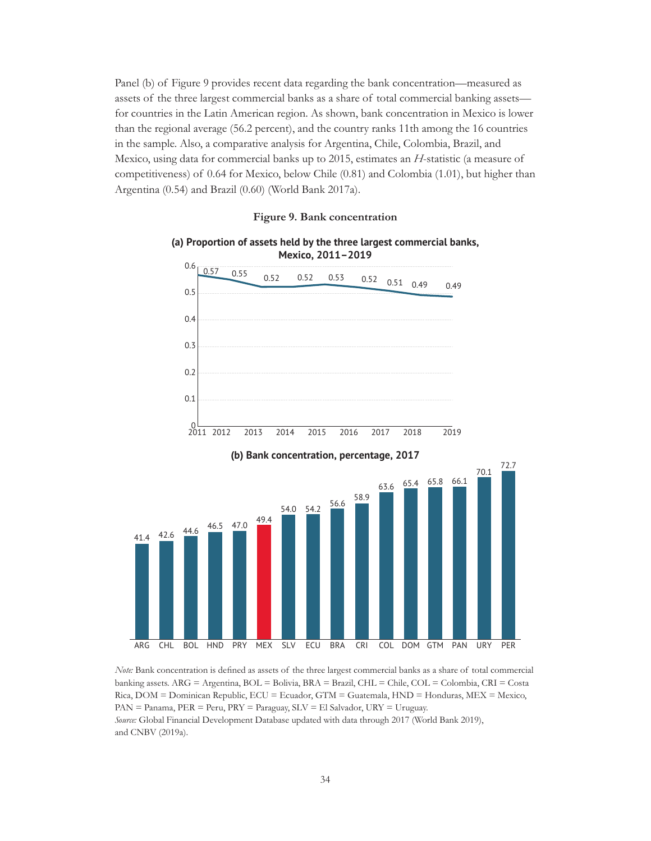Panel (b) of Figure 9 provides recent data regarding the bank concentration—measured as assets of the three largest commercial banks as a share of total commercial banking assets for countries in the Latin American region. As shown, bank concentration in Mexico is lower than the regional average (56.2 percent), and the country ranks 11th among the 16 countries in the sample. Also, a comparative analysis for Argentina, Chile, Colombia, Brazil, and Mexico, using data for commercial banks up to 2015, estimates an *H*-statistic (a measure of competitiveness) of 0.64 for Mexico, below Chile (0.81) and Colombia (1.01), but higher than Argentina (0.54) and Brazil (0.60) (World Bank 2017a).



*Note:* Bank concentration is defined as assets of the three largest commercial banks as a share of total commercial banking assets. ARG = Argentina, BOL = Bolivia, BRA = Brazil, CHL = Chile, COL = Colombia, CRI = Costa Rica, DOM = Dominican Republic, ECU = Ecuador, GTM = Guatemala, HND = Honduras, MEX = Mexico, PAN = Panama, PER = Peru, PRY = Paraguay, SLV = El Salvador, URY = Uruguay. *Source:* Global Financial Development Database updated with data through 2017 (World Bank 2019), and CNBV (2019a).

**Figure 9. Bank concentration**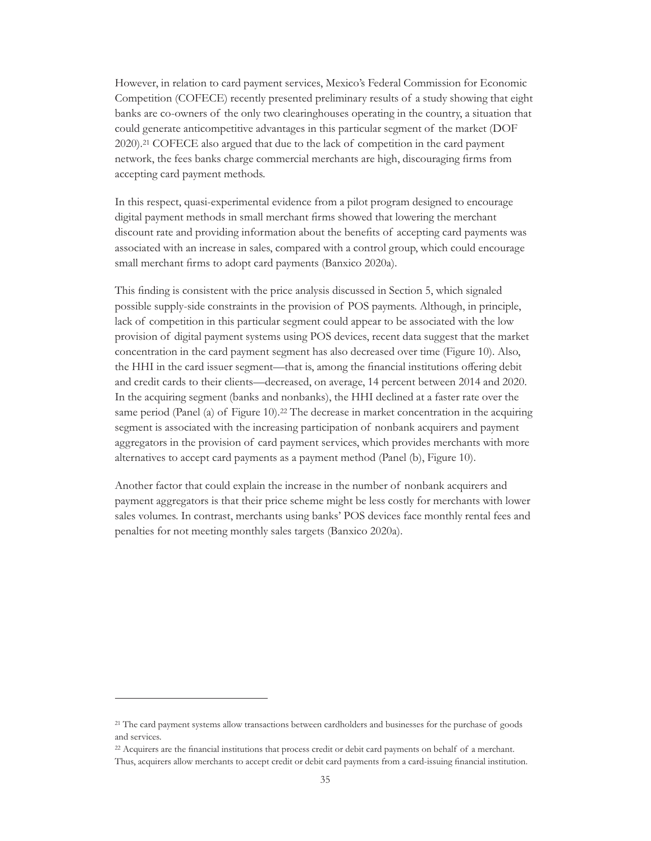However, in relation to card payment services, Mexico's Federal Commission for Economic Competition (COFECE) recently presented preliminary results of a study showing that eight banks are co-owners of the only two clearinghouses operating in the country, a situation that could generate anticompetitive advantages in this particular segment of the market (DOF 2020).21 COFECE also argued that due to the lack of competition in the card payment network, the fees banks charge commercial merchants are high, discouraging firms from accepting card payment methods.

In this respect, quasi-experimental evidence from a pilot program designed to encourage digital payment methods in small merchant firms showed that lowering the merchant discount rate and providing information about the benefits of accepting card payments was associated with an increase in sales, compared with a control group, which could encourage small merchant firms to adopt card payments (Banxico 2020a).

This finding is consistent with the price analysis discussed in Section 5, which signaled possible supply-side constraints in the provision of POS payments. Although, in principle, lack of competition in this particular segment could appear to be associated with the low provision of digital payment systems using POS devices, recent data suggest that the market concentration in the card payment segment has also decreased over time (Figure 10). Also, the HHI in the card issuer segment—that is, among the financial institutions offering debit and credit cards to their clients—decreased, on average, 14 percent between 2014 and 2020. In the acquiring segment (banks and nonbanks), the HHI declined at a faster rate over the same period (Panel (a) of Figure 10).<sup>22</sup> The decrease in market concentration in the acquiring segment is associated with the increasing participation of nonbank acquirers and payment aggregators in the provision of card payment services, which provides merchants with more alternatives to accept card payments as a payment method (Panel (b), Figure 10).

Another factor that could explain the increase in the number of nonbank acquirers and payment aggregators is that their price scheme might be less costly for merchants with lower sales volumes. In contrast, merchants using banks' POS devices face monthly rental fees and penalties for not meeting monthly sales targets (Banxico 2020a).

<sup>21</sup> The card payment systems allow transactions between cardholders and businesses for the purchase of goods and services.

<sup>22</sup> Acquirers are the financial institutions that process credit or debit card payments on behalf of a merchant. Thus, acquirers allow merchants to accept credit or debit card payments from a card-issuing financial institution.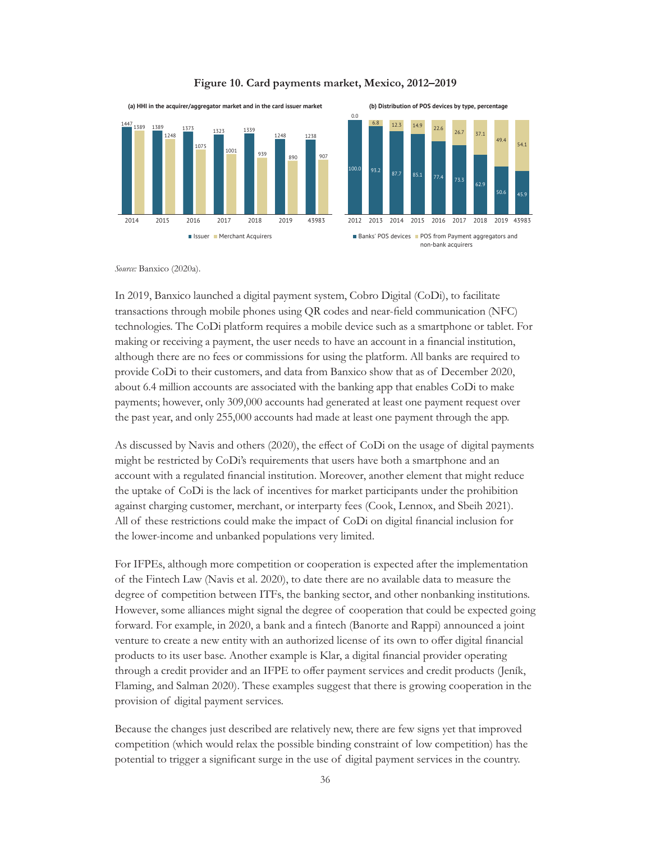

#### **Figure 10. Card payments market, Mexico, 2012–2019**

*Source:* Banxico (2020a).

In 2019, Banxico launched a digital payment system, Cobro Digital (CoDi), to facilitate transactions through mobile phones using QR codes and near-field communication (NFC) technologies. The CoDi platform requires a mobile device such as a smartphone or tablet. For making or receiving a payment, the user needs to have an account in a financial institution, although there are no fees or commissions for using the platform. All banks are required to provide CoDi to their customers, and data from Banxico show that as of December 2020, about 6.4 million accounts are associated with the banking app that enables CoDi to make payments; however, only 309,000 accounts had generated at least one payment request over the past year, and only 255,000 accounts had made at least one payment through the app.

As discussed by Navis and others (2020), the effect of CoDi on the usage of digital payments might be restricted by CoDi's requirements that users have both a smartphone and an account with a regulated financial institution. Moreover, another element that might reduce the uptake of CoDi is the lack of incentives for market participants under the prohibition against charging customer, merchant, or interparty fees (Cook, Lennox, and Sbeih 2021). All of these restrictions could make the impact of CoDi on digital financial inclusion for the lower-income and unbanked populations very limited.

For IFPEs, although more competition or cooperation is expected after the implementation of the Fintech Law (Navis et al. 2020), to date there are no available data to measure the degree of competition between ITFs, the banking sector, and other nonbanking institutions. However, some alliances might signal the degree of cooperation that could be expected going forward. For example, in 2020, a bank and a fintech (Banorte and Rappi) announced a joint venture to create a new entity with an authorized license of its own to offer digital financial products to its user base. Another example is Klar, a digital financial provider operating through a credit provider and an IFPE to offer payment services and credit products (Jeník, Flaming, and Salman 2020). These examples suggest that there is growing cooperation in the provision of digital payment services.

Because the changes just described are relatively new, there are few signs yet that improved competition (which would relax the possible binding constraint of low competition) has the potential to trigger a significant surge in the use of digital payment services in the country.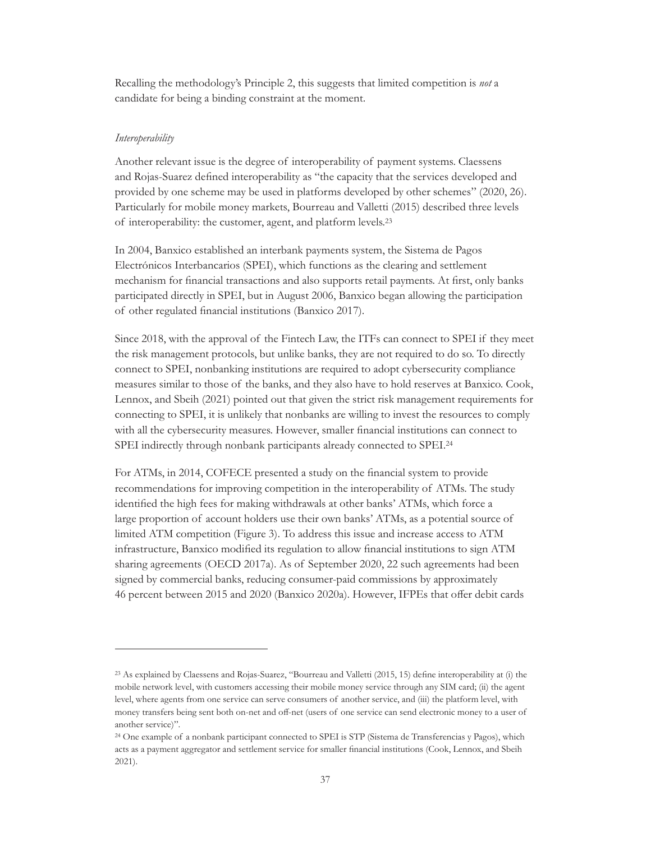Recalling the methodology's Principle 2, this suggests that limited competition is *not* a candidate for being a binding constraint at the moment.

#### *Interoperability*

Another relevant issue is the degree of interoperability of payment systems. Claessens and Rojas-Suarez defined interoperability as "the capacity that the services developed and provided by one scheme may be used in platforms developed by other schemes" (2020, 26). Particularly for mobile money markets, Bourreau and Valletti (2015) described three levels of interoperability: the customer, agent, and platform levels.23

In 2004, Banxico established an interbank payments system, the Sistema de Pagos Electrónicos Interbancarios (SPEI), which functions as the clearing and settlement mechanism for financial transactions and also supports retail payments. At first, only banks participated directly in SPEI, but in August 2006, Banxico began allowing the participation of other regulated financial institutions (Banxico 2017).

Since 2018, with the approval of the Fintech Law, the ITFs can connect to SPEI if they meet the risk management protocols, but unlike banks, they are not required to do so. To directly connect to SPEI, nonbanking institutions are required to adopt cybersecurity compliance measures similar to those of the banks, and they also have to hold reserves at Banxico. Cook, Lennox, and Sbeih (2021) pointed out that given the strict risk management requirements for connecting to SPEI, it is unlikely that nonbanks are willing to invest the resources to comply with all the cybersecurity measures. However, smaller financial institutions can connect to SPEI indirectly through nonbank participants already connected to SPEI.24

For ATMs, in 2014, COFECE presented a study on the financial system to provide recommendations for improving competition in the interoperability of ATMs. The study identified the high fees for making withdrawals at other banks' ATMs, which force a large proportion of account holders use their own banks' ATMs, as a potential source of limited ATM competition (Figure 3). To address this issue and increase access to ATM infrastructure, Banxico modified its regulation to allow financial institutions to sign ATM sharing agreements (OECD 2017a). As of September 2020, 22 such agreements had been signed by commercial banks, reducing consumer-paid commissions by approximately 46 percent between 2015 and 2020 (Banxico 2020a). However, IFPEs that offer debit cards

<sup>&</sup>lt;sup>23</sup> As explained by Claessens and Rojas-Suarez, "Bourreau and Valletti (2015, 15) define interoperability at (i) the mobile network level, with customers accessing their mobile money service through any SIM card; (ii) the agent level, where agents from one service can serve consumers of another service, and (iii) the platform level, with money transfers being sent both on-net and off-net (users of one service can send electronic money to a user of another service)".

<sup>&</sup>lt;sup>24</sup> One example of a nonbank participant connected to SPEI is STP (Sistema de Transferencias y Pagos), which acts as a payment aggregator and settlement service for smaller financial institutions (Cook, Lennox, and Sbeih 2021).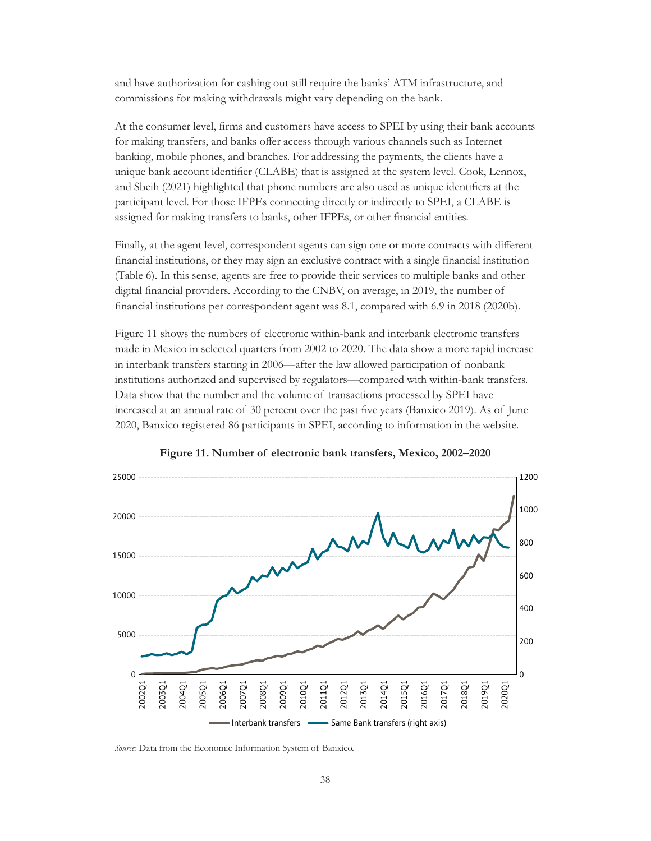and have authorization for cashing out still require the banks' ATM infrastructure, and commissions for making withdrawals might vary depending on the bank.

At the consumer level, firms and customers have access to SPEI by using their bank accounts for making transfers, and banks offer access through various channels such as Internet banking, mobile phones, and branches. For addressing the payments, the clients have a unique bank account identifier (CLABE) that is assigned at the system level. Cook, Lennox, and Sbeih (2021) highlighted that phone numbers are also used as unique identifiers at the participant level. For those IFPEs connecting directly or indirectly to SPEI, a CLABE is assigned for making transfers to banks, other IFPEs, or other financial entities.

Finally, at the agent level, correspondent agents can sign one or more contracts with different financial institutions, or they may sign an exclusive contract with a single financial institution (Table 6). In this sense, agents are free to provide their services to multiple banks and other digital financial providers. According to the CNBV, on average, in 2019, the number of financial institutions per correspondent agent was 8.1, compared with 6.9 in 2018 (2020b).

Figure 11 shows the numbers of electronic within-bank and interbank electronic transfers made in Mexico in selected quarters from 2002 to 2020. The data show a more rapid increase in interbank transfers starting in 2006—after the law allowed participation of nonbank institutions authorized and supervised by regulators—compared with within-bank transfers. Data show that the number and the volume of transactions processed by SPEI have increased at an annual rate of 30 percent over the past five years (Banxico 2019). As of June 2020, Banxico registered 86 participants in SPEI, according to information in the website.



**Figure 11. Number of electronic bank transfers, Mexico, 2002–2020**

*Source:* Data from the Economic Information System of Banxico.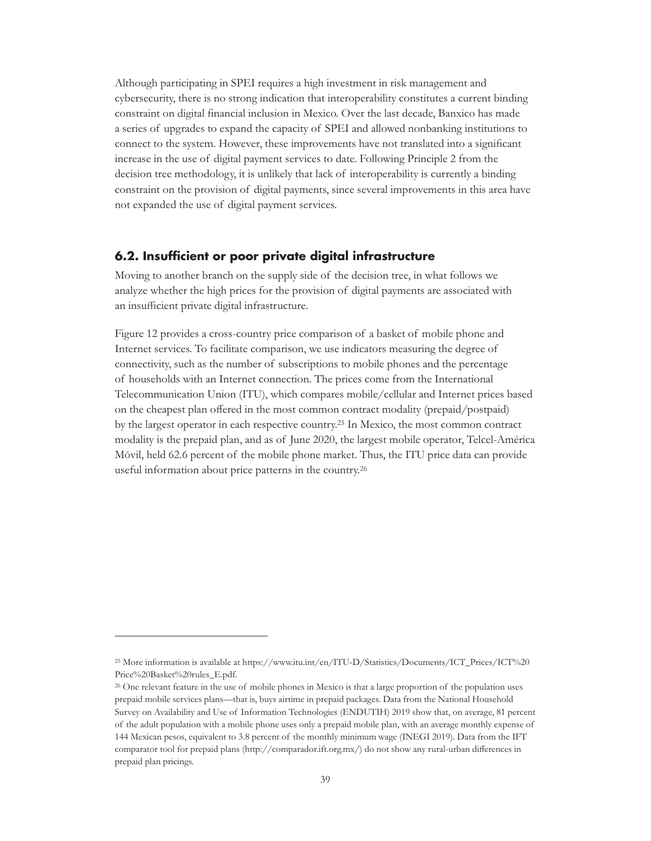Although participating in SPEI requires a high investment in risk management and cybersecurity, there is no strong indication that interoperability constitutes a current binding constraint on digital financial inclusion in Mexico. Over the last decade, Banxico has made a series of upgrades to expand the capacity of SPEI and allowed nonbanking institutions to connect to the system. However, these improvements have not translated into a significant increase in the use of digital payment services to date. Following Principle 2 from the decision tree methodology, it is unlikely that lack of interoperability is currently a binding constraint on the provision of digital payments, since several improvements in this area have not expanded the use of digital payment services.

### **6.2. Insufficient or poor private digital infrastructure**

Moving to another branch on the supply side of the decision tree, in what follows we analyze whether the high prices for the provision of digital payments are associated with an insufficient private digital infrastructure.

Figure 12 provides a cross-country price comparison of a basket of mobile phone and Internet services. To facilitate comparison, we use indicators measuring the degree of connectivity, such as the number of subscriptions to mobile phones and the percentage of households with an Internet connection. The prices come from the International Telecommunication Union (ITU), which compares mobile/cellular and Internet prices based on the cheapest plan offered in the most common contract modality (prepaid/postpaid) by the largest operator in each respective country.25 In Mexico, the most common contract modality is the prepaid plan, and as of June 2020, the largest mobile operator, Telcel-América Móvil, held 62.6 percent of the mobile phone market. Thus, the ITU price data can provide useful information about price patterns in the country.26

<sup>&</sup>lt;sup>25</sup> More information is available at [https://www.itu.int/en/ITU-D/Statistics/Documents/ICT\\_Prices/ICT%20](https://www.itu.int/en/ITU-D/Statistics/Documents/ICT_Prices/ICT Price Basket rules_E.pdf) [Price%20Basket%20rules\\_E.pdf](https://www.itu.int/en/ITU-D/Statistics/Documents/ICT_Prices/ICT Price Basket rules_E.pdf).

<sup>&</sup>lt;sup>26</sup> One relevant feature in the use of mobile phones in Mexico is that a large proportion of the population uses prepaid mobile services plans—that is, buys airtime in prepaid packages. Data from the National Household Survey on Availability and Use of Information Technologies (ENDUTIH) 2019 show that, on average, 81 percent of the adult population with a mobile phone uses only a prepaid mobile plan, with an average monthly expense of 144 Mexican pesos, equivalent to 3.8 percent of the monthly minimum wage (INEGI 2019). Data from the IFT comparator tool for prepaid plans (http://comparador.ift.org.mx/) do not show any rural-urban differences in prepaid plan pricings.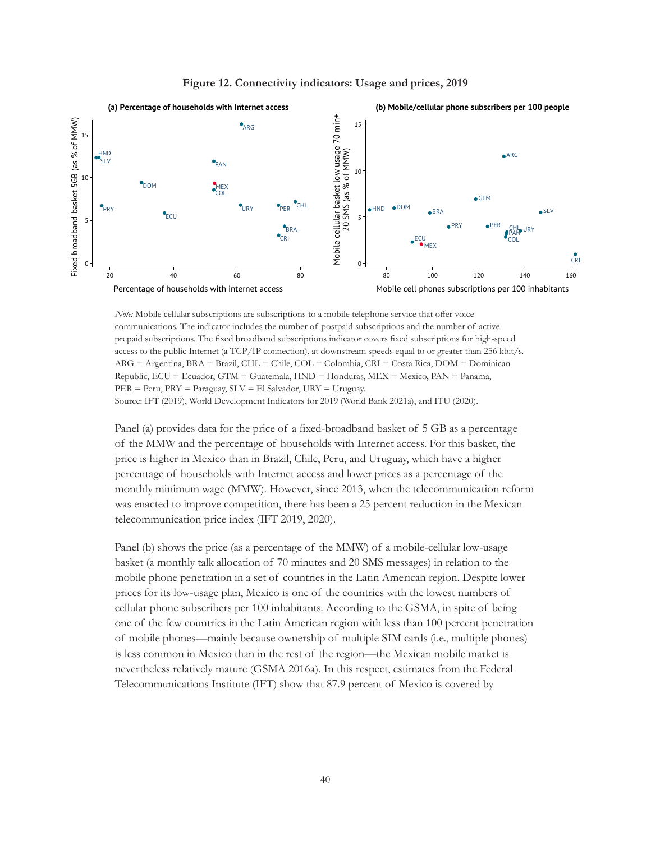

*Note:* Mobile cellular subscriptions are subscriptions to a mobile telephone service that offer voice communications. The indicator includes the number of postpaid subscriptions and the number of active prepaid subscriptions. The fixed broadband subscriptions indicator covers fixed subscriptions for high-speed access to the public Internet (a TCP/IP connection), at downstream speeds equal to or greater than 256 kbit/s. ARG = Argentina, BRA = Brazil, CHL = Chile, COL = Colombia, CRI = Costa Rica, DOM = Dominican Republic,  $ECU = Ecuador$ ,  $GTM = Guatemala$ ,  $HND = Honduras$ ,  $MEX = Mexico$ ,  $PAN = Panama$ ,  $PER = Peru$ ,  $PRY = Paraguay$ ,  $SLV = El$  Salvador,  $URY = Uruguay$ . Source: IFT (2019), World Development Indicators for 2019 (World Bank 2021a), and ITU (2020).

Panel (a) provides data for the price of a fixed-broadband basket of 5 GB as a percentage of the MMW and the percentage of households with Internet access. For this basket, the price is higher in Mexico than in Brazil, Chile, Peru, and Uruguay, which have a higher percentage of households with Internet access and lower prices as a percentage of the monthly minimum wage (MMW). However, since 2013, when the telecommunication reform was enacted to improve competition, there has been a 25 percent reduction in the Mexican telecommunication price index (IFT 2019, 2020).

Panel (b) shows the price (as a percentage of the MMW) of a mobile-cellular low-usage basket (a monthly talk allocation of 70 minutes and 20 SMS messages) in relation to the mobile phone penetration in a set of countries in the Latin American region. Despite lower prices for its low-usage plan, Mexico is one of the countries with the lowest numbers of cellular phone subscribers per 100 inhabitants. According to the GSMA, in spite of being one of the few countries in the Latin American region with less than 100 percent penetration of mobile phones—mainly because ownership of multiple SIM cards (i.e., multiple phones) is less common in Mexico than in the rest of the region—the Mexican mobile market is nevertheless relatively mature (GSMA 2016a). In this respect, estimates from the Federal Telecommunications Institute (IFT) show that 87.9 percent of Mexico is covered by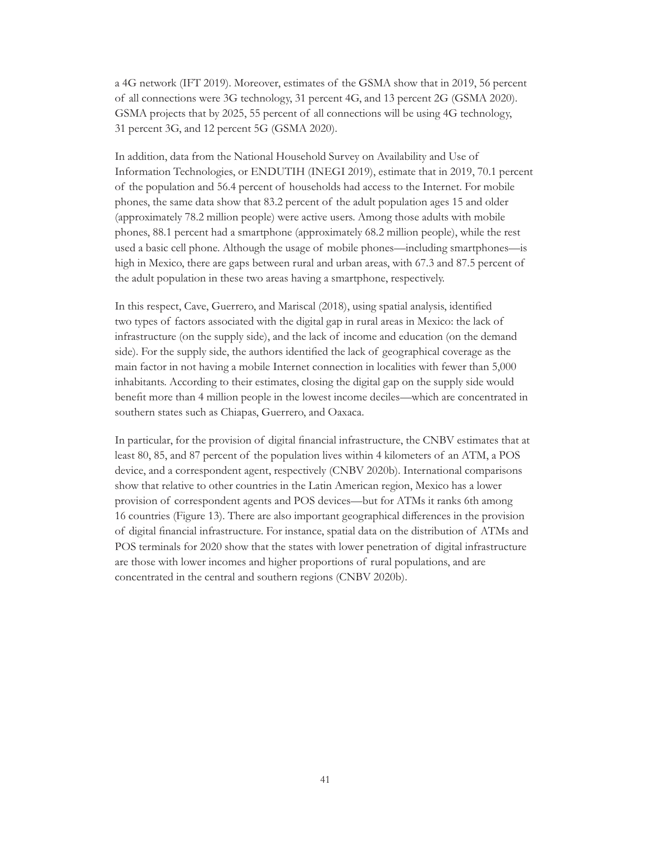a 4G network (IFT 2019). Moreover, estimates of the GSMA show that in 2019, 56 percent of all connections were 3G technology, 31 percent 4G, and 13 percent 2G (GSMA 2020). GSMA projects that by 2025, 55 percent of all connections will be using 4G technology, 31 percent 3G, and 12 percent 5G (GSMA 2020).

In addition, data from the National Household Survey on Availability and Use of Information Technologies, or ENDUTIH (INEGI 2019), estimate that in 2019, 70.1 percent of the population and 56.4 percent of households had access to the Internet. For mobile phones, the same data show that 83.2 percent of the adult population ages 15 and older (approximately 78.2 million people) were active users. Among those adults with mobile phones, 88.1 percent had a smartphone (approximately 68.2 million people), while the rest used a basic cell phone. Although the usage of mobile phones—including smartphones—is high in Mexico, there are gaps between rural and urban areas, with 67.3 and 87.5 percent of the adult population in these two areas having a smartphone, respectively.

In this respect, Cave, Guerrero, and Mariscal (2018), using spatial analysis, identified two types of factors associated with the digital gap in rural areas in Mexico: the lack of infrastructure (on the supply side), and the lack of income and education (on the demand side). For the supply side, the authors identified the lack of geographical coverage as the main factor in not having a mobile Internet connection in localities with fewer than 5,000 inhabitants. According to their estimates, closing the digital gap on the supply side would benefit more than 4 million people in the lowest income deciles—which are concentrated in southern states such as Chiapas, Guerrero, and Oaxaca.

In particular, for the provision of digital financial infrastructure, the CNBV estimates that at least 80, 85, and 87 percent of the population lives within 4 kilometers of an ATM, a POS device, and a correspondent agent, respectively (CNBV 2020b). International comparisons show that relative to other countries in the Latin American region, Mexico has a lower provision of correspondent agents and POS devices—but for ATMs it ranks 6th among 16 countries (Figure 13). There are also important geographical differences in the provision of digital financial infrastructure. For instance, spatial data on the distribution of ATMs and POS terminals for 2020 show that the states with lower penetration of digital infrastructure are those with lower incomes and higher proportions of rural populations, and are concentrated in the central and southern regions (CNBV 2020b).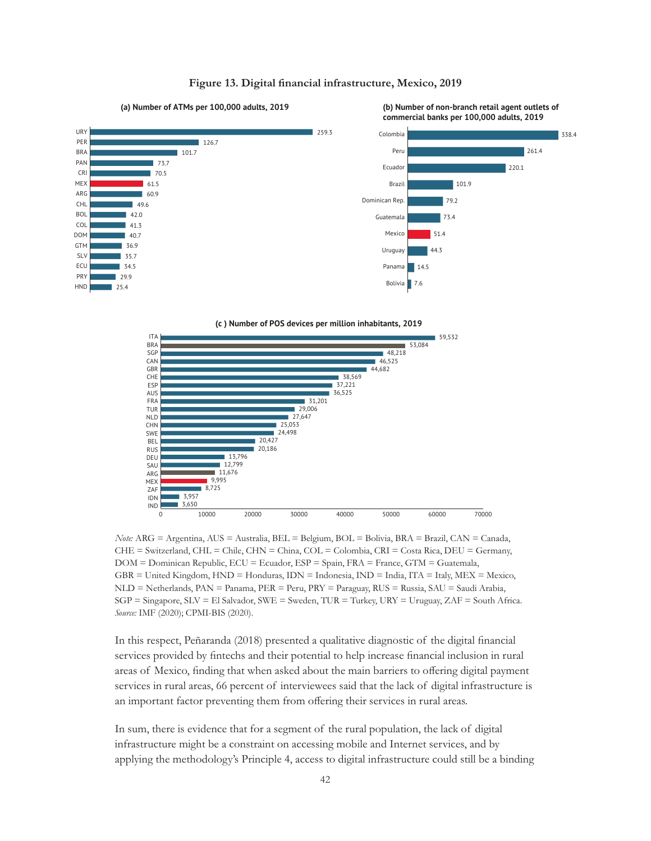

#### **Figure 13. Digital financial infrastructure, Mexico, 2019**





*Note:* ARG = Argentina, AUS = Australia, BEL = Belgium, BOL = Bolivia, BRA = Brazil, CAN = Canada, CHE = Switzerland, CHL = Chile, CHN = China, COL = Colombia, CRI = Costa Rica, DEU = Germany, DOM = Dominican Republic, ECU = Ecuador, ESP = Spain, FRA = France, GTM = Guatemala, GBR = United Kingdom, HND = Honduras, IDN = Indonesia, IND = India, ITA = Italy, MEX = Mexico, NLD = Netherlands, PAN = Panama, PER = Peru, PRY = Paraguay, RUS = Russia, SAU = Saudi Arabia, SGP = Singapore, SLV = El Salvador, SWE = Sweden, TUR = Turkey, URY = Uruguay, ZAF = South Africa. *Source:* IMF (2020); CPMI-BIS (2020).

In this respect, Peñaranda (2018) presented a qualitative diagnostic of the digital financial services provided by fintechs and their potential to help increase financial inclusion in rural areas of Mexico, finding that when asked about the main barriers to offering digital payment services in rural areas, 66 percent of interviewees said that the lack of digital infrastructure is an important factor preventing them from offering their services in rural areas.

In sum, there is evidence that for a segment of the rural population, the lack of digital infrastructure might be a constraint on accessing mobile and Internet services, and by applying the methodology's Principle 4, access to digital infrastructure could still be a binding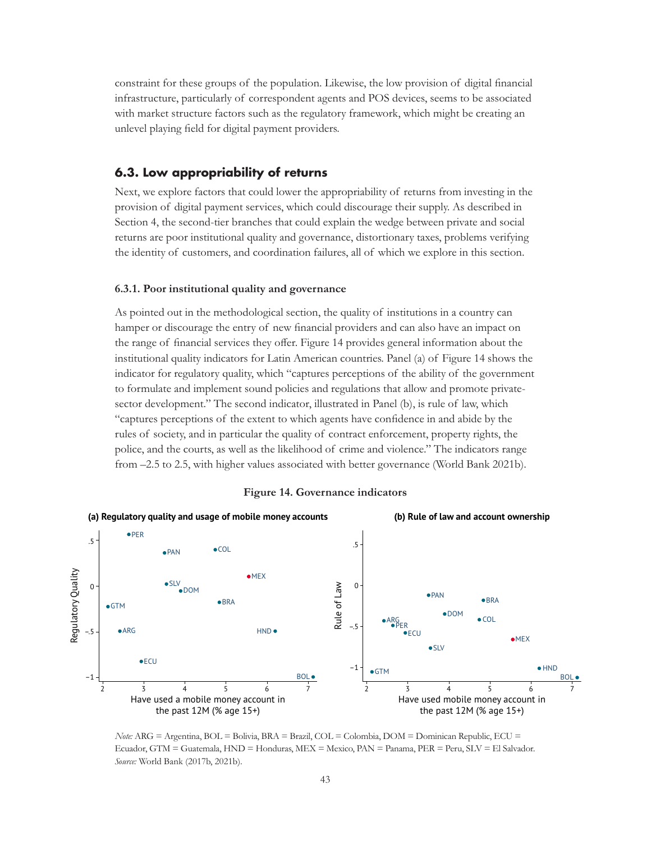constraint for these groups of the population. Likewise, the low provision of digital financial infrastructure, particularly of correspondent agents and POS devices, seems to be associated with market structure factors such as the regulatory framework, which might be creating an unlevel playing field for digital payment providers.

### **6.3. Low appropriability of returns**

Next, we explore factors that could lower the appropriability of returns from investing in the provision of digital payment services, which could discourage their supply. As described in Section 4, the second-tier branches that could explain the wedge between private and social returns are poor institutional quality and governance, distortionary taxes, problems verifying the identity of customers, and coordination failures, all of which we explore in this section.

### **6.3.1. Poor institutional quality and governance**

As pointed out in the methodological section, the quality of institutions in a country can hamper or discourage the entry of new financial providers and can also have an impact on the range of financial services they offer. Figure 14 provides general information about the institutional quality indicators for Latin American countries. Panel (a) of Figure 14 shows the indicator for regulatory quality, which "captures perceptions of the ability of the government to formulate and implement sound policies and regulations that allow and promote privatesector development." The second indicator, illustrated in Panel (b), is rule of law, which "captures perceptions of the extent to which agents have confidence in and abide by the rules of society, and in particular the quality of contract enforcement, property rights, the police, and the courts, as well as the likelihood of crime and violence." The indicators range from –2.5 to 2.5, with higher values associated with better governance (World Bank 2021b).



#### **Figure 14. Governance indicators**

*Note:* ARG = Argentina, BOL = Bolivia, BRA = Brazil, COL = Colombia, DOM = Dominican Republic, ECU = Ecuador, GTM = Guatemala, HND = Honduras, MEX = Mexico, PAN = Panama, PER = Peru, SLV = El Salvador. *Source:* World Bank (2017b, 2021b).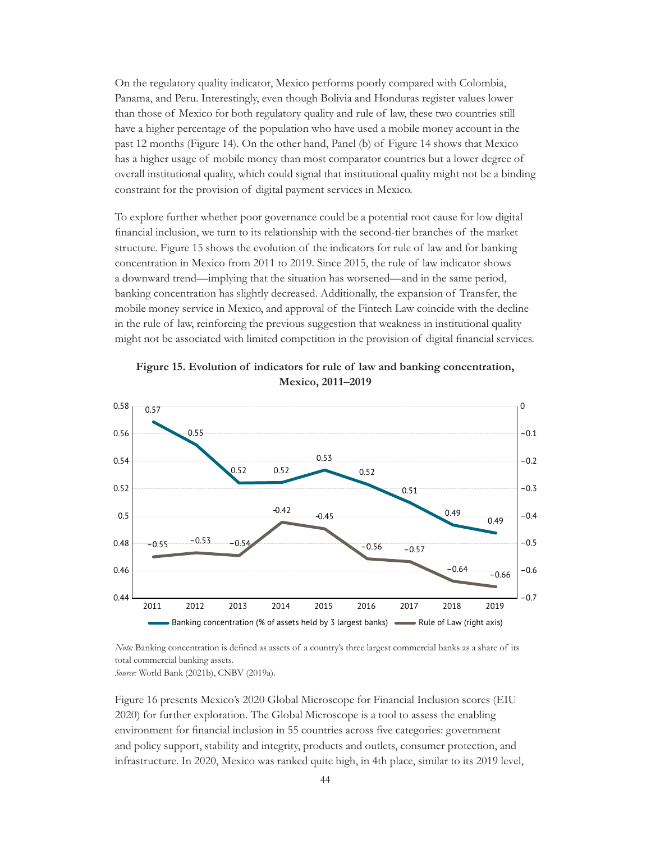On the regulatory quality indicator, Mexico performs poorly compared with Colombia, Panama, and Peru. Interestingly, even though Bolivia and Honduras register values lower than those of Mexico for both regulatory quality and rule of law, these two countries still have a higher percentage of the population who have used a mobile money account in the past 12 months (Figure 14). On the other hand, Panel (b) of Figure 14 shows that Mexico has a higher usage of mobile money than most comparator countries but a lower degree of overall institutional quality, which could signal that institutional quality might not be a binding constraint for the provision of digital payment services in Mexico.

To explore further whether poor governance could be a potential root cause for low digital financial inclusion, we turn to its relationship with the second-tier branches of the market structure. Figure 15 shows the evolution of the indicators for rule of law and for banking concentration in Mexico from 2011 to 2019. Since 2015, the rule of law indicator shows a downward trend—implying that the situation has worsened—and in the same period, banking concentration has slightly decreased. Additionally, the expansion of Transfer, the mobile money service in Mexico, and approval of the Fintech Law coincide with the decline in the rule of law, reinforcing the previous suggestion that weakness in institutional quality might not be associated with limited competition in the provision of digital financial services.



**Figure 15. Evolution of indicators for rule of law and banking concentration, Mexico, 2011–2019**

*Note:* Banking concentration is defined as assets of a country's three largest commercial banks as a share of its total commercial banking assets. *Source:* World Bank (2021b), CNBV (2019a).

Figure 16 presents Mexico's 2020 Global Microscope for Financial Inclusion scores (EIU 2020) for further exploration. The Global Microscope is a tool to assess the enabling environment for financial inclusion in 55 countries across five categories: government and policy support, stability and integrity, products and outlets, consumer protection, and infrastructure. In 2020, Mexico was ranked quite high, in 4th place, similar to its 2019 level,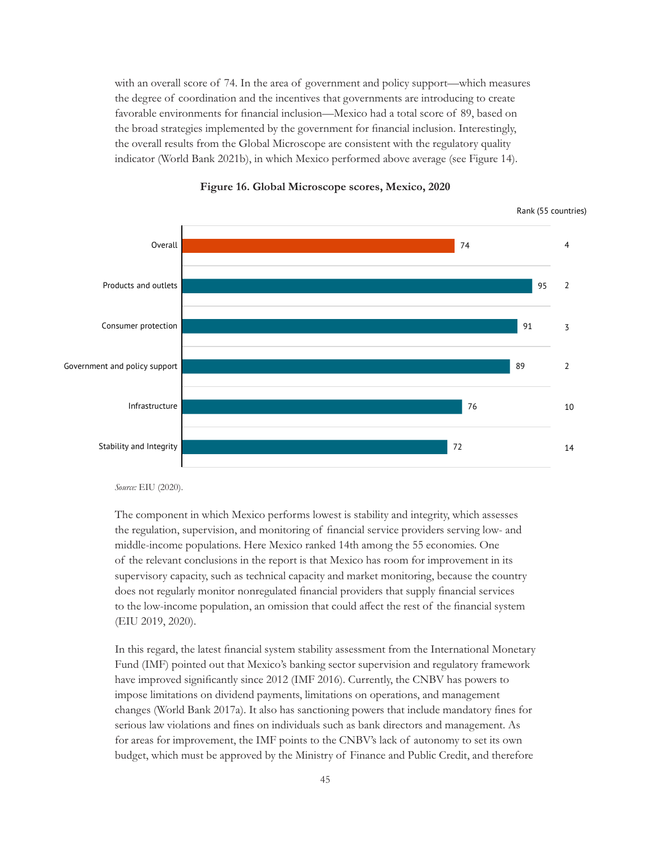with an overall score of 74. In the area of government and policy support—which measures the degree of coordination and the incentives that governments are introducing to create favorable environments for financial inclusion—Mexico had a total score of 89, based on the broad strategies implemented by the government for financial inclusion. Interestingly, the overall results from the Global Microscope are consistent with the regulatory quality indicator (World Bank 2021b), in which Mexico performed above average (see Figure 14).





*Source:* EIU (2020).

The component in which Mexico performs lowest is stability and integrity, which assesses the regulation, supervision, and monitoring of financial service providers serving low- and middle-income populations. Here Mexico ranked 14th among the 55 economies. One of the relevant conclusions in the report is that Mexico has room for improvement in its supervisory capacity, such as technical capacity and market monitoring, because the country does not regularly monitor nonregulated financial providers that supply financial services to the low-income population, an omission that could affect the rest of the financial system (EIU 2019, 2020).

In this regard, the latest financial system stability assessment from the International Monetary Fund (IMF) pointed out that Mexico's banking sector supervision and regulatory framework have improved significantly since 2012 (IMF 2016). Currently, the CNBV has powers to impose limitations on dividend payments, limitations on operations, and management changes (World Bank 2017a). It also has sanctioning powers that include mandatory fines for serious law violations and fines on individuals such as bank directors and management. As for areas for improvement, the IMF points to the CNBV's lack of autonomy to set its own budget, which must be approved by the Ministry of Finance and Public Credit, and therefore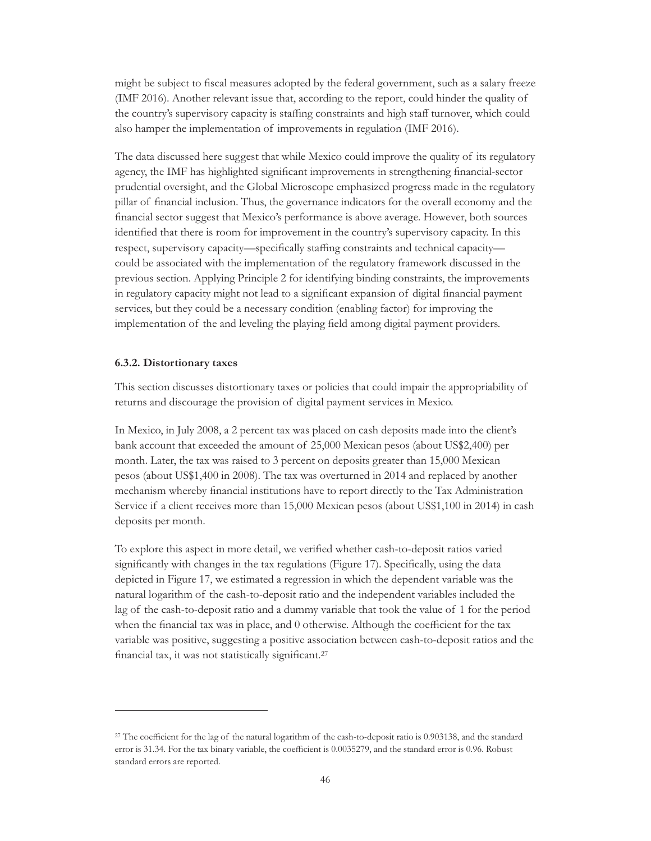might be subject to fiscal measures adopted by the federal government, such as a salary freeze (IMF 2016). Another relevant issue that, according to the report, could hinder the quality of the country's supervisory capacity is staffing constraints and high staff turnover, which could also hamper the implementation of improvements in regulation (IMF 2016).

The data discussed here suggest that while Mexico could improve the quality of its regulatory agency, the IMF has highlighted significant improvements in strengthening financial-sector prudential oversight, and the Global Microscope emphasized progress made in the regulatory pillar of financial inclusion. Thus, the governance indicators for the overall economy and the financial sector suggest that Mexico's performance is above average. However, both sources identified that there is room for improvement in the country's supervisory capacity. In this respect, supervisory capacity—specifically staffing constraints and technical capacity could be associated with the implementation of the regulatory framework discussed in the previous section. Applying Principle 2 for identifying binding constraints, the improvements in regulatory capacity might not lead to a significant expansion of digital financial payment services, but they could be a necessary condition (enabling factor) for improving the implementation of the and leveling the playing field among digital payment providers.

#### **6.3.2. Distortionary taxes**

This section discusses distortionary taxes or policies that could impair the appropriability of returns and discourage the provision of digital payment services in Mexico.

In Mexico, in July 2008, a 2 percent tax was placed on cash deposits made into the client's bank account that exceeded the amount of 25,000 Mexican pesos (about US\$2,400) per month. Later, the tax was raised to 3 percent on deposits greater than 15,000 Mexican pesos (about US\$1,400 in 2008). The tax was overturned in 2014 and replaced by another mechanism whereby financial institutions have to report directly to the Tax Administration Service if a client receives more than 15,000 Mexican pesos (about US\$1,100 in 2014) in cash deposits per month.

To explore this aspect in more detail, we verified whether cash-to-deposit ratios varied significantly with changes in the tax regulations (Figure 17). Specifically, using the data depicted in Figure 17, we estimated a regression in which the dependent variable was the natural logarithm of the cash-to-deposit ratio and the independent variables included the lag of the cash-to-deposit ratio and a dummy variable that took the value of 1 for the period when the financial tax was in place, and 0 otherwise. Although the coefficient for the tax variable was positive, suggesting a positive association between cash-to-deposit ratios and the financial tax, it was not statistically significant.27

<sup>&</sup>lt;sup>27</sup> The coefficient for the lag of the natural logarithm of the cash-to-deposit ratio is 0.903138, and the standard error is 31.34. For the tax binary variable, the coefficient is 0.0035279, and the standard error is 0.96. Robust standard errors are reported.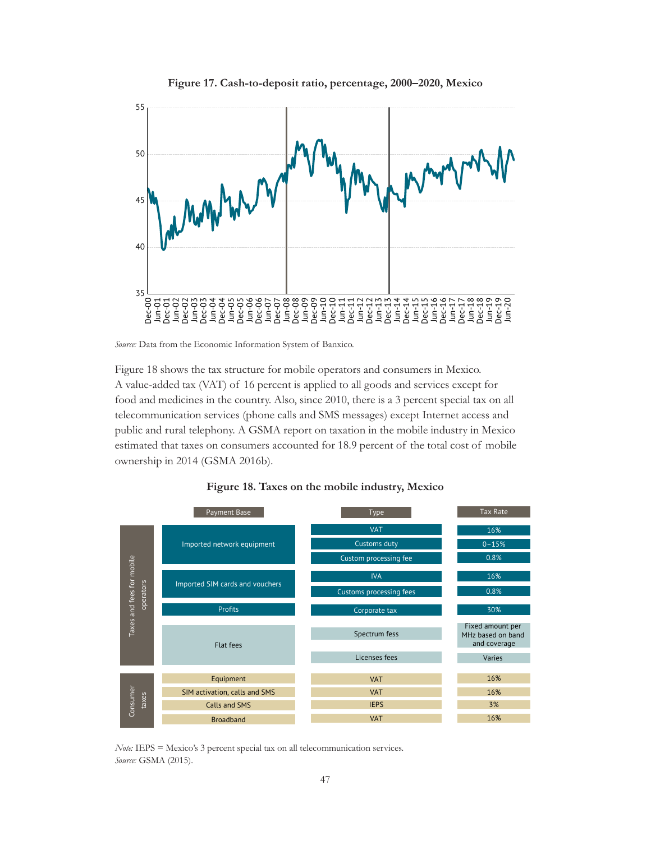



*Source:* Data from the Economic Information System of Banxico.

Figure 18 shows the tax structure for mobile operators and consumers in Mexico. A value-added tax (VAT) of 16 percent is applied to all goods and services except for food and medicines in the country. Also, since 2010, there is a 3 percent special tax on all telecommunication services (phone calls and SMS messages) except Internet access and public and rural telephony. A GSMA report on taxation in the mobile industry in Mexico estimated that taxes on consumers accounted for 18.9 percent of the total cost of mobile ownership in 2014 (GSMA 2016b).





*Note:* IEPS = Mexico's 3 percent special tax on all telecommunication services. *Source:* GSMA (2015).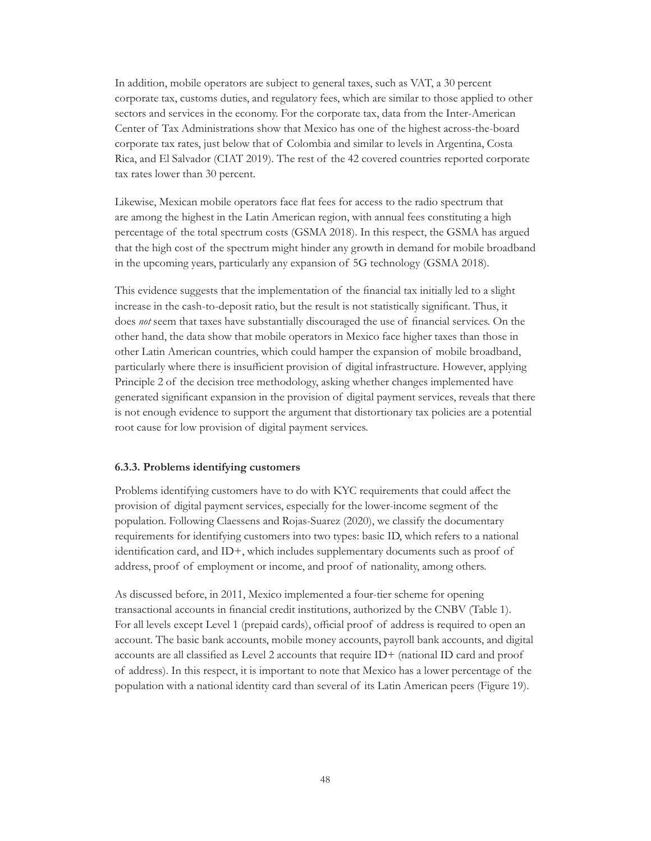In addition, mobile operators are subject to general taxes, such as VAT, a 30 percent corporate tax, customs duties, and regulatory fees, which are similar to those applied to other sectors and services in the economy. For the corporate tax, data from the Inter-American Center of Tax Administrations show that Mexico has one of the highest across-the-board corporate tax rates, just below that of Colombia and similar to levels in Argentina, Costa Rica, and El Salvador (CIAT 2019). The rest of the 42 covered countries reported corporate tax rates lower than 30 percent.

Likewise, Mexican mobile operators face flat fees for access to the radio spectrum that are among the highest in the Latin American region, with annual fees constituting a high percentage of the total spectrum costs (GSMA 2018). In this respect, the GSMA has argued that the high cost of the spectrum might hinder any growth in demand for mobile broadband in the upcoming years, particularly any expansion of 5G technology (GSMA 2018).

This evidence suggests that the implementation of the financial tax initially led to a slight increase in the cash-to-deposit ratio, but the result is not statistically significant. Thus, it does *not* seem that taxes have substantially discouraged the use of financial services. On the other hand, the data show that mobile operators in Mexico face higher taxes than those in other Latin American countries, which could hamper the expansion of mobile broadband, particularly where there is insufficient provision of digital infrastructure. However, applying Principle 2 of the decision tree methodology, asking whether changes implemented have generated significant expansion in the provision of digital payment services, reveals that there is not enough evidence to support the argument that distortionary tax policies are a potential root cause for low provision of digital payment services.

### **6.3.3. Problems identifying customers**

Problems identifying customers have to do with KYC requirements that could affect the provision of digital payment services, especially for the lower-income segment of the population. Following Claessens and Rojas-Suarez (2020), we classify the documentary requirements for identifying customers into two types: basic ID, which refers to a national identification card, and ID+, which includes supplementary documents such as proof of address, proof of employment or income, and proof of nationality, among others.

As discussed before, in 2011, Mexico implemented a four-tier scheme for opening transactional accounts in financial credit institutions, authorized by the CNBV (Table 1). For all levels except Level 1 (prepaid cards), official proof of address is required to open an account. The basic bank accounts, mobile money accounts, payroll bank accounts, and digital accounts are all classified as Level 2 accounts that require ID+ (national ID card and proof of address). In this respect, it is important to note that Mexico has a lower percentage of the population with a national identity card than several of its Latin American peers (Figure 19).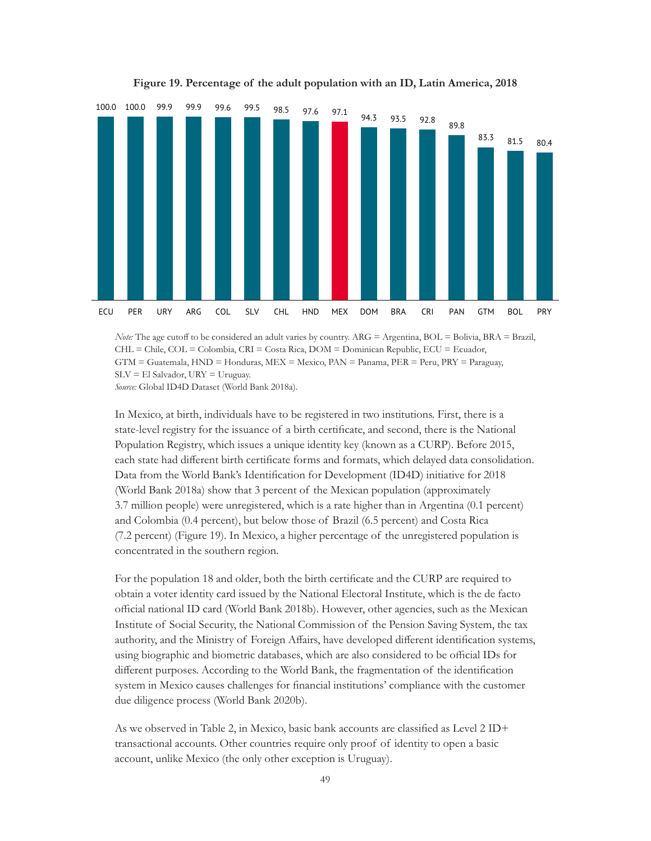

**Figure 19. Percentage of the adult population with an ID, Latin America, 2018**

*Note:* The age cutoff to be considered an adult varies by country. ARG = Argentina, BOL = Bolivia, BRA = Brazil, CHL = Chile, COL = Colombia, CRI = Costa Rica, DOM = Dominican Republic, ECU = Ecuador, GTM = Guatemala, HND = Honduras, MEX = Mexico, PAN = Panama, PER = Peru, PRY = Paraguay,  $SLV = El$  Salvador,  $URY = U$ ruguay.

*Source:* Global ID4D Dataset (World Bank 2018a).

In Mexico, at birth, individuals have to be registered in two institutions. First, there is a state-level registry for the issuance of a birth certificate, and second, there is the National Population Registry, which issues a unique identity key (known as a CURP). Before 2015, each state had different birth certificate forms and formats, which delayed data consolidation. Data from the World Bank's Identification for Development (ID4D) initiative for 2018 (World Bank 2018a) show that 3 percent of the Mexican population (approximately 3.7 million people) were unregistered, which is a rate higher than in Argentina (0.1 percent) and Colombia (0.4 percent), but below those of Brazil (6.5 percent) and Costa Rica (7.2 percent) (Figure 19). In Mexico, a higher percentage of the unregistered population is concentrated in the southern region.

For the population 18 and older, both the birth certificate and the CURP are required to obtain a voter identity card issued by the National Electoral Institute, which is the de facto official national ID card (World Bank 2018b). However, other agencies, such as the Mexican Institute of Social Security, the National Commission of the Pension Saving System, the tax authority, and the Ministry of Foreign Affairs, have developed different identification systems, using biographic and biometric databases, which are also considered to be official IDs for different purposes. According to the World Bank, the fragmentation of the identification system in Mexico causes challenges for financial institutions' compliance with the customer due diligence process (World Bank 2020b).

As we observed in Table 2, in Mexico, basic bank accounts are classified as Level 2 ID+ transactional accounts. Other countries require only proof of identity to open a basic account, unlike Mexico (the only other exception is Uruguay).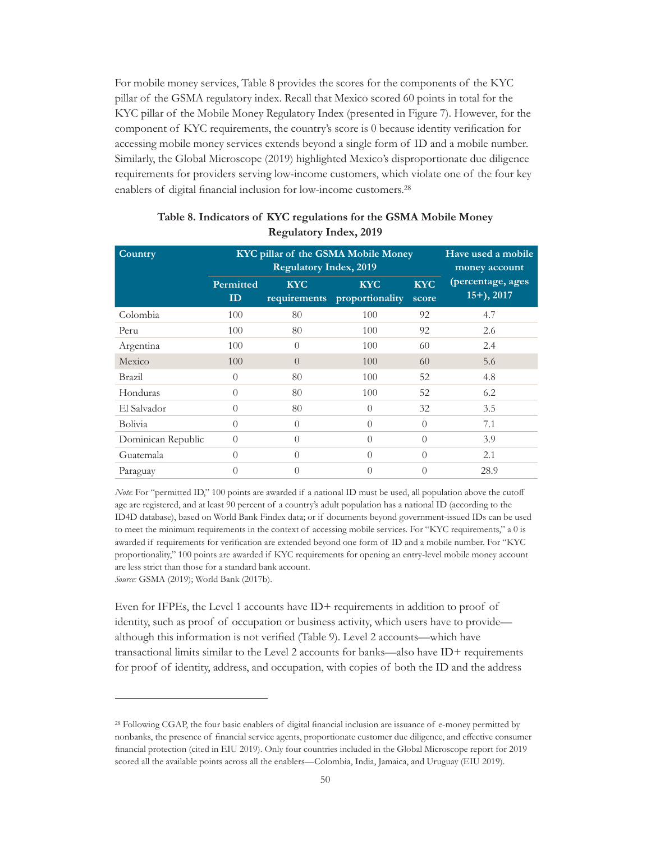For mobile money services, Table 8 provides the scores for the components of the KYC pillar of the GSMA regulatory index. Recall that Mexico scored 60 points in total for the KYC pillar of the Mobile Money Regulatory Index (presented in Figure 7). However, for the component of KYC requirements, the country's score is 0 because identity verification for accessing mobile money services extends beyond a single form of ID and a mobile number. Similarly, the Global Microscope (2019) highlighted Mexico's disproportionate due diligence requirements for providers serving low-income customers, which violate one of the four key enablers of digital financial inclusion for low-income customers.28

| Country            | KYC pillar of the GSMA Mobile Money | Have used a mobile<br>money account |                               |                     |                                   |
|--------------------|-------------------------------------|-------------------------------------|-------------------------------|---------------------|-----------------------------------|
|                    | Permitted<br>ID                     | <b>KYC</b><br>requirements          | <b>KYC</b><br>proportionality | <b>KYC</b><br>score | (percentage, ages<br>$15+$ , 2017 |
| Colombia           | 100                                 | 80                                  | 100                           | 92                  | 4.7                               |
| Peru               | 100                                 | 80                                  | 100                           | 92                  | 2.6                               |
| Argentina          | 100                                 | $\Omega$                            | 100                           | 60                  | 2.4                               |
| Mexico             | 100                                 | $\Omega$                            | 100                           | 60                  | 5.6                               |
| Brazil             | $\Omega$                            | 80                                  | 100                           | 52                  | 4.8                               |
| Honduras           | $\Omega$                            | 80                                  | 100                           | 52                  | 6.2                               |
| El Salvador        | $\Omega$                            | 80                                  | $\bigcap$                     | 32                  | 3.5                               |
| Bolivia            | $\Omega$                            | $\left( \right)$                    | $\left($                      | $\Omega$            | 7.1                               |
| Dominican Republic | $\left($                            | $\theta$                            | $\bigcap$                     | $\left($            | 3.9                               |
| Guatemala          | $\Omega$                            | $\bigcap$                           | $\Omega$                      | $\Omega$            | 2.1                               |
| Paraguay           | $\Omega$                            | $\theta$                            | $\Omega$                      | $\theta$            | 28.9                              |

## **Table 8. Indicators of KYC regulations for the GSMA Mobile Money Regulatory Index, 2019**

*Note*: For "permitted ID," 100 points are awarded if a national ID must be used, all population above the cutoff age are registered, and at least 90 percent of a country's adult population has a national ID (according to the ID4D database), based on World Bank Findex data; or if documents beyond government-issued IDs can be used to meet the minimum requirements in the context of accessing mobile services. For "KYC requirements," a 0 is awarded if requirements for verification are extended beyond one form of ID and a mobile number. For "KYC proportionality," 100 points are awarded if KYC requirements for opening an entry-level mobile money account are less strict than those for a standard bank account.

*Source:* GSMA (2019); World Bank (2017b).

Even for IFPEs, the Level 1 accounts have ID+ requirements in addition to proof of identity, such as proof of occupation or business activity, which users have to provide although this information is not verified (Table 9). Level 2 accounts—which have transactional limits similar to the Level 2 accounts for banks—also have ID+ requirements for proof of identity, address, and occupation, with copies of both the ID and the address

<sup>28</sup> Following CGAP, the four basic enablers of digital financial inclusion are issuance of e-money permitted by nonbanks, the presence of financial service agents, proportionate customer due diligence, and effective consumer financial protection (cited in EIU 2019). Only four countries included in the Global Microscope report for 2019 scored all the available points across all the enablers—Colombia, India, Jamaica, and Uruguay (EIU 2019).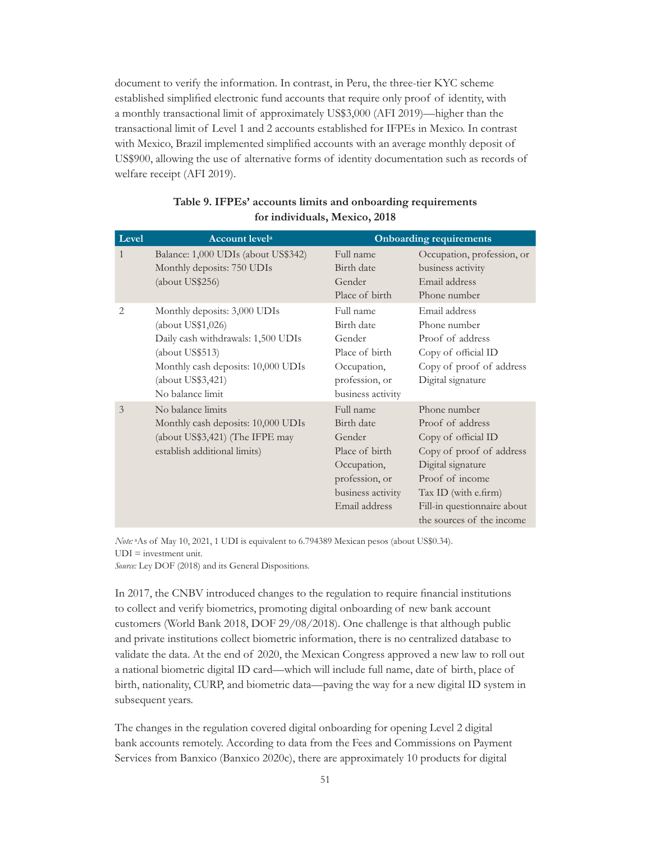document to verify the information. In contrast, in Peru, the three-tier KYC scheme established simplified electronic fund accounts that require only proof of identity, with a monthly transactional limit of approximately US\$3,000 (AFI 2019)—higher than the transactional limit of Level 1 and 2 accounts established for IFPEs in Mexico. In contrast with Mexico, Brazil implemented simplified accounts with an average monthly deposit of US\$900, allowing the use of alternative forms of identity documentation such as records of welfare receipt (AFI 2019).

| Level          | <b>Account levela</b>                                                                                                                                                                     |                                                                                                                            | <b>Onboarding requirements</b>                                                                                                                                                                                  |
|----------------|-------------------------------------------------------------------------------------------------------------------------------------------------------------------------------------------|----------------------------------------------------------------------------------------------------------------------------|-----------------------------------------------------------------------------------------------------------------------------------------------------------------------------------------------------------------|
| 1              | Balance: 1,000 UDIs (about US\$342)<br>Monthly deposits: 750 UDIs<br>(about US\$256)                                                                                                      | Full name<br>Birth date<br>Gender<br>Place of birth                                                                        | Occupation, profession, or<br>business activity<br>Email address<br>Phone number                                                                                                                                |
| 2              | Monthly deposits: 3,000 UDIs<br>(about US\$1,026)<br>Daily cash withdrawals: 1,500 UDIs<br>(about US\$513)<br>Monthly cash deposits: 10,000 UDIs<br>(about US\$3,421)<br>No balance limit | Full name<br>Birth date<br>Gender<br>Place of birth<br>Occupation,<br>profession, or<br>business activity                  | Email address<br>Phone number<br>Proof of address<br>Copy of official ID<br>Copy of proof of address<br>Digital signature                                                                                       |
| $\overline{3}$ | No balance limits<br>Monthly cash deposits: 10,000 UDIs<br>(about US\$3,421) (The IFPE may<br>establish additional limits)                                                                | Full name<br>Birth date<br>Gender<br>Place of birth<br>Occupation,<br>profession, or<br>business activity<br>Email address | Phone number<br>Proof of address<br>Copy of official ID<br>Copy of proof of address<br>Digital signature<br>Proof of income<br>Tax ID (with e.firm)<br>Fill-in questionnaire about<br>the sources of the income |

### **Table 9. IFPEs' accounts limits and onboarding requirements for individuals, Mexico, 2018**

*Note:* aAs of May 10, 2021, 1 UDI is equivalent to 6.794389 Mexican pesos (about US\$0.34). UDI = investment unit.

*Source:* Ley DOF (2018) and its General Dispositions.

In 2017, the CNBV introduced changes to the regulation to require financial institutions to collect and verify biometrics, promoting digital onboarding of new bank account customers (World Bank 2018, DOF 29/08/2018). One challenge is that although public and private institutions collect biometric information, there is no centralized database to validate the data. At the end of 2020, the Mexican Congress approved a new law to roll out a national biometric digital ID card—which will include full name, date of birth, place of birth, nationality, CURP, and biometric data—paving the way for a new digital ID system in subsequent years.

The changes in the regulation covered digital onboarding for opening Level 2 digital bank accounts remotely. According to data from the Fees and Commissions on Payment Services from Banxico (Banxico 2020c), there are approximately 10 products for digital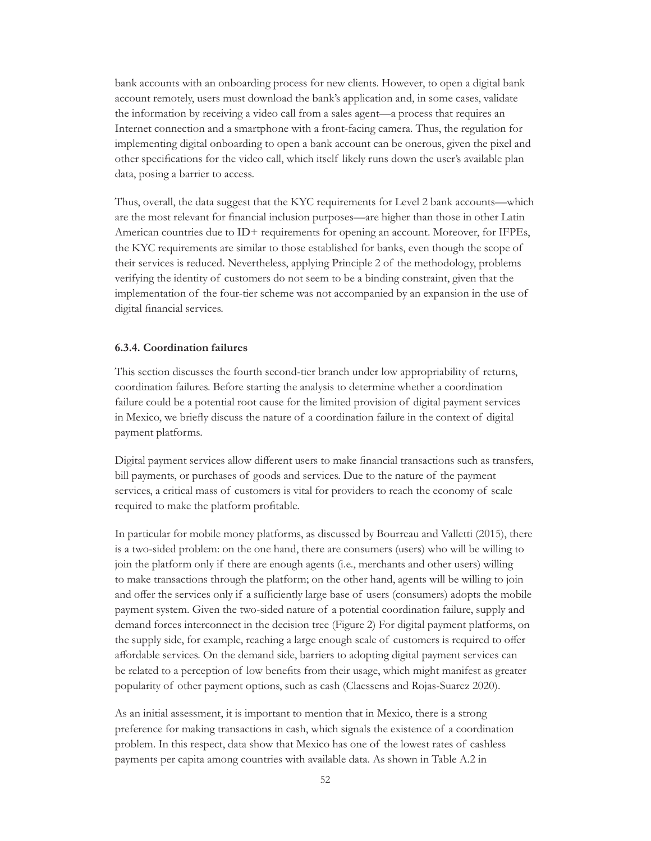bank accounts with an onboarding process for new clients. However, to open a digital bank account remotely, users must download the bank's application and, in some cases, validate the information by receiving a video call from a sales agent—a process that requires an Internet connection and a smartphone with a front-facing camera. Thus, the regulation for implementing digital onboarding to open a bank account can be onerous, given the pixel and other specifications for the video call, which itself likely runs down the user's available plan data, posing a barrier to access.

Thus, overall, the data suggest that the KYC requirements for Level 2 bank accounts—which are the most relevant for financial inclusion purposes—are higher than those in other Latin American countries due to ID+ requirements for opening an account. Moreover, for IFPEs, the KYC requirements are similar to those established for banks, even though the scope of their services is reduced. Nevertheless, applying Principle 2 of the methodology, problems verifying the identity of customers do not seem to be a binding constraint, given that the implementation of the four-tier scheme was not accompanied by an expansion in the use of digital financial services.

#### **6.3.4. Coordination failures**

This section discusses the fourth second-tier branch under low appropriability of returns, coordination failures. Before starting the analysis to determine whether a coordination failure could be a potential root cause for the limited provision of digital payment services in Mexico, we briefly discuss the nature of a coordination failure in the context of digital payment platforms.

Digital payment services allow different users to make financial transactions such as transfers, bill payments, or purchases of goods and services. Due to the nature of the payment services, a critical mass of customers is vital for providers to reach the economy of scale required to make the platform profitable.

In particular for mobile money platforms, as discussed by Bourreau and Valletti (2015), there is a two-sided problem: on the one hand, there are consumers (users) who will be willing to join the platform only if there are enough agents (i.e., merchants and other users) willing to make transactions through the platform; on the other hand, agents will be willing to join and offer the services only if a sufficiently large base of users (consumers) adopts the mobile payment system. Given the two-sided nature of a potential coordination failure, supply and demand forces interconnect in the decision tree (Figure 2) For digital payment platforms, on the supply side, for example, reaching a large enough scale of customers is required to offer affordable services. On the demand side, barriers to adopting digital payment services can be related to a perception of low benefits from their usage, which might manifest as greater popularity of other payment options, such as cash (Claessens and Rojas-Suarez 2020).

As an initial assessment, it is important to mention that in Mexico, there is a strong preference for making transactions in cash, which signals the existence of a coordination problem. In this respect, data show that Mexico has one of the lowest rates of cashless payments per capita among countries with available data. As shown in Table A.2 in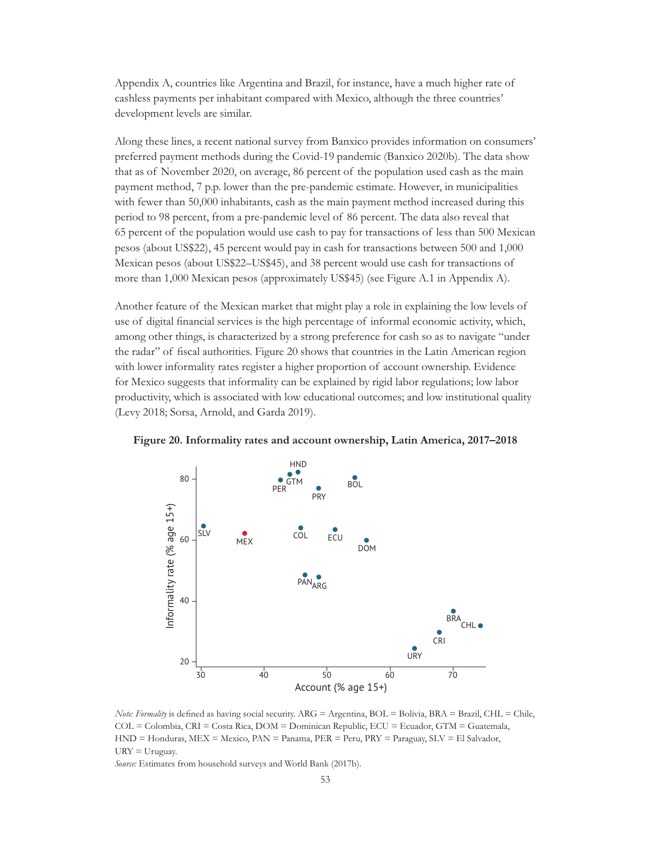Appendix A, countries like Argentina and Brazil, for instance, have a much higher rate of cashless payments per inhabitant compared with Mexico, although the three countries' development levels are similar.

Along these lines, a recent national survey from Banxico provides information on consumers' preferred payment methods during the Covid-19 pandemic (Banxico 2020b). The data show that as of November 2020, on average, 86 percent of the population used cash as the main payment method, 7 p.p. lower than the pre-pandemic estimate. However, in municipalities with fewer than 50,000 inhabitants, cash as the main payment method increased during this period to 98 percent, from a pre-pandemic level of 86 percent. The data also reveal that 65 percent of the population would use cash to pay for transactions of less than 500 Mexican pesos (about US\$22), 45 percent would pay in cash for transactions between 500 and 1,000 Mexican pesos (about US\$22–US\$45), and 38 percent would use cash for transactions of more than 1,000 Mexican pesos (approximately US\$45) (see Figure A.1 in Appendix A).

Another feature of the Mexican market that might play a role in explaining the low levels of use of digital financial services is the high percentage of informal economic activity, which, among other things, is characterized by a strong preference for cash so as to navigate "under the radar" of fiscal authorities. Figure 20 shows that countries in the Latin American region with lower informality rates register a higher proportion of account ownership. Evidence for Mexico suggests that informality can be explained by rigid labor regulations; low labor productivity, which is associated with low educational outcomes; and low institutional quality (Levy 2018; Sorsa, Arnold, and Garda 2019).



**Figure 20. Informality rates and account ownership, Latin America, 2017–2018**

*Note: Formality* is defined as having social security. ARG = Argentina, BOL = Bolivia, BRA = Brazil, CHL = Chile, COL = Colombia, CRI = Costa Rica, DOM = Dominican Republic, ECU = Ecuador, GTM = Guatemala, HND = Honduras, MEX = Mexico, PAN = Panama, PER = Peru, PRY = Paraguay, SLV = El Salvador,  $URY = Uruguay.$ 

*Source:* Estimates from household surveys and World Bank (2017b).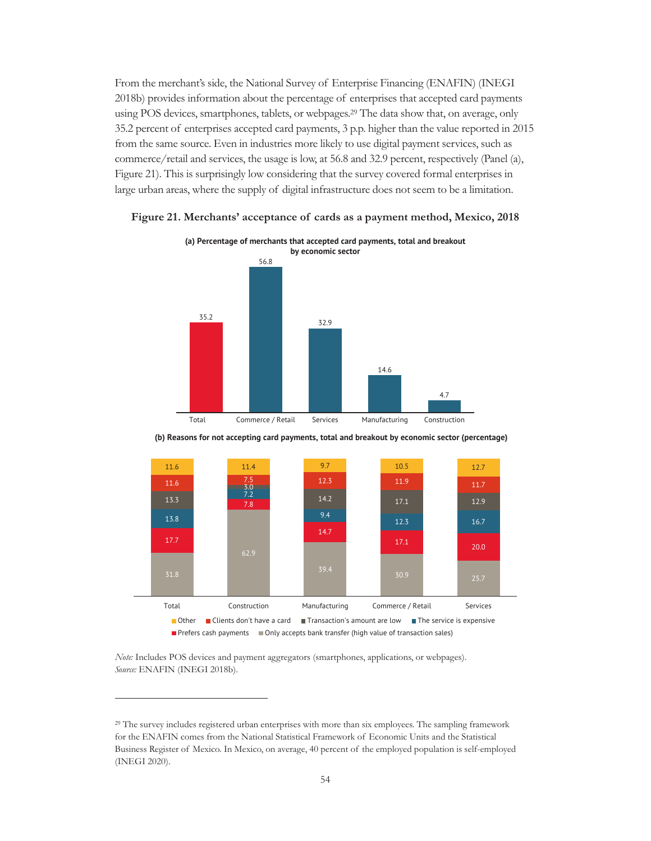From the merchant's side, the National Survey of Enterprise Financing (ENAFIN) (INEGI 2018b) provides information about the percentage of enterprises that accepted card payments using POS devices, smartphones, tablets, or webpages.29 The data show that, on average, only 35.2 percent of enterprises accepted card payments, 3 p.p. higher than the value reported in 2015 from the same source. Even in industries more likely to use digital payment services, such as commerce/retail and services, the usage is low, at 56.8 and 32.9 percent, respectively (Panel (a), Figure 21). This is surprisingly low considering that the survey covered formal enterprises in large urban areas, where the supply of digital infrastructure does not seem to be a limitation.



**Figure 21. Merchants' acceptance of cards as a payment method, Mexico, 2018**

**(b) Reasons for not accepting card payments, total and breakout by economic sector (percentage)**



*Note:* Includes POS devices and payment aggregators (smartphones, applications, or webpages). *Source:* ENAFIN (INEGI 2018b).

<sup>29</sup> The survey includes registered urban enterprises with more than six employees. The sampling framework for the ENAFIN comes from the National Statistical Framework of Economic Units and the Statistical Business Register of Mexico. In Mexico, on average, 40 percent of the employed population is self-employed (INEGI 2020).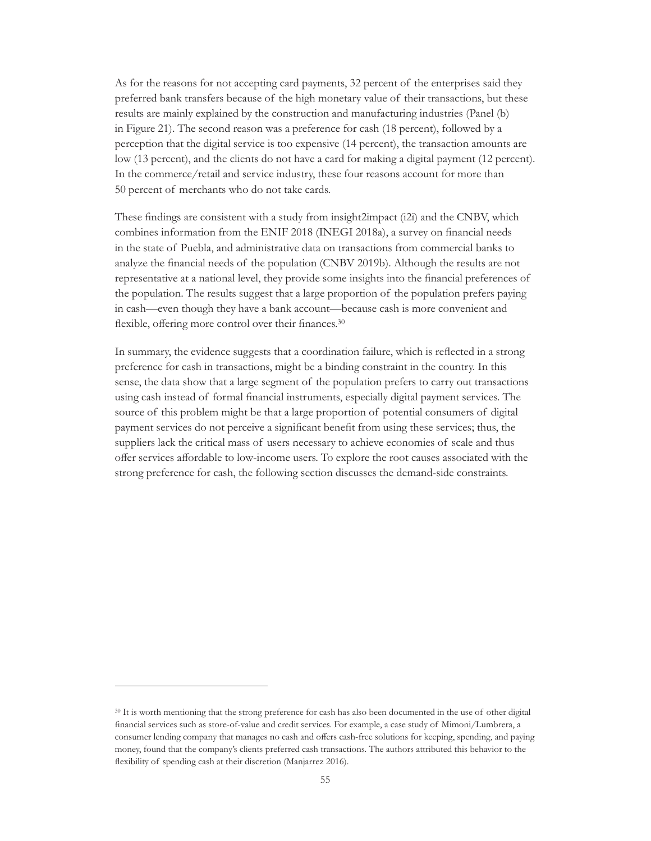As for the reasons for not accepting card payments, 32 percent of the enterprises said they preferred bank transfers because of the high monetary value of their transactions, but these results are mainly explained by the construction and manufacturing industries (Panel (b) in Figure 21). The second reason was a preference for cash (18 percent), followed by a perception that the digital service is too expensive (14 percent), the transaction amounts are low (13 percent), and the clients do not have a card for making a digital payment (12 percent). In the commerce/retail and service industry, these four reasons account for more than 50 percent of merchants who do not take cards.

These findings are consistent with a study from insight2impact (i2i) and the CNBV, which combines information from the ENIF 2018 (INEGI 2018a), a survey on financial needs in the state of Puebla, and administrative data on transactions from commercial banks to analyze the financial needs of the population (CNBV 2019b). Although the results are not representative at a national level, they provide some insights into the financial preferences of the population. The results suggest that a large proportion of the population prefers paying in cash—even though they have a bank account—because cash is more convenient and flexible, offering more control over their finances.<sup>30</sup>

In summary, the evidence suggests that a coordination failure, which is reflected in a strong preference for cash in transactions, might be a binding constraint in the country. In this sense, the data show that a large segment of the population prefers to carry out transactions using cash instead of formal financial instruments, especially digital payment services. The source of this problem might be that a large proportion of potential consumers of digital payment services do not perceive a significant benefit from using these services; thus, the suppliers lack the critical mass of users necessary to achieve economies of scale and thus offer services affordable to low-income users. To explore the root causes associated with the strong preference for cash, the following section discusses the demand-side constraints.

<sup>30</sup> It is worth mentioning that the strong preference for cash has also been documented in the use of other digital financial services such as store-of-value and credit services. For example, a case study of Mimoni/Lumbrera, a consumer lending company that manages no cash and offers cash-free solutions for keeping, spending, and paying money, found that the company's clients preferred cash transactions. The authors attributed this behavior to the flexibility of spending cash at their discretion (Manjarrez 2016).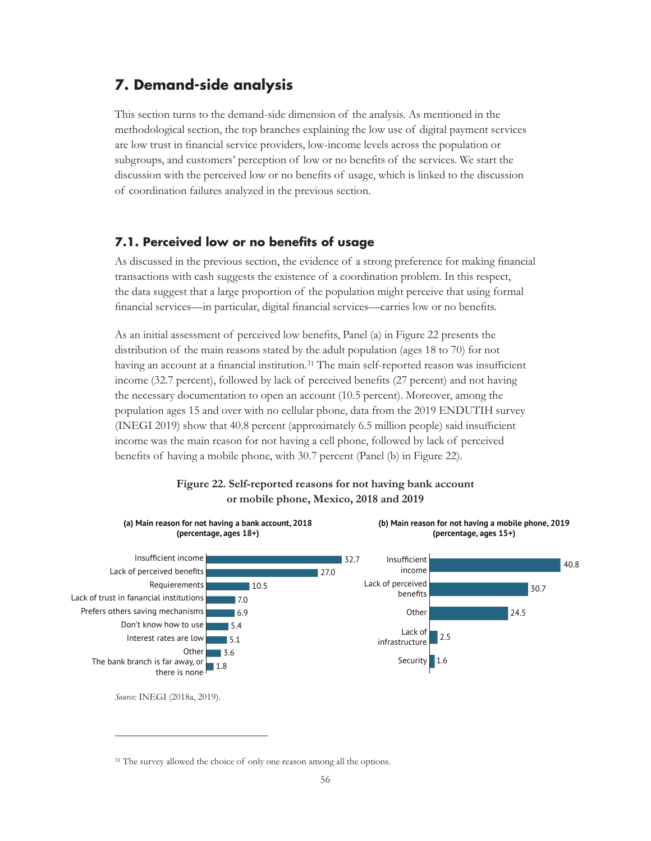# **7. Demand-side analysis**

This section turns to the demand-side dimension of the analysis. As mentioned in the methodological section, the top branches explaining the low use of digital payment services are low trust in financial service providers, low-income levels across the population or subgroups, and customers' perception of low or no benefits of the services. We start the discussion with the perceived low or no benefits of usage, which is linked to the discussion of coordination failures analyzed in the previous section.

### **7.1. Perceived low or no benefits of usage**

As discussed in the previous section, the evidence of a strong preference for making financial transactions with cash suggests the existence of a coordination problem. In this respect, the data suggest that a large proportion of the population might perceive that using formal financial services—in particular, digital financial services—carries low or no benefits.

As an initial assessment of perceived low benefits, Panel (a) in Figure 22 presents the distribution of the main reasons stated by the adult population (ages 18 to 70) for not having an account at a financial institution.<sup>31</sup> The main self-reported reason was insufficient income (32.7 percent), followed by lack of perceived benefits (27 percent) and not having the necessary documentation to open an account (10.5 percent). Moreover, among the population ages 15 and over with no cellular phone, data from the 2019 ENDUTIH survey (INEGI 2019) show that 40.8 percent (approximately 6.5 million people) said insufficient income was the main reason for not having a cell phone, followed by lack of perceived benefits of having a mobile phone, with 30.7 percent (Panel (b) in Figure 22).

### **Figure 22. Self-reported reasons for not having bank account or mobile phone, Mexico, 2018 and 2019**



<sup>&</sup>lt;sup>31</sup> The survey allowed the choice of only one reason among all the options.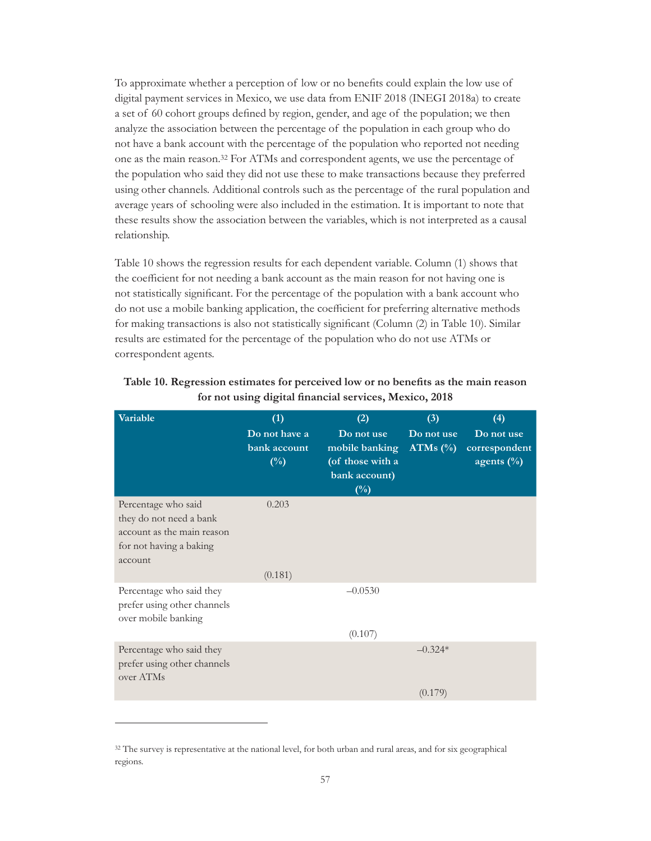To approximate whether a perception of low or no benefits could explain the low use of digital payment services in Mexico, we use data from ENIF 2018 (INEGI 2018a) to create a set of 60 cohort groups defined by region, gender, and age of the population; we then analyze the association between the percentage of the population in each group who do not have a bank account with the percentage of the population who reported not needing one as the main reason.32 For ATMs and correspondent agents, we use the percentage of the population who said they did not use these to make transactions because they preferred using other channels. Additional controls such as the percentage of the rural population and average years of schooling were also included in the estimation. It is important to note that these results show the association between the variables, which is not interpreted as a causal relationship.

Table 10 shows the regression results for each dependent variable. Column (1) shows that the coefficient for not needing a bank account as the main reason for not having one is not statistically significant. For the percentage of the population with a bank account who do not use a mobile banking application, the coefficient for preferring alternative methods for making transactions is also not statistically significant (Column (2) in Table 10). Similar results are estimated for the percentage of the population who do not use ATMs or correspondent agents.

| Variable                                                                                                           | (1)<br>Do not have a<br>bank account<br>$(\%)$ | (2)<br>Do not use<br>mobile banking<br>(of those with a<br>bank account)<br>$(\%)$ | (3)<br>Do not use<br>ATMs $(\%)$ | (4)<br>Do not use<br>correspondent<br>agents $(\% )$ |
|--------------------------------------------------------------------------------------------------------------------|------------------------------------------------|------------------------------------------------------------------------------------|----------------------------------|------------------------------------------------------|
| Percentage who said<br>they do not need a bank<br>account as the main reason<br>for not having a baking<br>account | 0.203                                          |                                                                                    |                                  |                                                      |
|                                                                                                                    | (0.181)                                        |                                                                                    |                                  |                                                      |
| Percentage who said they<br>prefer using other channels<br>over mobile banking                                     |                                                | $-0.0530$                                                                          |                                  |                                                      |
|                                                                                                                    |                                                | (0.107)                                                                            |                                  |                                                      |
| Percentage who said they<br>prefer using other channels<br>over ATMs                                               |                                                |                                                                                    | $-0.324*$                        |                                                      |
|                                                                                                                    |                                                |                                                                                    | (0.179)                          |                                                      |

| Table 10. Regression estimates for perceived low or no benefits as the main reason |
|------------------------------------------------------------------------------------|
| for not using digital financial services, Mexico, 2018                             |

<sup>&</sup>lt;sup>32</sup> The survey is representative at the national level, for both urban and rural areas, and for six geographical regions.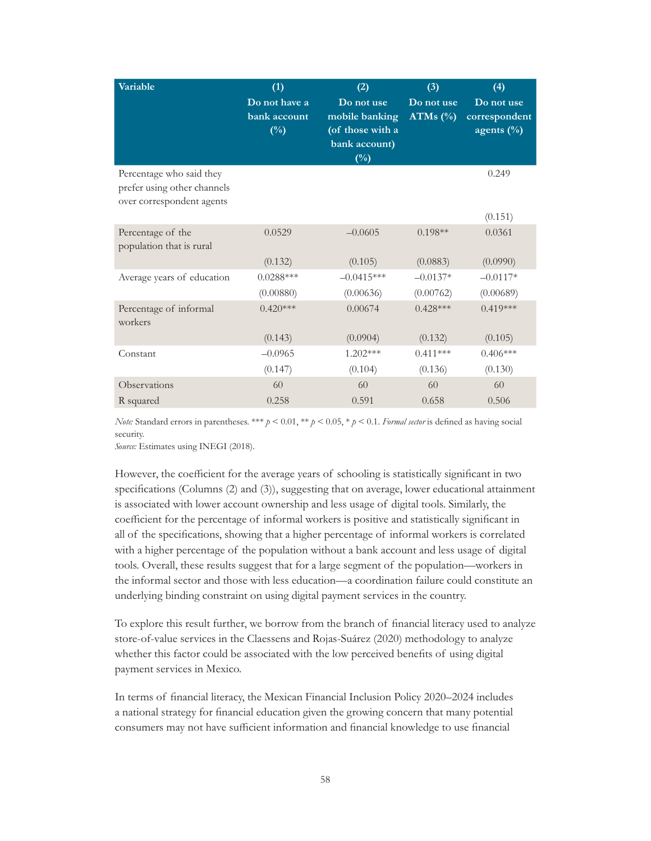| Variable                                                                             | (1)                                     | (2)                                                                         | (3)                       | (4)                                           |
|--------------------------------------------------------------------------------------|-----------------------------------------|-----------------------------------------------------------------------------|---------------------------|-----------------------------------------------|
|                                                                                      | Do not have a<br>bank account<br>$(\%)$ | Do not use<br>mobile banking<br>(of those with a<br>bank account)<br>$(\%)$ | Do not use<br>ATMs $(\%)$ | Do not use<br>correspondent<br>agents $(\% )$ |
| Percentage who said they<br>prefer using other channels<br>over correspondent agents |                                         |                                                                             |                           | 0.249<br>(0.151)                              |
| Percentage of the<br>population that is rural                                        | 0.0529                                  | $-0.0605$                                                                   | $0.198**$                 | 0.0361                                        |
|                                                                                      | (0.132)                                 | (0.105)                                                                     | (0.0883)                  | (0.0990)                                      |
| Average years of education                                                           | $0.0288***$                             | $-0.0415***$                                                                | $-0.0137*$                | $-0.0117*$                                    |
|                                                                                      | (0.00880)                               | (0.00636)                                                                   | (0.00762)                 | (0.00689)                                     |
| Percentage of informal<br>workers                                                    | $0.420***$                              | 0.00674                                                                     | $0.428***$                | $0.419***$                                    |
|                                                                                      | (0.143)                                 | (0.0904)                                                                    | (0.132)                   | (0.105)                                       |
| Constant                                                                             | $-0.0965$                               | $1.202***$                                                                  | $0.411***$                | $0.406***$                                    |
|                                                                                      | (0.147)                                 | (0.104)                                                                     | (0.136)                   | (0.130)                                       |
| Observations                                                                         | 60                                      | 60                                                                          | 60                        | 60                                            |
| R squared                                                                            | 0.258                                   | 0.591                                                                       | 0.658                     | 0.506                                         |

*Note:* Standard errors in parentheses. \*\*\*  $p < 0.01$ , \*\*  $p < 0.05$ , \*  $p < 0.1$ . *Formal sector* is defined as having social security.

*Source:* Estimates using INEGI (2018).

However, the coefficient for the average years of schooling is statistically significant in two specifications (Columns (2) and (3)), suggesting that on average, lower educational attainment is associated with lower account ownership and less usage of digital tools. Similarly, the coefficient for the percentage of informal workers is positive and statistically significant in all of the specifications, showing that a higher percentage of informal workers is correlated with a higher percentage of the population without a bank account and less usage of digital tools. Overall, these results suggest that for a large segment of the population—workers in the informal sector and those with less education—a coordination failure could constitute an underlying binding constraint on using digital payment services in the country.

To explore this result further, we borrow from the branch of financial literacy used to analyze store-of-value services in the Claessens and Rojas-Suárez (2020) methodology to analyze whether this factor could be associated with the low perceived benefits of using digital payment services in Mexico.

In terms of financial literacy, the Mexican Financial Inclusion Policy 2020–2024 includes a national strategy for financial education given the growing concern that many potential consumers may not have sufficient information and financial knowledge to use financial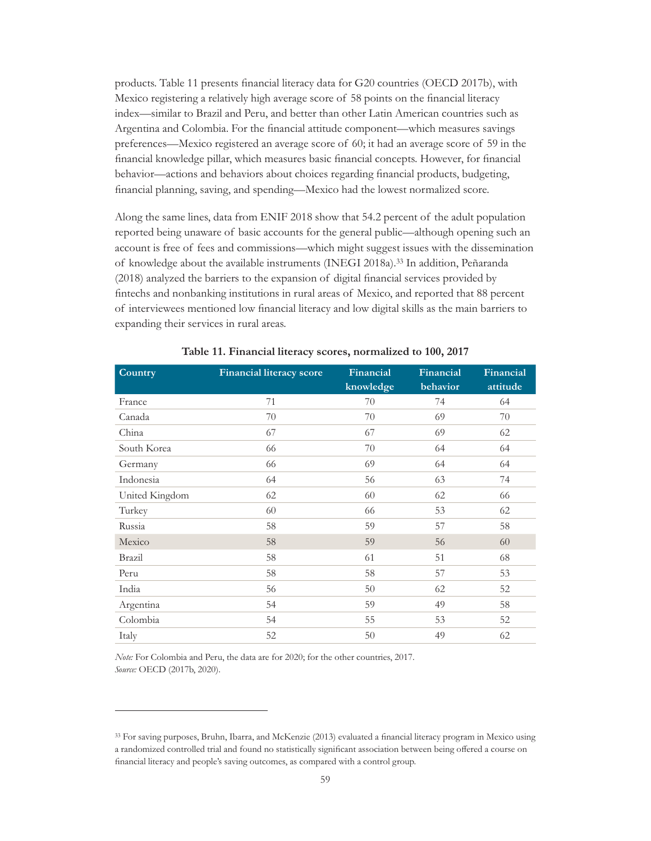products. Table 11 presents financial literacy data for G20 countries (OECD 2017b), with Mexico registering a relatively high average score of 58 points on the financial literacy index—similar to Brazil and Peru, and better than other Latin American countries such as Argentina and Colombia. For the financial attitude component—which measures savings preferences—Mexico registered an average score of 60; it had an average score of 59 in the financial knowledge pillar, which measures basic financial concepts. However, for financial behavior—actions and behaviors about choices regarding financial products, budgeting, financial planning, saving, and spending—Mexico had the lowest normalized score.

Along the same lines, data from ENIF 2018 show that 54.2 percent of the adult population reported being unaware of basic accounts for the general public—although opening such an account is free of fees and commissions—which might suggest issues with the dissemination of knowledge about the available instruments (INEGI 2018a).33 In addition, Peñaranda (2018) analyzed the barriers to the expansion of digital financial services provided by fintechs and nonbanking institutions in rural areas of Mexico, and reported that 88 percent of interviewees mentioned low financial literacy and low digital skills as the main barriers to expanding their services in rural areas.

| Country        | <b>Financial literacy score</b> | Financial<br>knowledge | Financial<br>behavior | Financial<br>attitude |
|----------------|---------------------------------|------------------------|-----------------------|-----------------------|
| France         | 71                              | 70                     | 74                    | 64                    |
| Canada         | 70                              | 70                     | 69                    | 70                    |
| China          | 67                              | 67                     | 69                    | 62                    |
| South Korea    | 66                              | 70                     | 64                    | 64                    |
| Germany        | 66                              | 69                     | 64                    | 64                    |
| Indonesia      | 64                              | 56                     | 63                    | 74                    |
| United Kingdom | 62                              | 60                     | 62                    | 66                    |
| Turkey         | 60                              | 66                     | 53                    | 62                    |
| Russia         | 58                              | 59                     | 57                    | 58                    |
| Mexico         | 58                              | 59                     | 56                    | 60                    |
| Brazil         | 58                              | 61                     | 51                    | 68                    |
| Peru           | 58                              | 58                     | 57                    | 53                    |
| India          | 56                              | 50                     | 62                    | 52                    |
| Argentina      | 54                              | 59                     | 49                    | 58                    |
| Colombia       | 54                              | 55                     | 53                    | 52                    |
| Italy          | 52                              | 50                     | 49                    | 62                    |

**Table 11. Financial literacy scores, normalized to 100, 2017**

*Note:* For Colombia and Peru, the data are for 2020; for the other countries, 2017. *Source:* OECD (2017b, 2020).

<sup>33</sup> For saving purposes, Bruhn, Ibarra, and McKenzie (2013) evaluated a financial literacy program in Mexico using a randomized controlled trial and found no statistically significant association between being offered a course on financial literacy and people's saving outcomes, as compared with a control group.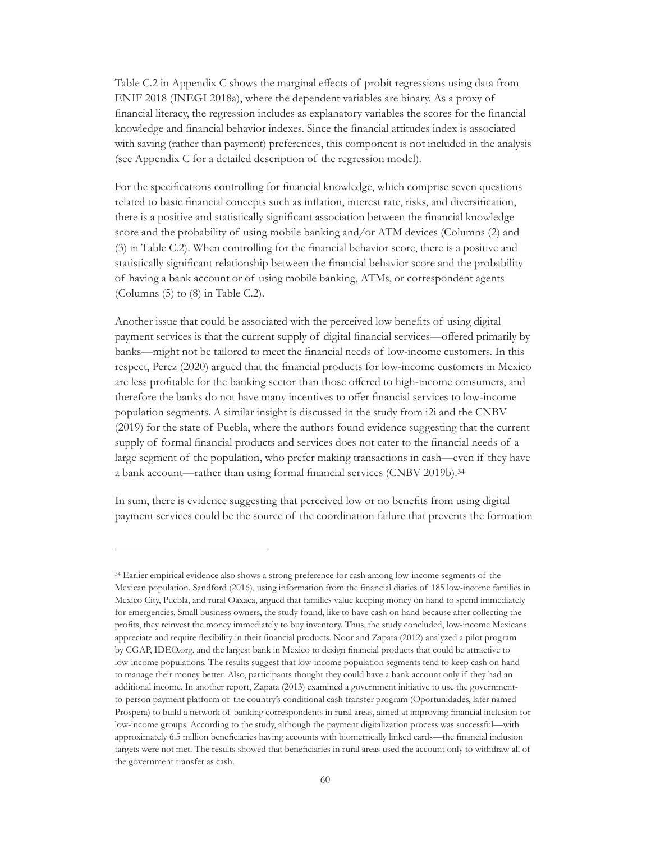Table C.2 in Appendix C shows the marginal effects of probit regressions using data from ENIF 2018 (INEGI 2018a), where the dependent variables are binary. As a proxy of financial literacy, the regression includes as explanatory variables the scores for the financial knowledge and financial behavior indexes. Since the financial attitudes index is associated with saving (rather than payment) preferences, this component is not included in the analysis (see Appendix C for a detailed description of the regression model).

For the specifications controlling for financial knowledge, which comprise seven questions related to basic financial concepts such as inflation, interest rate, risks, and diversification, there is a positive and statistically significant association between the financial knowledge score and the probability of using mobile banking and/or ATM devices (Columns (2) and (3) in Table C.2). When controlling for the financial behavior score, there is a positive and statistically significant relationship between the financial behavior score and the probability of having a bank account or of using mobile banking, ATMs, or correspondent agents (Columns (5) to (8) in Table C.2).

Another issue that could be associated with the perceived low benefits of using digital payment services is that the current supply of digital financial services—offered primarily by banks—might not be tailored to meet the financial needs of low-income customers. In this respect, Perez (2020) argued that the financial products for low-income customers in Mexico are less profitable for the banking sector than those offered to high-income consumers, and therefore the banks do not have many incentives to offer financial services to low-income population segments. A similar insight is discussed in the study from i2i and the CNBV (2019) for the state of Puebla, where the authors found evidence suggesting that the current supply of formal financial products and services does not cater to the financial needs of a large segment of the population, who prefer making transactions in cash—even if they have a bank account—rather than using formal financial services (CNBV 2019b).<sup>34</sup>

In sum, there is evidence suggesting that perceived low or no benefits from using digital payment services could be the source of the coordination failure that prevents the formation

<sup>34</sup> Earlier empirical evidence also shows a strong preference for cash among low-income segments of the Mexican population. Sandford (2016), using information from the financial diaries of 185 low-income families in Mexico City, Puebla, and rural Oaxaca, argued that families value keeping money on hand to spend immediately for emergencies. Small business owners, the study found, like to have cash on hand because after collecting the profits, they reinvest the money immediately to buy inventory. Thus, the study concluded, low-income Mexicans appreciate and require flexibility in their financial products. Noor and Zapata (2012) analyzed a pilot program by CGAP, IDEO.org, and the largest bank in Mexico to design financial products that could be attractive to low-income populations. The results suggest that low-income population segments tend to keep cash on hand to manage their money better. Also, participants thought they could have a bank account only if they had an additional income. In another report, Zapata (2013) examined a government initiative to use the governmentto-person payment platform of the country's conditional cash transfer program (Oportunidades, later named Prospera) to build a network of banking correspondents in rural areas, aimed at improving financial inclusion for low-income groups. According to the study, although the payment digitalization process was successful—with approximately 6.5 million beneficiaries having accounts with biometrically linked cards—the financial inclusion targets were not met. The results showed that beneficiaries in rural areas used the account only to withdraw all of the government transfer as cash.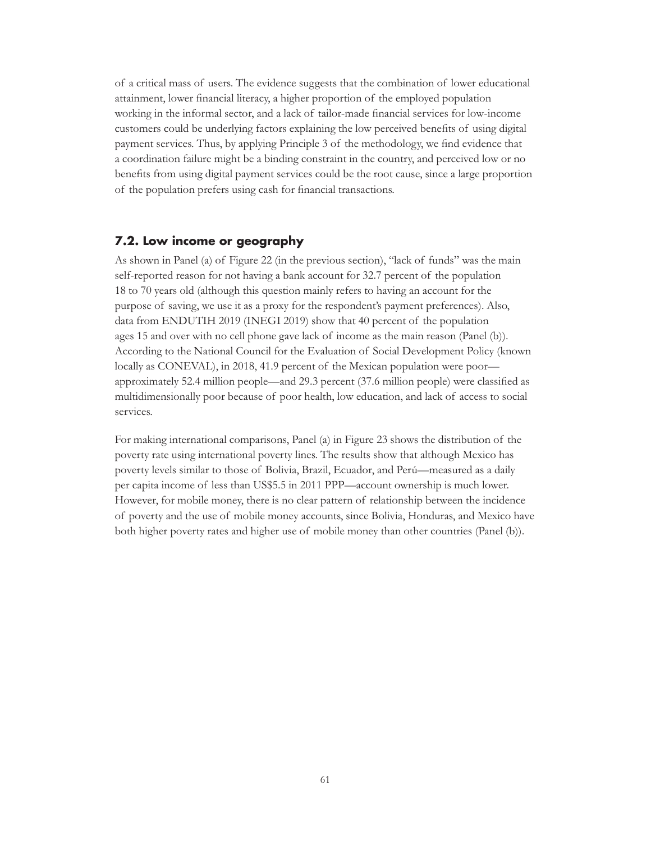of a critical mass of users. The evidence suggests that the combination of lower educational attainment, lower financial literacy, a higher proportion of the employed population working in the informal sector, and a lack of tailor-made financial services for low-income customers could be underlying factors explaining the low perceived benefits of using digital payment services. Thus, by applying Principle 3 of the methodology, we find evidence that a coordination failure might be a binding constraint in the country, and perceived low or no benefits from using digital payment services could be the root cause, since a large proportion of the population prefers using cash for financial transactions.

### **7.2. Low income or geography**

As shown in Panel (a) of Figure 22 (in the previous section), "lack of funds" was the main self-reported reason for not having a bank account for 32.7 percent of the population 18 to 70 years old (although this question mainly refers to having an account for the purpose of saving, we use it as a proxy for the respondent's payment preferences). Also, data from ENDUTIH 2019 (INEGI 2019) show that 40 percent of the population ages 15 and over with no cell phone gave lack of income as the main reason (Panel (b)). According to the National Council for the Evaluation of Social Development Policy (known locally as CONEVAL), in 2018, 41.9 percent of the Mexican population were poor approximately 52.4 million people—and 29.3 percent (37.6 million people) were classified as multidimensionally poor because of poor health, low education, and lack of access to social services.

For making international comparisons, Panel (a) in Figure 23 shows the distribution of the poverty rate using international poverty lines. The results show that although Mexico has poverty levels similar to those of Bolivia, Brazil, Ecuador, and Perú—measured as a daily per capita income of less than US\$5.5 in 2011 PPP—account ownership is much lower. However, for mobile money, there is no clear pattern of relationship between the incidence of poverty and the use of mobile money accounts, since Bolivia, Honduras, and Mexico have both higher poverty rates and higher use of mobile money than other countries (Panel (b)).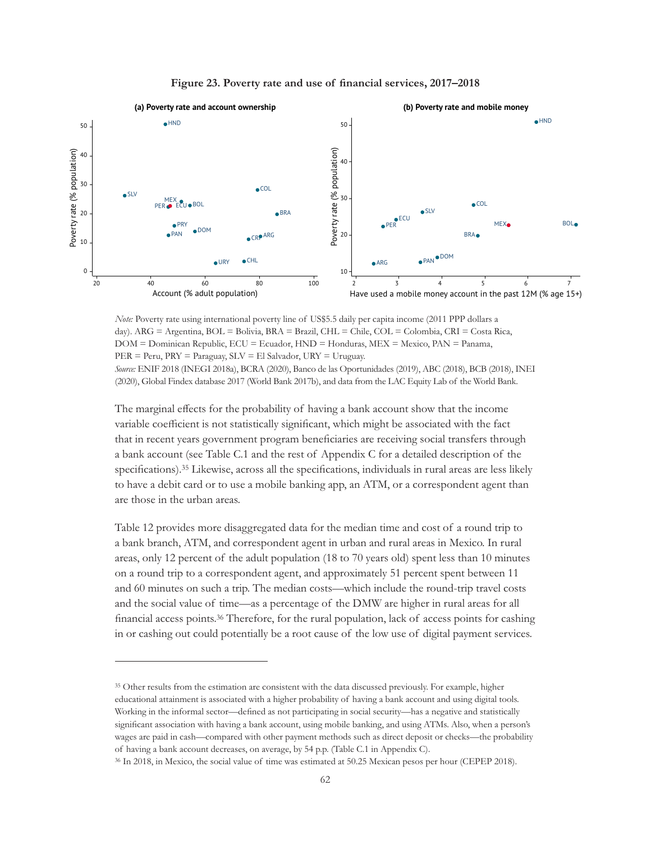



*Note:* Poverty rate using international poverty line of US\$5.5 daily per capita income (2011 PPP dollars a day). ARG = Argentina, BOL = Bolivia, BRA = Brazil, CHL = Chile, COL = Colombia, CRI = Costa Rica, DOM = Dominican Republic, ECU = Ecuador, HND = Honduras, MEX = Mexico, PAN = Panama, PER = Peru, PRY = Paraguay, SLV = El Salvador, URY = Uruguay. *Source:* ENIF 2018 (INEGI 2018a), BCRA (2020), Banco de las Oportunidades (2019), ABC (2018), BCB (2018), INEI

(2020), Global Findex database 2017 (World Bank 2017b), and data from the LAC Equity Lab of the World Bank.

The marginal effects for the probability of having a bank account show that the income variable coefficient is not statistically significant, which might be associated with the fact that in recent years government program beneficiaries are receiving social transfers through a bank account (see Table C.1 and the rest of Appendix C for a detailed description of the specifications).35 Likewise, across all the specifications, individuals in rural areas are less likely to have a debit card or to use a mobile banking app, an ATM, or a correspondent agent than are those in the urban areas.

Table 12 provides more disaggregated data for the median time and cost of a round trip to a bank branch, ATM, and correspondent agent in urban and rural areas in Mexico. In rural areas, only 12 percent of the adult population (18 to 70 years old) spent less than 10 minutes on a round trip to a correspondent agent, and approximately 51 percent spent between 11 and 60 minutes on such a trip. The median costs—which include the round-trip travel costs and the social value of time—as a percentage of the DMW are higher in rural areas for all financial access points.36 Therefore, for the rural population, lack of access points for cashing in or cashing out could potentially be a root cause of the low use of digital payment services.

<sup>&</sup>lt;sup>35</sup> Other results from the estimation are consistent with the data discussed previously. For example, higher educational attainment is associated with a higher probability of having a bank account and using digital tools. Working in the informal sector—defined as not participating in social security—has a negative and statistically significant association with having a bank account, using mobile banking, and using ATMs. Also, when a person's wages are paid in cash—compared with other payment methods such as direct deposit or checks—the probability of having a bank account decreases, on average, by 54 p.p. (Table C.1 in Appendix C).

<sup>36</sup> In 2018, in Mexico, the social value of time was estimated at 50.25 Mexican pesos per hour (CEPEP 2018).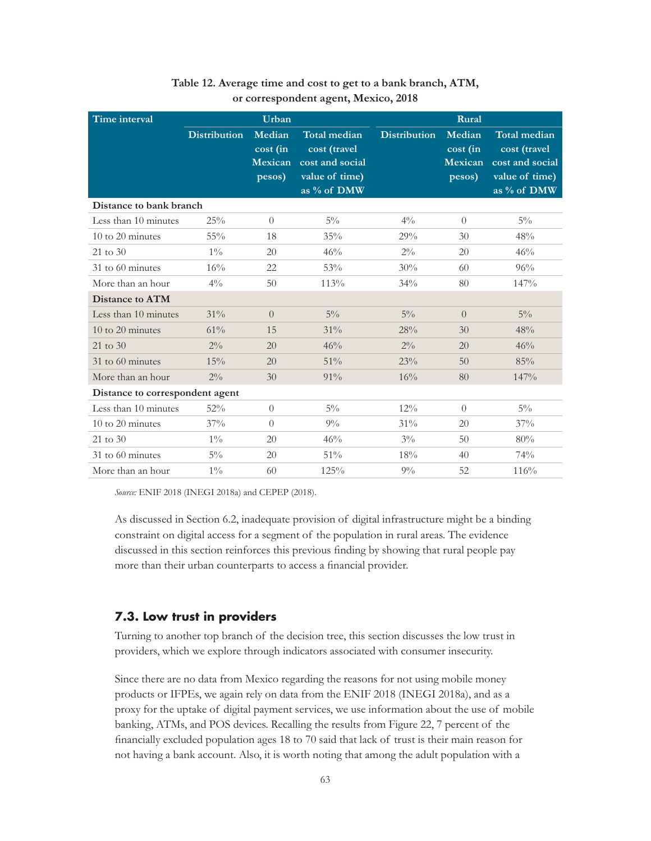| <b>Time interval</b>            | Urban               |                                         | Rural                                                                                   |                     |                                         |                                                                                         |
|---------------------------------|---------------------|-----------------------------------------|-----------------------------------------------------------------------------------------|---------------------|-----------------------------------------|-----------------------------------------------------------------------------------------|
|                                 | <b>Distribution</b> | Median<br>cost (in<br>Mexican<br>pesos) | <b>Total median</b><br>cost (travel<br>cost and social<br>value of time)<br>as % of DMW | <b>Distribution</b> | Median<br>cost (in<br>Mexican<br>pesos) | <b>Total median</b><br>cost (travel<br>cost and social<br>value of time)<br>as % of DMW |
| Distance to bank branch         |                     |                                         |                                                                                         |                     |                                         |                                                                                         |
| Less than 10 minutes            | 25%                 | $\Omega$                                | $5\%$                                                                                   | $4\%$               | $\Omega$                                | $5\%$                                                                                   |
| 10 to 20 minutes                | 55%                 | 18                                      | 35%                                                                                     | 29%                 | 30                                      | 48%                                                                                     |
| $21 \text{ to } 30$             | $1\%$               | 20                                      | 46%                                                                                     | $2\%$               | 20                                      | 46%                                                                                     |
| 31 to 60 minutes                | 16%                 | 22                                      | 53%                                                                                     | 30%                 | 60                                      | 96%                                                                                     |
| More than an hour               | $4\%$               | 50                                      | 113%                                                                                    | 34%                 | 80                                      | 147%                                                                                    |
| Distance to ATM                 |                     |                                         |                                                                                         |                     |                                         |                                                                                         |
| Less than 10 minutes            | 31%                 | $\overline{0}$                          | $5\%$                                                                                   | $5\%$               | $\Omega$                                | $5\%$                                                                                   |
| $10$ to $20$ minutes            | 61%                 | 15                                      | 31%                                                                                     | 28%                 | 30                                      | 48%                                                                                     |
| $21 \text{ to } 30$             | $2\%$               | 20                                      | 46%                                                                                     | $2\%$               | 20                                      | 46%                                                                                     |
| $31$ to 60 minutes              | 15%                 | 20                                      | 51%                                                                                     | 23%                 | $50^{\circ}$                            | 85%                                                                                     |
| More than an hour               | $2\%$               | 30                                      | 91%                                                                                     | 16%                 | 80                                      | 147%                                                                                    |
| Distance to correspondent agent |                     |                                         |                                                                                         |                     |                                         |                                                                                         |
| Less than 10 minutes            | 52%                 | $\Omega$                                | $5\%$                                                                                   | 12%                 | $\Omega$                                | $5\%$                                                                                   |
| $10$ to $20$ minutes            | 37%                 | $\theta$                                | $9\%$                                                                                   | 31%                 | 20                                      | 37%                                                                                     |
| $21 \text{ to } 30$             | $1\%$               | 20                                      | 46%                                                                                     | $3\%$               | 50                                      | 80%                                                                                     |
| 31 to 60 minutes                | $5\%$               | 20                                      | 51%                                                                                     | 18%                 | 40 <sup>°</sup>                         | 74%                                                                                     |
| More than an hour               | $1\%$               | 60                                      | 125%                                                                                    | $9\%$               | 52                                      | 116%                                                                                    |

## **Table 12. Average time and cost to get to a bank branch, ATM, or correspondent agent, Mexico, 2018**

*Source:* ENIF 2018 (INEGI 2018a) and CEPEP (2018).

As discussed in Section 6.2, inadequate provision of digital infrastructure might be a binding constraint on digital access for a segment of the population in rural areas. The evidence discussed in this section reinforces this previous finding by showing that rural people pay more than their urban counterparts to access a financial provider.

# **7.3. Low trust in providers**

Turning to another top branch of the decision tree, this section discusses the low trust in providers, which we explore through indicators associated with consumer insecurity.

Since there are no data from Mexico regarding the reasons for not using mobile money products or IFPEs, we again rely on data from the ENIF 2018 (INEGI 2018a), and as a proxy for the uptake of digital payment services, we use information about the use of mobile banking, ATMs, and POS devices. Recalling the results from Figure 22, 7 percent of the financially excluded population ages 18 to 70 said that lack of trust is their main reason for not having a bank account. Also, it is worth noting that among the adult population with a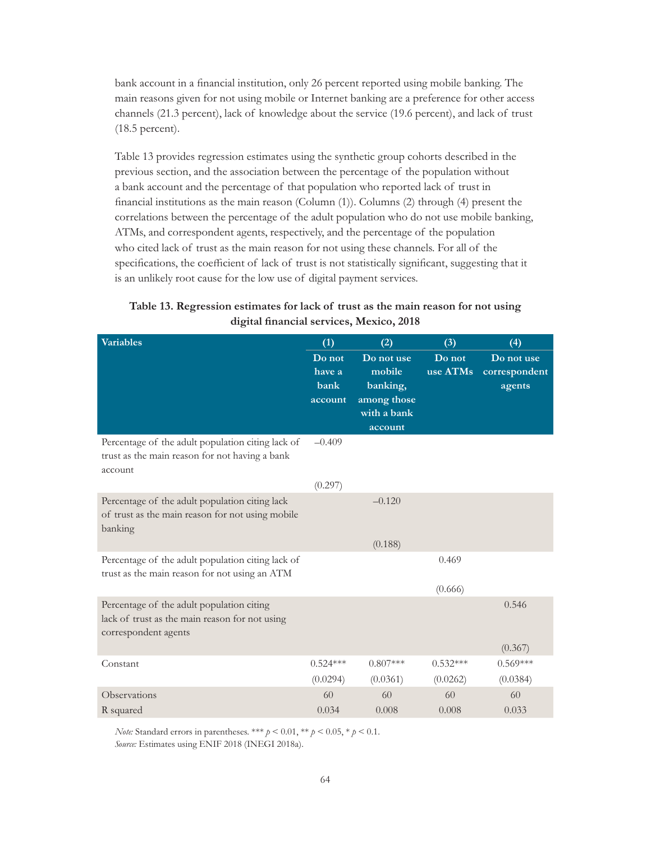bank account in a financial institution, only 26 percent reported using mobile banking. The main reasons given for not using mobile or Internet banking are a preference for other access channels (21.3 percent), lack of knowledge about the service (19.6 percent), and lack of trust (18.5 percent).

Table 13 provides regression estimates using the synthetic group cohorts described in the previous section, and the association between the percentage of the population without a bank account and the percentage of that population who reported lack of trust in financial institutions as the main reason (Column (1)). Columns (2) through (4) present the correlations between the percentage of the adult population who do not use mobile banking, ATMs, and correspondent agents, respectively, and the percentage of the population who cited lack of trust as the main reason for not using these channels. For all of the specifications, the coefficient of lack of trust is not statistically significant, suggesting that it is an unlikely root cause for the low use of digital payment services.

| <b>Variables</b>                                                                                                    | (1)                                 | (2)                                                                       | (3)                | (4)                                   |
|---------------------------------------------------------------------------------------------------------------------|-------------------------------------|---------------------------------------------------------------------------|--------------------|---------------------------------------|
|                                                                                                                     | Do not<br>have a<br>bank<br>account | Do not use<br>mobile<br>banking,<br>among those<br>with a bank<br>account | Do not<br>use ATMs | Do not use<br>correspondent<br>agents |
| Percentage of the adult population citing lack of<br>trust as the main reason for not having a bank<br>account      | $-0.409$                            |                                                                           |                    |                                       |
|                                                                                                                     | (0.297)                             |                                                                           |                    |                                       |
| Percentage of the adult population citing lack<br>of trust as the main reason for not using mobile<br>banking       |                                     | $-0.120$                                                                  |                    |                                       |
|                                                                                                                     |                                     | (0.188)                                                                   |                    |                                       |
| Percentage of the adult population citing lack of<br>trust as the main reason for not using an ATM                  |                                     |                                                                           | 0.469              |                                       |
|                                                                                                                     |                                     |                                                                           | (0.666)            |                                       |
| Percentage of the adult population citing<br>lack of trust as the main reason for not using<br>correspondent agents |                                     |                                                                           |                    | 0.546                                 |
|                                                                                                                     |                                     |                                                                           |                    | (0.367)                               |
| Constant                                                                                                            | $0.524***$                          | $0.807***$                                                                | $0.532***$         | $0.569***$                            |
|                                                                                                                     | (0.0294)                            | (0.0361)                                                                  | (0.0262)           | (0.0384)                              |
| Observations                                                                                                        | 60                                  | 60                                                                        | 60                 | 60                                    |
| R squared                                                                                                           | 0.034                               | 0.008                                                                     | 0.008              | 0.033                                 |

| Table 13. Regression estimates for lack of trust as the main reason for not using |                                          |  |  |
|-----------------------------------------------------------------------------------|------------------------------------------|--|--|
|                                                                                   | digital financial services, Mexico, 2018 |  |  |

*Note:* Standard errors in parentheses. \*\*\*  $p < 0.01$ , \*\*  $p < 0.05$ , \*  $p < 0.1$ . *Source:* Estimates using ENIF 2018 (INEGI 2018a).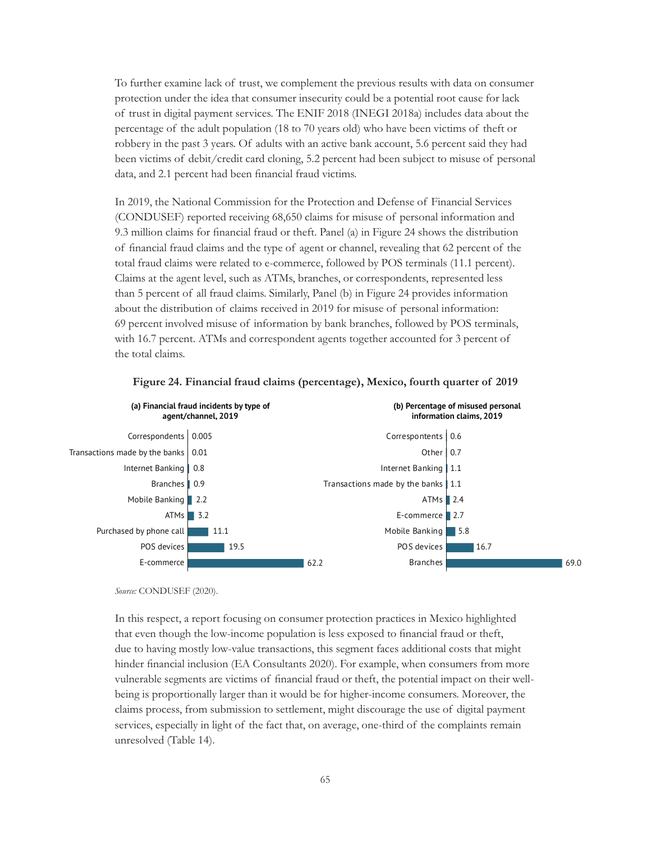To further examine lack of trust, we complement the previous results with data on consumer protection under the idea that consumer insecurity could be a potential root cause for lack of trust in digital payment services. The ENIF 2018 (INEGI 2018a) includes data about the percentage of the adult population (18 to 70 years old) who have been victims of theft or robbery in the past 3 years. Of adults with an active bank account, 5.6 percent said they had been victims of debit/credit card cloning, 5.2 percent had been subject to misuse of personal data, and 2.1 percent had been financial fraud victims.

In 2019, the National Commission for the Protection and Defense of Financial Services (CONDUSEF) reported receiving 68,650 claims for misuse of personal information and 9.3 million claims for financial fraud or theft. Panel (a) in Figure 24 shows the distribution of financial fraud claims and the type of agent or channel, revealing that 62 percent of the total fraud claims were related to e-commerce, followed by POS terminals (11.1 percent). Claims at the agent level, such as ATMs, branches, or correspondents, represented less than 5 percent of all fraud claims. Similarly, Panel (b) in Figure 24 provides information about the distribution of claims received in 2019 for misuse of personal information: 69 percent involved misuse of information by bank branches, followed by POS terminals, with 16.7 percent. ATMs and correspondent agents together accounted for 3 percent of the total claims.



#### **Figure 24. Financial fraud claims (percentage), Mexico, fourth quarter of 2019**

*Source:* CONDUSEF (2020).

In this respect, a report focusing on consumer protection practices in Mexico highlighted that even though the low-income population is less exposed to financial fraud or theft, due to having mostly low-value transactions, this segment faces additional costs that might hinder financial inclusion (EA Consultants 2020). For example, when consumers from more vulnerable segments are victims of financial fraud or theft, the potential impact on their wellbeing is proportionally larger than it would be for higher-income consumers. Moreover, the claims process, from submission to settlement, might discourage the use of digital payment services, especially in light of the fact that, on average, one-third of the complaints remain unresolved (Table 14).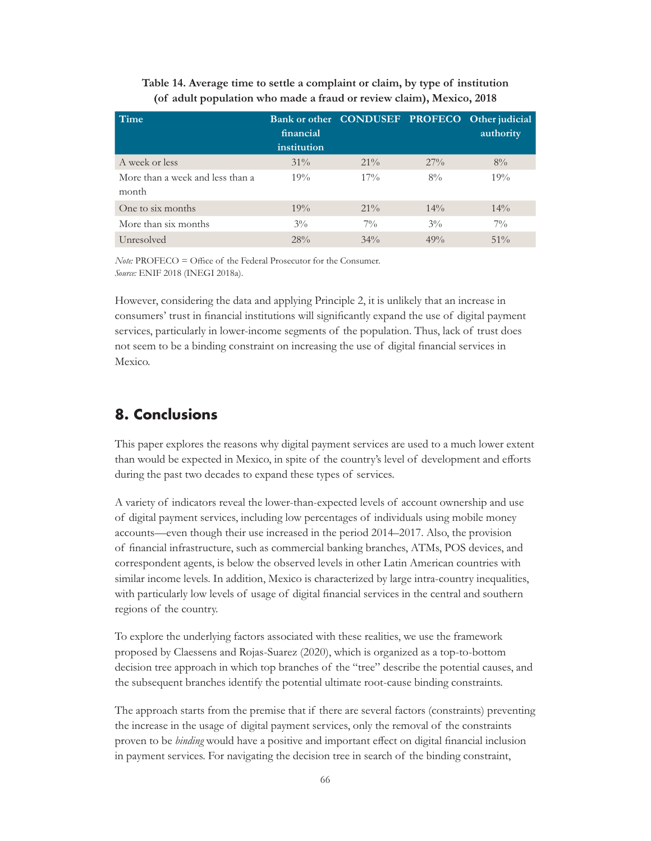| Time                                      | financial<br>institution | Bank or other CONDUSEF PROFECO Other judicial |        | authority |
|-------------------------------------------|--------------------------|-----------------------------------------------|--------|-----------|
| A week or less                            | $31\%$                   | $21\%$                                        | $27\%$ | $8\%$     |
| More than a week and less than a<br>month | 19%                      | $17\%$                                        | $8\%$  | 19%       |
| One to six months                         | 19%                      | $21\%$                                        | $14\%$ | $14\%$    |
| More than six months                      | $3\%$                    | $7\%$                                         | $3\%$  | $7\%$     |
| Unresolved                                | 28%                      | $34\%$                                        | 49%    | $51\%$    |

### **Table 14. Average time to settle a complaint or claim, by type of institution (of adult population who made a fraud or review claim), Mexico, 2018**

*Note:* PROFECO = Office of the Federal Prosecutor for the Consumer. *Source:* ENIF 2018 (INEGI 2018a).

However, considering the data and applying Principle 2, it is unlikely that an increase in consumers' trust in financial institutions will significantly expand the use of digital payment services, particularly in lower-income segments of the population. Thus, lack of trust does not seem to be a binding constraint on increasing the use of digital financial services in Mexico.

# **8. Conclusions**

This paper explores the reasons why digital payment services are used to a much lower extent than would be expected in Mexico, in spite of the country's level of development and efforts during the past two decades to expand these types of services.

A variety of indicators reveal the lower-than-expected levels of account ownership and use of digital payment services, including low percentages of individuals using mobile money accounts—even though their use increased in the period 2014–2017. Also, the provision of financial infrastructure, such as commercial banking branches, ATMs, POS devices, and correspondent agents, is below the observed levels in other Latin American countries with similar income levels. In addition, Mexico is characterized by large intra-country inequalities, with particularly low levels of usage of digital financial services in the central and southern regions of the country.

To explore the underlying factors associated with these realities, we use the framework proposed by Claessens and Rojas-Suarez (2020), which is organized as a top-to-bottom decision tree approach in which top branches of the "tree" describe the potential causes, and the subsequent branches identify the potential ultimate root-cause binding constraints.

The approach starts from the premise that if there are several factors (constraints) preventing the increase in the usage of digital payment services, only the removal of the constraints proven to be *binding* would have a positive and important effect on digital financial inclusion in payment services. For navigating the decision tree in search of the binding constraint,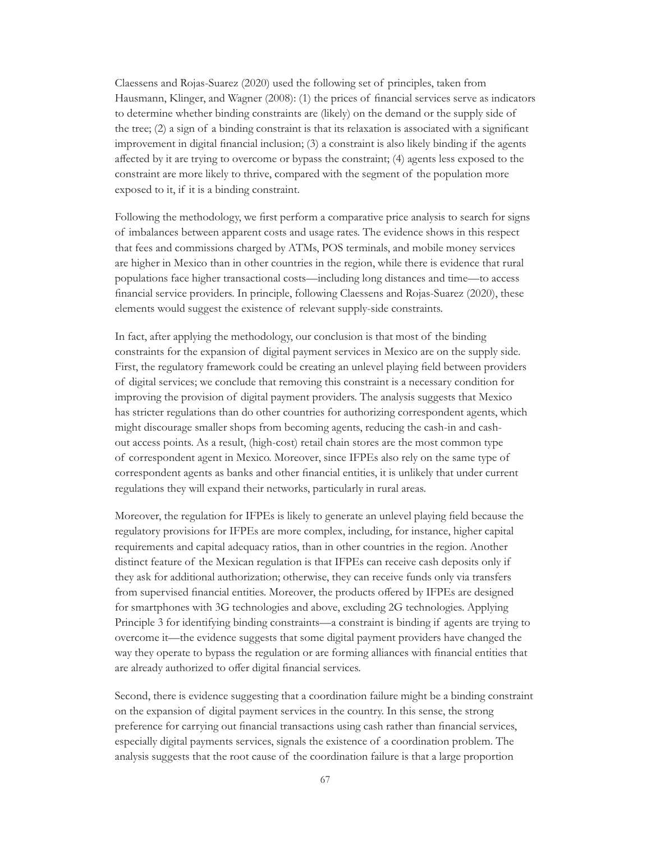Claessens and Rojas-Suarez (2020) used the following set of principles, taken from Hausmann, Klinger, and Wagner (2008): (1) the prices of financial services serve as indicators to determine whether binding constraints are (likely) on the demand or the supply side of the tree; (2) a sign of a binding constraint is that its relaxation is associated with a significant improvement in digital financial inclusion; (3) a constraint is also likely binding if the agents affected by it are trying to overcome or bypass the constraint; (4) agents less exposed to the constraint are more likely to thrive, compared with the segment of the population more exposed to it, if it is a binding constraint.

Following the methodology, we first perform a comparative price analysis to search for signs of imbalances between apparent costs and usage rates. The evidence shows in this respect that fees and commissions charged by ATMs, POS terminals, and mobile money services are higher in Mexico than in other countries in the region, while there is evidence that rural populations face higher transactional costs—including long distances and time—to access financial service providers. In principle, following Claessens and Rojas-Suarez (2020), these elements would suggest the existence of relevant supply-side constraints.

In fact, after applying the methodology, our conclusion is that most of the binding constraints for the expansion of digital payment services in Mexico are on the supply side. First, the regulatory framework could be creating an unlevel playing field between providers of digital services; we conclude that removing this constraint is a necessary condition for improving the provision of digital payment providers. The analysis suggests that Mexico has stricter regulations than do other countries for authorizing correspondent agents, which might discourage smaller shops from becoming agents, reducing the cash-in and cashout access points. As a result, (high-cost) retail chain stores are the most common type of correspondent agent in Mexico. Moreover, since IFPEs also rely on the same type of correspondent agents as banks and other financial entities, it is unlikely that under current regulations they will expand their networks, particularly in rural areas.

Moreover, the regulation for IFPEs is likely to generate an unlevel playing field because the regulatory provisions for IFPEs are more complex, including, for instance, higher capital requirements and capital adequacy ratios, than in other countries in the region. Another distinct feature of the Mexican regulation is that IFPEs can receive cash deposits only if they ask for additional authorization; otherwise, they can receive funds only via transfers from supervised financial entities. Moreover, the products offered by IFPEs are designed for smartphones with 3G technologies and above, excluding 2G technologies. Applying Principle 3 for identifying binding constraints—a constraint is binding if agents are trying to overcome it—the evidence suggests that some digital payment providers have changed the way they operate to bypass the regulation or are forming alliances with financial entities that are already authorized to offer digital financial services.

Second, there is evidence suggesting that a coordination failure might be a binding constraint on the expansion of digital payment services in the country. In this sense, the strong preference for carrying out financial transactions using cash rather than financial services, especially digital payments services, signals the existence of a coordination problem. The analysis suggests that the root cause of the coordination failure is that a large proportion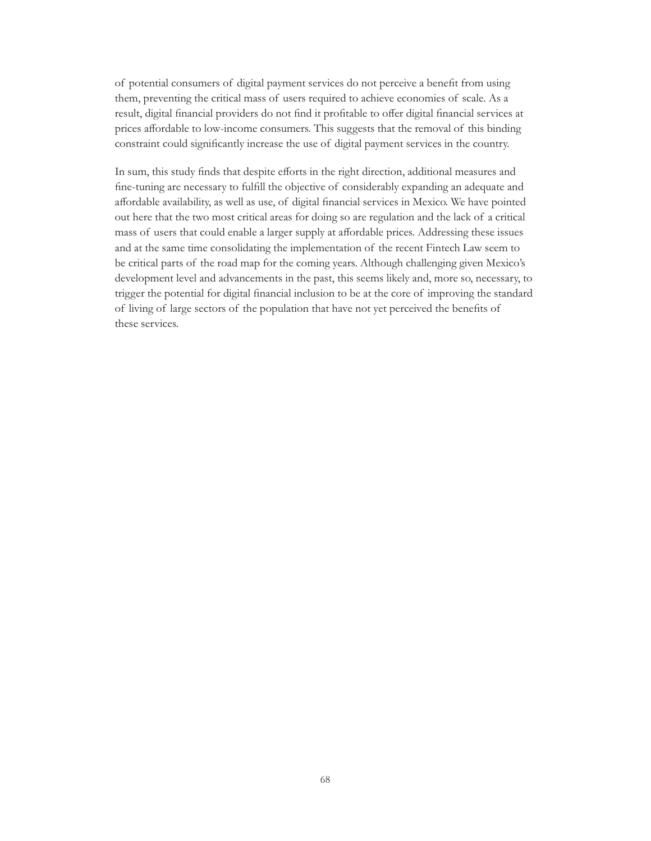of potential consumers of digital payment services do not perceive a benefit from using them, preventing the critical mass of users required to achieve economies of scale. As a result, digital financial providers do not find it profitable to offer digital financial services at prices affordable to low-income consumers. This suggests that the removal of this binding constraint could significantly increase the use of digital payment services in the country.

In sum, this study finds that despite efforts in the right direction, additional measures and fine-tuning are necessary to fulfill the objective of considerably expanding an adequate and affordable availability, as well as use, of digital financial services in Mexico. We have pointed out here that the two most critical areas for doing so are regulation and the lack of a critical mass of users that could enable a larger supply at affordable prices. Addressing these issues and at the same time consolidating the implementation of the recent Fintech Law seem to be critical parts of the road map for the coming years. Although challenging given Mexico's development level and advancements in the past, this seems likely and, more so, necessary, to trigger the potential for digital financial inclusion to be at the core of improving the standard of living of large sectors of the population that have not yet perceived the benefits of these services.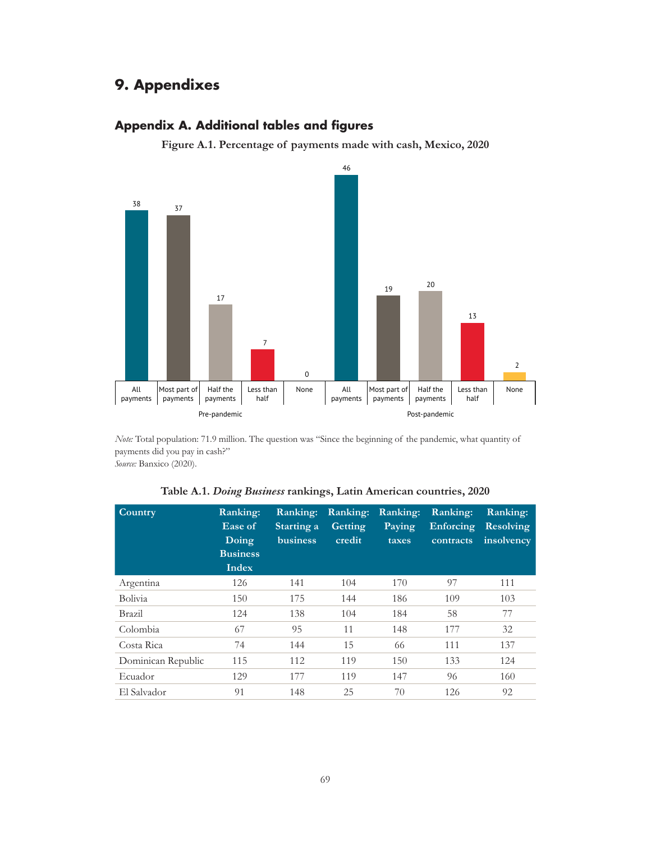## **9. Appendixes**

## **Appendix A. Additional tables and figures**

**Figure A.1. Percentage of payments made with cash, Mexico, 2020**



*Note:* Total population: 71.9 million. The question was "Since the beginning of the pandemic, what quantity of payments did you pay in cash?"

*Source:* Banxico (2020).

| Table A.1. Doing Business rankings, Latin American countries, 2020 |  |  |  |  |  |  |
|--------------------------------------------------------------------|--|--|--|--|--|--|
|--------------------------------------------------------------------|--|--|--|--|--|--|

| Country            | Ranking:<br>Ease of<br>Doing<br><b>Business</b><br>Index | Ranking:<br>Starting a<br>business | Ranking:<br>Getting<br>credit | Ranking:<br>Paying<br>taxes | Ranking:<br>Enforcing<br>contracts | Ranking:<br><b>Resolving</b><br>insolvency |
|--------------------|----------------------------------------------------------|------------------------------------|-------------------------------|-----------------------------|------------------------------------|--------------------------------------------|
| Argentina          | 126                                                      | 141                                | 104                           | 170                         | 97                                 | 111                                        |
| <b>Bolivia</b>     | 150                                                      | 175                                | 144                           | 186                         | 109                                | 103                                        |
| Brazil             | 124                                                      | 138                                | 104                           | 184                         | 58                                 | 77                                         |
| Colombia           | 67                                                       | 95                                 | 11                            | 148                         | 177                                | 32                                         |
| Costa Rica         | 74                                                       | 144                                | 15                            | 66                          | 111                                | 137                                        |
| Dominican Republic | 115                                                      | 112                                | 119                           | 150                         | 133                                | 124                                        |
| Ecuador            | 129                                                      | 177                                | 119                           | 147                         | 96                                 | 160                                        |
| El Salvador        | 91                                                       | 148                                | 25                            | 70                          | 126                                | 92                                         |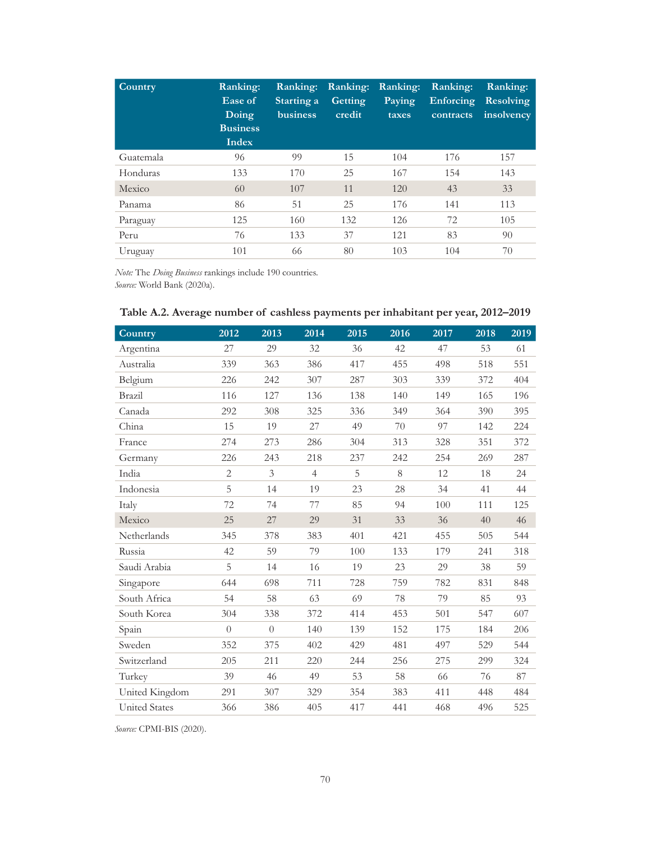| Country   | Ranking:<br>Ease of<br>Doing<br><b>Business</b><br><b>Index</b> | Ranking:<br>Starting a<br><b>business</b> | Ranking:<br>Getting<br>credit | Ranking:<br>Paying<br>taxes | Ranking:<br>Enforcing<br>contracts | Ranking:<br><b>Resolving</b><br>insolvency |
|-----------|-----------------------------------------------------------------|-------------------------------------------|-------------------------------|-----------------------------|------------------------------------|--------------------------------------------|
| Guatemala | 96                                                              | 99                                        | 15                            | 104                         | 176                                | 157                                        |
| Honduras  | 133                                                             | 170                                       | 25                            | 167                         | 154                                | 143                                        |
| Mexico    | 60                                                              | 107                                       | 11                            | 120                         | 43                                 | 33                                         |
| Panama    | 86                                                              | 51                                        | 25                            | 176                         | 141                                | 113                                        |
| Paraguay  | 125                                                             | 160                                       | 132                           | 126                         | 72                                 | 105                                        |
| Peru      | 76                                                              | 133                                       | 37                            | 121                         | 83                                 | 90                                         |
| Uruguay   | 101                                                             | 66                                        | 80                            | 103                         | 104                                | 70                                         |

*Note:* The *Doing Business* rankings include 190 countries. *Source:* World Bank (2020a).

| Country              | 2012           | 2013           | 2014           | 2015 | 2016 | 2017 | 2018 | 2019 |
|----------------------|----------------|----------------|----------------|------|------|------|------|------|
| Argentina            | 27             | 29             | 32             | 36   | 42   | 47   | 53   | 61   |
| Australia            | 339            | 363            | 386            | 417  | 455  | 498  | 518  | 551  |
| Belgium              | 226            | 242            | 307            | 287  | 303  | 339  | 372  | 404  |
| Brazil               | 116            | 127            | 136            | 138  | 140  | 149  | 165  | 196  |
| Canada               | 292            | 308            | 325            | 336  | 349  | 364  | 390  | 395  |
| China                | 15             | 19             | 27             | 49   | 70   | 97   | 142  | 224  |
| France               | 274            | 273            | 286            | 304  | 313  | 328  | 351  | 372  |
| Germany              | 226            | 243            | 218            | 237  | 242  | 254  | 269  | 287  |
| India                | $\overline{2}$ | 3              | $\overline{4}$ | 5    | 8    | 12   | 18   | 24   |
| Indonesia            | 5              | 14             | 19             | 23   | 28   | 34   | 41   | 44   |
| Italy                | 72             | 74             | 77             | 85   | 94   | 100  | 111  | 125  |
| Mexico               | 25             | 27             | 29             | 31   | 33   | 36   | 40   | 46   |
| Netherlands          | 345            | 378            | 383            | 401  | 421  | 455  | 505  | 544  |
| Russia               | 42             | 59             | 79             | 100  | 133  | 179  | 241  | 318  |
| Saudi Arabia         | 5              | 14             | 16             | 19   | 23   | 29   | 38   | 59   |
| Singapore            | 644            | 698            | 711            | 728  | 759  | 782  | 831  | 848  |
| South Africa         | 54             | 58             | 63             | 69   | 78   | 79   | 85   | 93   |
| South Korea          | 304            | 338            | 372            | 414  | 453  | 501  | 547  | 607  |
| Spain                | $\overline{0}$ | $\overline{0}$ | 140            | 139  | 152  | 175  | 184  | 206  |
| Sweden               | 352            | 375            | 402            | 429  | 481  | 497  | 529  | 544  |
| Switzerland          | 205            | 211            | 220            | 244  | 256  | 275  | 299  | 324  |
| Turkey               | 39             | 46             | 49             | 53   | 58   | 66   | 76   | 87   |
| United Kingdom       | 291            | 307            | 329            | 354  | 383  | 411  | 448  | 484  |
| <b>United States</b> | 366            | 386            | 405            | 417  | 441  | 468  | 496  | 525  |

|  | Table A.2. Average number of cashless payments per inhabitant per year, 2012-2019 |  |  |  |
|--|-----------------------------------------------------------------------------------|--|--|--|
|--|-----------------------------------------------------------------------------------|--|--|--|

*Source:* CPMI-BIS (2020).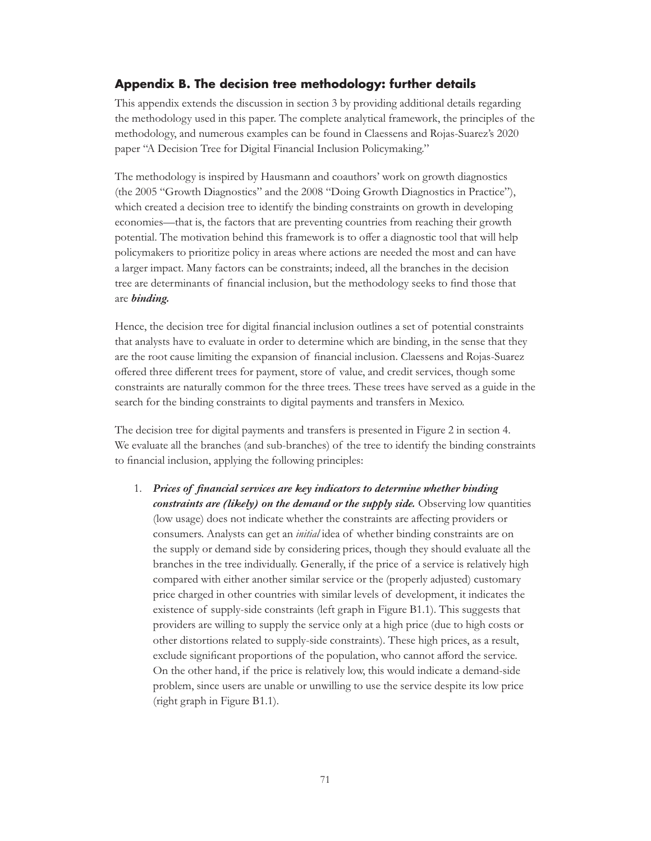### **Appendix B. The decision tree methodology: further details**

This appendix extends the discussion in section 3 by providing additional details regarding the methodology used in this paper. The complete analytical framework, the principles of the methodology, and numerous examples can be found in Claessens and Rojas-Suarez's 2020 paper "A Decision Tree for Digital Financial Inclusion Policymaking."

The methodology is inspired by Hausmann and coauthors' work on growth diagnostics (the 2005 "Growth Diagnostics" and the 2008 "Doing Growth Diagnostics in Practice"), which created a decision tree to identify the binding constraints on growth in developing economies—that is, the factors that are preventing countries from reaching their growth potential. The motivation behind this framework is to offer a diagnostic tool that will help policymakers to prioritize policy in areas where actions are needed the most and can have a larger impact. Many factors can be constraints; indeed, all the branches in the decision tree are determinants of financial inclusion, but the methodology seeks to find those that are *binding.* 

Hence, the decision tree for digital financial inclusion outlines a set of potential constraints that analysts have to evaluate in order to determine which are binding, in the sense that they are the root cause limiting the expansion of financial inclusion. Claessens and Rojas-Suarez offered three different trees for payment, store of value, and credit services, though some constraints are naturally common for the three trees. These trees have served as a guide in the search for the binding constraints to digital payments and transfers in Mexico.

The decision tree for digital payments and transfers is presented in Figure 2 in section 4. We evaluate all the branches (and sub-branches) of the tree to identify the binding constraints to financial inclusion, applying the following principles:

1. *Prices of financial services are key indicators to determine whether binding constraints are (likely) on the demand or the supply side.* Observing low quantities (low usage) does not indicate whether the constraints are affecting providers or consumers. Analysts can get an *initial* idea of whether binding constraints are on the supply or demand side by considering prices, though they should evaluate all the branches in the tree individually. Generally, if the price of a service is relatively high compared with either another similar service or the (properly adjusted) customary price charged in other countries with similar levels of development, it indicates the existence of supply-side constraints (left graph in Figure B1.1). This suggests that providers are willing to supply the service only at a high price (due to high costs or other distortions related to supply-side constraints). These high prices, as a result, exclude significant proportions of the population, who cannot afford the service. On the other hand, if the price is relatively low, this would indicate a demand-side problem, since users are unable or unwilling to use the service despite its low price (right graph in Figure B1.1).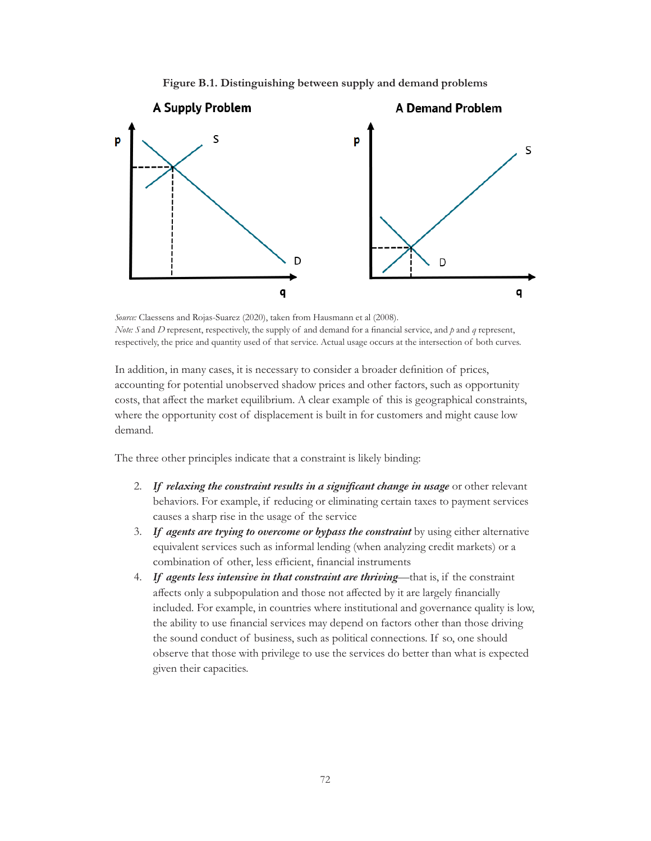



*Source:* Claessens and Rojas-Suarez (2020), taken from Hausmann et al (2008). *Note: S* and *D* represent, respectively, the supply of and demand for a financial service, and  $p$  and  $q$  represent, respectively, the price and quantity used of that service. Actual usage occurs at the intersection of both curves.

In addition, in many cases, it is necessary to consider a broader definition of prices, accounting for potential unobserved shadow prices and other factors, such as opportunity costs, that affect the market equilibrium. A clear example of this is geographical constraints, where the opportunity cost of displacement is built in for customers and might cause low demand.

The three other principles indicate that a constraint is likely binding:

- 2. *If relaxing the constraint results in a significant change in usage* or other relevant behaviors. For example, if reducing or eliminating certain taxes to payment services causes a sharp rise in the usage of the service
- 3. *If agents are trying to overcome or bypass the constraint* by using either alternative equivalent services such as informal lending (when analyzing credit markets) or a combination of other, less efficient, financial instruments
- 4. *If agents less intensive in that constraint are thriving*—that is, if the constraint affects only a subpopulation and those not affected by it are largely financially included*.* For example, in countries where institutional and governance quality is low, the ability to use financial services may depend on factors other than those driving the sound conduct of business, such as political connections. If so, one should observe that those with privilege to use the services do better than what is expected given their capacities.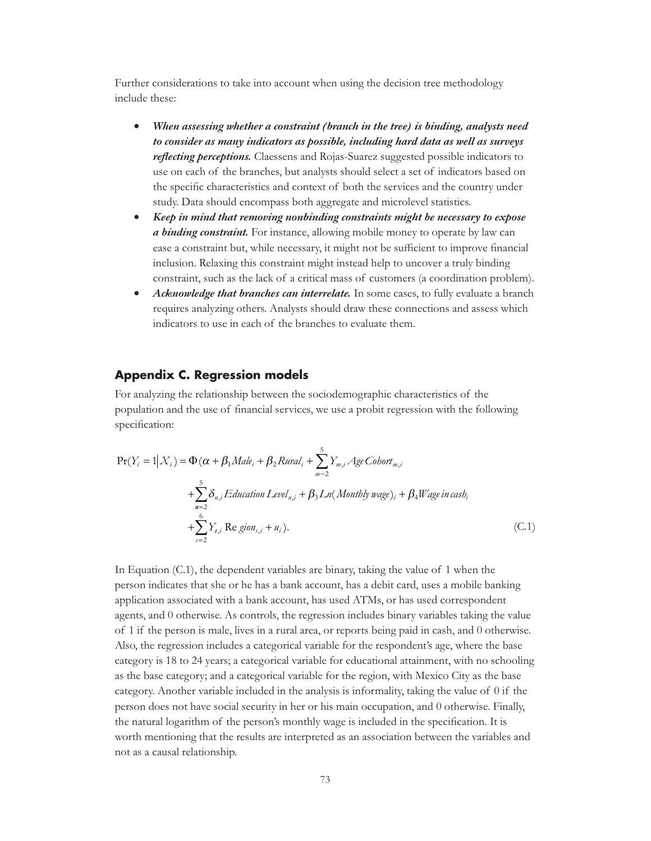Further considerations to take into account when using the decision tree methodology include these:

- • *When assessing whether a constraint (branch in the tree) is binding, analysts need to consider as many indicators as possible, including hard data as well as surveys reflecting perceptions.* Claessens and Rojas-Suarez suggested possible indicators to use on each of the branches, but analysts should select a set of indicators based on the specific characteristics and context of both the services and the country under study. Data should encompass both aggregate and microlevel statistics.
- • *Keep in mind that removing nonbinding constraints might be necessary to expose a binding constraint.* For instance, allowing mobile money to operate by law can ease a constraint but, while necessary, it might not be sufficient to improve financial inclusion. Relaxing this constraint might instead help to uncover a truly binding constraint, such as the lack of a critical mass of customers (a coordination problem).
- *Acknowledge that branches can interrelate*. In some cases, to fully evaluate a branch requires analyzing others. Analysts should draw these connections and assess which indicators to use in each of the branches to evaluate them.

#### **Appendix C. Regression models**

For analyzing the relationship between the sociodemographic characteristics of the population and the use of financial services, we use a probit regression with the following specification:

$$
\Pr(Y_i = 1 | X_i) = \Phi(\alpha + \beta_1 Male_i + \beta_2 Rural_i + \sum_{m=2}^{5} Y_{m,i} Age \text{Cobort}_{m,i} + \sum_{n=2}^{5} \delta_{n,i} Education \text{Level}_{n,i} + \beta_3 Ln(Monthly \text{ wage})_i + \beta_4 Wage \text{ in cash}_i + \sum_{s=2}^{6} Y_{s,i} \text{ Re } \text{gion}_{s,i} + u_i).
$$
\n(C.1)

In Equation (C.1), the dependent variables are binary, taking the value of 1 when the person indicates that she or he has a bank account, has a debit card, uses a mobile banking application associated with a bank account, has used ATMs, or has used correspondent agents, and 0 otherwise. As controls, the regression includes binary variables taking the value of 1 if the person is male, lives in a rural area, or reports being paid in cash, and 0 otherwise. Also, the regression includes a categorical variable for the respondent's age, where the base category is 18 to 24 years; a categorical variable for educational attainment, with no schooling as the base category; and a categorical variable for the region, with Mexico City as the base category. Another variable included in the analysis is informality, taking the value of 0 if the person does not have social security in her or his main occupation, and 0 otherwise. Finally, the natural logarithm of the person's monthly wage is included in the specification. It is worth mentioning that the results are interpreted as an association between the variables and not as a causal relationship.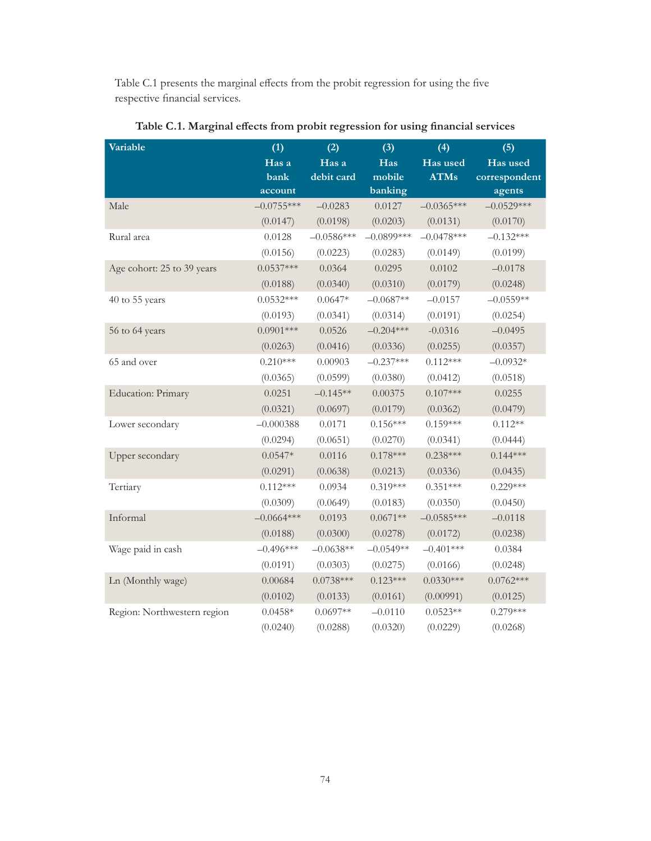Table C.1 presents the marginal effects from the probit regression for using the five respective financial services.

| Variable                    | (1)          | (2)          | (3)          | (4)          | (5)           |
|-----------------------------|--------------|--------------|--------------|--------------|---------------|
|                             | Has a        | Has a        | Has          | Has used     | Has used      |
|                             | bank         | debit card   | mobile       | <b>ATMs</b>  | correspondent |
|                             | account      |              | banking      |              | agents        |
| Male                        | $-0.0755***$ | $-0.0283$    | 0.0127       | $-0.0365***$ | $-0.0529***$  |
|                             | (0.0147)     | (0.0198)     | (0.0203)     | (0.0131)     | (0.0170)      |
| Rural area                  | 0.0128       | $-0.0586***$ | $-0.0899***$ | $-0.0478***$ | $-0.132***$   |
|                             | (0.0156)     | (0.0223)     | (0.0283)     | (0.0149)     | (0.0199)      |
| Age cohort: 25 to 39 years  | $0.0537***$  | 0.0364       | 0.0295       | 0.0102       | $-0.0178$     |
|                             | (0.0188)     | (0.0340)     | (0.0310)     | (0.0179)     | (0.0248)      |
| 40 to 55 years              | $0.0532***$  | $0.0647*$    | $-0.0687**$  | $-0.0157$    | $-0.0559**$   |
|                             | (0.0193)     | (0.0341)     | (0.0314)     | (0.0191)     | (0.0254)      |
| 56 to 64 years              | $0.0901***$  | 0.0526       | $-0.204***$  | $-0.0316$    | $-0.0495$     |
|                             | (0.0263)     | (0.0416)     | (0.0336)     | (0.0255)     | (0.0357)      |
| 65 and over                 | $0.210***$   | 0.00903      | $-0.237***$  | $0.112***$   | $-0.0932*$    |
|                             | (0.0365)     | (0.0599)     | (0.0380)     | (0.0412)     | (0.0518)      |
| Education: Primary          | 0.0251       | $-0.145**$   | 0.00375      | $0.107***$   | 0.0255        |
|                             | (0.0321)     | (0.0697)     | (0.0179)     | (0.0362)     | (0.0479)      |
| Lower secondary             | $-0.000388$  | 0.0171       | $0.156***$   | $0.159***$   | $0.112**$     |
|                             | (0.0294)     | (0.0651)     | (0.0270)     | (0.0341)     | (0.0444)      |
| Upper secondary             | $0.0547*$    | 0.0116       | $0.178***$   | $0.238***$   | $0.144***$    |
|                             | (0.0291)     | (0.0638)     | (0.0213)     | (0.0336)     | (0.0435)      |
| Tertiary                    | $0.112***$   | 0.0934       | $0.319***$   | $0.351***$   | $0.229***$    |
|                             | (0.0309)     | (0.0649)     | (0.0183)     | (0.0350)     | (0.0450)      |
| Informal                    | $-0.0664***$ | 0.0193       | $0.0671**$   | $-0.0585***$ | $-0.0118$     |
|                             | (0.0188)     | (0.0300)     | (0.0278)     | (0.0172)     | (0.0238)      |
| Wage paid in cash           | $-0.496***$  | $-0.0638**$  | $-0.0549**$  | $-0.401***$  | 0.0384        |
|                             | (0.0191)     | (0.0303)     | (0.0275)     | (0.0166)     | (0.0248)      |
| Ln (Monthly wage)           | 0.00684      | $0.0738***$  | $0.123***$   | $0.0330***$  | $0.0762***$   |
|                             | (0.0102)     | (0.0133)     | (0.0161)     | (0.00991)    | (0.0125)      |
| Region: Northwestern region | $0.0458*$    | $0.0697**$   | $-0.0110$    | $0.0523**$   | $0.279***$    |
|                             | (0.0240)     | (0.0288)     | (0.0320)     | (0.0229)     | (0.0268)      |

**Table C.1. Marginal effects from probit regression for using financial services**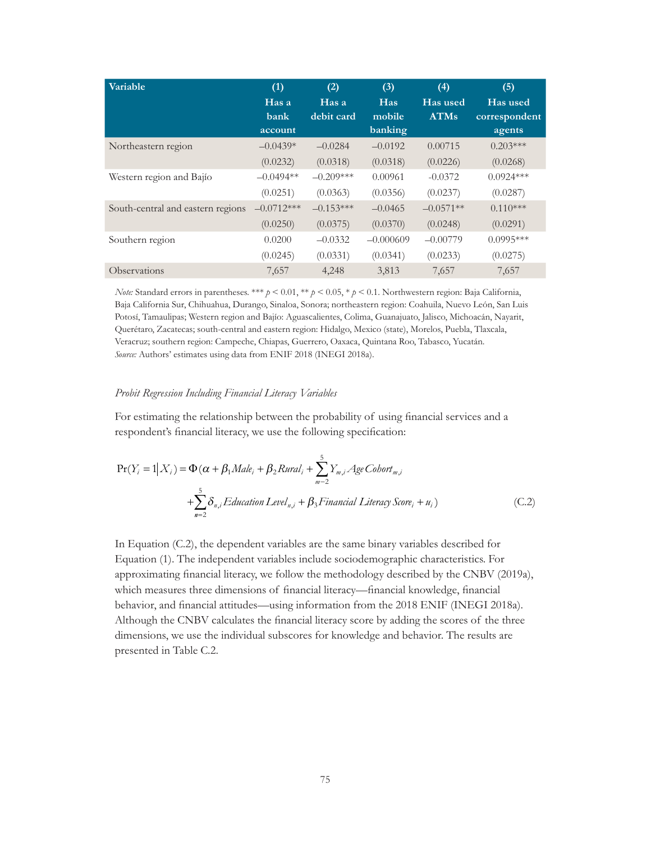| Variable                          | (1)          | (2)         | (3)         | (4)         | (5)           |
|-----------------------------------|--------------|-------------|-------------|-------------|---------------|
|                                   | Has a        | Has a       | Has         | Has used    | Has used      |
|                                   | bank         | debit card  | mobile      | <b>ATMs</b> | correspondent |
|                                   | account      |             | banking     |             | agents        |
| Northeastern region               | $-0.0439*$   | $-0.0284$   | $-0.0192$   | 0.00715     | $0.203***$    |
|                                   | (0.0232)     | (0.0318)    | (0.0318)    | (0.0226)    | (0.0268)      |
| Western region and Bajío          | $-0.0494**$  | $-0.209***$ | 0.00961     | $-0.0372$   | $0.0924***$   |
|                                   | (0.0251)     | (0.0363)    | (0.0356)    | (0.0237)    | (0.0287)      |
| South-central and eastern regions | $-0.0712***$ | $-0.153***$ | $-0.0465$   | $-0.0571**$ | $0.110***$    |
|                                   | (0.0250)     | (0.0375)    | (0.0370)    | (0.0248)    | (0.0291)      |
| Southern region                   | 0.0200       | $-0.0332$   | $-0.000609$ | $-0.00779$  | $0.0995***$   |
|                                   | (0.0245)     | (0.0331)    | (0.0341)    | (0.0233)    | (0.0275)      |
| Observations                      | 7,657        | 4,248       | 3,813       | 7,657       | 7,657         |

*Note:* Standard errors in parentheses. \*\*\* *p* < 0.01, \*\* *p* < 0.05, \* *p* < 0.1. Northwestern region: Baja California, Baja California Sur, Chihuahua, Durango, Sinaloa, Sonora; northeastern region: Coahuila, Nuevo León, San Luis Potosí, Tamaulipas; Western region and Bajío: Aguascalientes, Colima, Guanajuato, Jalisco, Michoacán, Nayarit, Querétaro, Zacatecas; south-central and eastern region: Hidalgo, Mexico (state), Morelos, Puebla, Tlaxcala, Veracruz; southern region: Campeche, Chiapas, Guerrero, Oaxaca, Quintana Roo, Tabasco, Yucatán. *Source:* Authors' estimates using data from ENIF 2018 (INEGI 2018a).

#### *Probit Regression Including Financial Literacy Variables*

For estimating the relationship between the probability of using financial services and a respondent's financial literacy, we use the following specification:

$$
\Pr(Y_i = 1 | X_i) = \Phi(\alpha + \beta_1 Male_i + \beta_2 Rural_i + \sum_{m=2}^{5} Y_{m,i} Age \text{Cobort}_{m,i} + \sum_{m=2}^{5} \delta_{n,i} Education \text{Level}_{n,i} + \beta_3 Financial \text{ Literary Score}_i + u_i)
$$
\n(C.2)

In Equation (C.2), the dependent variables are the same binary variables described for Equation (1). The independent variables include sociodemographic characteristics. For approximating financial literacy, we follow the methodology described by the CNBV (2019a), which measures three dimensions of financial literacy—financial knowledge, financial behavior, and financial attitudes—using information from the 2018 ENIF (INEGI 2018a). Although the CNBV calculates the financial literacy score by adding the scores of the three dimensions, we use the individual subscores for knowledge and behavior. The results are presented in Table C.2.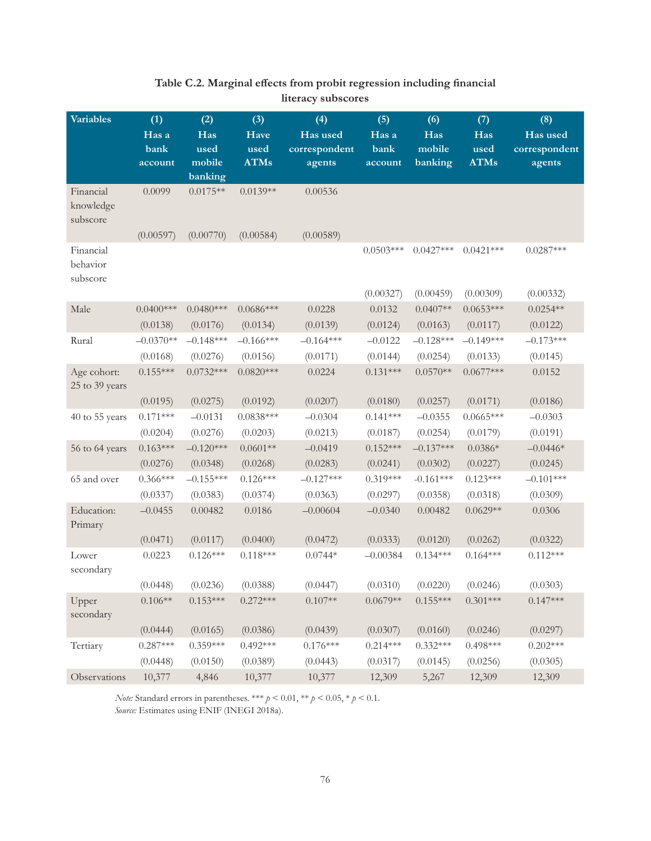| <b>Variables</b>                   | (1)         | (2)         | (3)         | (4)           | (5)         | (6)         | (7)         | (8)           |
|------------------------------------|-------------|-------------|-------------|---------------|-------------|-------------|-------------|---------------|
|                                    | Has a       | Has         | Have        | Has used      | Has a       | Has         | Has         | Has used      |
|                                    | bank        | used        | used        | correspondent | bank        | mobile      | used        | correspondent |
|                                    | account     | mobile      | <b>ATMs</b> | agents        | account     | banking     | <b>ATMs</b> | agents        |
|                                    |             | banking     |             |               |             |             |             |               |
| Financial<br>knowledge<br>subscore | 0.0099      | $0.0175**$  | $0.0139**$  | 0.00536       |             |             |             |               |
|                                    | (0.00597)   | (0.00770)   | (0.00584)   | (0.00589)     |             |             |             |               |
| Financial<br>behavior<br>subscore  |             |             |             |               | $0.0503***$ | $0.0427***$ | $0.0421***$ | $0.0287***$   |
|                                    |             |             |             |               | (0.00327)   | (0.00459)   | (0.00309)   | (0.00332)     |
| Male                               | $0.0400***$ | $0.0480***$ | $0.0686***$ | 0.0228        | 0.0132      | $0.0407**$  | $0.0653***$ | $0.0254**$    |
|                                    | (0.0138)    | (0.0176)    | (0.0134)    | (0.0139)      | (0.0124)    | (0.0163)    | (0.0117)    | (0.0122)      |
| Rural                              | $-0.0370**$ | $-0.148***$ | $-0.166***$ | $-0.164***$   | $-0.0122$   | $-0.128***$ | $-0.149***$ | $-0.173***$   |
|                                    | (0.0168)    | (0.0276)    | (0.0156)    | (0.0171)      | (0.0144)    | (0.0254)    | (0.0133)    | (0.0145)      |
| Age cohort:<br>25 to 39 years      | $0.155***$  | $0.0732***$ | $0.0820***$ | 0.0224        | $0.131***$  | $0.0570**$  | $0.0677***$ | 0.0152        |
|                                    | (0.0195)    | (0.0275)    | (0.0192)    | (0.0207)      | (0.0180)    | (0.0257)    | (0.0171)    | (0.0186)      |
| 40 to 55 years                     | $0.171***$  | $-0.0131$   | $0.0838***$ | $-0.0304$     | $0.141***$  | $-0.0355$   | $0.0665***$ | $-0.0303$     |
|                                    | (0.0204)    | (0.0276)    | (0.0203)    | (0.0213)      | (0.0187)    | (0.0254)    | (0.0179)    | (0.0191)      |
| 56 to 64 years                     | $0.163***$  | $-0.120***$ | $0.0601**$  | $-0.0419$     | $0.152***$  | $-0.137***$ | $0.0386*$   | $-0.0446*$    |
|                                    | (0.0276)    | (0.0348)    | (0.0268)    | (0.0283)      | (0.0241)    | (0.0302)    | (0.0227)    | (0.0245)      |
| 65 and over                        | $0.366***$  | $-0.155***$ | $0.126***$  | $-0.127***$   | $0.319***$  | $-0.161***$ | $0.123***$  | $-0.101***$   |
|                                    | (0.0337)    | (0.0383)    | (0.0374)    | (0.0363)      | (0.0297)    | (0.0358)    | (0.0318)    | (0.0309)      |
| Education:<br>Primary              | $-0.0455$   | 0.00482     | 0.0186      | $-0.00604$    | $-0.0340$   | 0.00482     | $0.0629**$  | 0.0306        |
|                                    | (0.0471)    | (0.0117)    | (0.0400)    | (0.0472)      | (0.0333)    | (0.0120)    | (0.0262)    | (0.0322)      |
| Lower<br>secondary                 | 0.0223      | $0.126***$  | $0.118***$  | $0.0744*$     | $-0.00384$  | $0.134***$  | $0.164***$  | $0.112***$    |
|                                    | (0.0448)    | (0.0236)    | (0.0388)    | (0.0447)      | (0.0310)    | (0.0220)    | (0.0246)    | (0.0303)      |
| Upper<br>secondary                 | $0.106**$   | $0.153***$  | $0.272***$  | $0.107**$     | $0.0679**$  | $0.155***$  | $0.301***$  | $0.147***$    |
|                                    | (0.0444)    | (0.0165)    | (0.0386)    | (0.0439)      | (0.0307)    | (0.0160)    | (0.0246)    | (0.0297)      |
| Tertiary                           | $0.287***$  | $0.359***$  | $0.492***$  | $0.176***$    | $0.214***$  | $0.332***$  | $0.498***$  | $0.202***$    |
|                                    | (0.0448)    | (0.0150)    | (0.0389)    | (0.0443)      | (0.0317)    | (0.0145)    | (0.0256)    | (0.0305)      |
| Observations                       | 10,377      | 4,846       | 10,377      | 10,377        | 12,309      | 5,267       | 12,309      | 12,309        |

## **Table C.2. Marginal effects from probit regression including financial literacy subscores**

*Note:* Standard errors in parentheses. \*\*\*  $p < 0.01$ , \*\*  $p < 0.05$ , \*  $p < 0.1$ . *Source:* Estimates using ENIF (INEGI 2018a).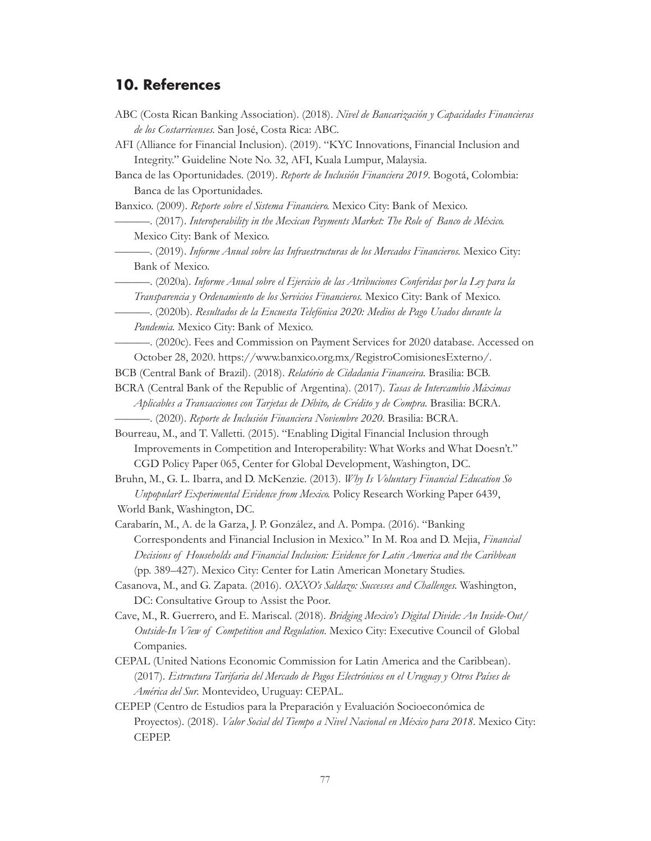# **10. References**

| ABC (Costa Rican Banking Association). (2018). Nivel de Bancarización y Capacidades Financieras<br>de los Costarricenses. San José, Costa Rica: ABC.<br>AFI (Alliance for Financial Inclusion). (2019). "KYC Innovations, Financial Inclusion and |
|---------------------------------------------------------------------------------------------------------------------------------------------------------------------------------------------------------------------------------------------------|
| Integrity." Guideline Note No. 32, AFI, Kuala Lumpur, Malaysia.                                                                                                                                                                                   |
| Banca de las Oportunidades. (2019). Reporte de Inclusión Financiera 2019. Bogotá, Colombia:<br>Banca de las Oportunidades.                                                                                                                        |
| Banxico. (2009). Reporte sobre el Sistema Financiero. Mexico City: Bank of Mexico.                                                                                                                                                                |
| -. (2017). Interoperability in the Mexican Payments Market: The Role of Banco de México.<br>Mexico City: Bank of Mexico.                                                                                                                          |
| -. (2019). Informe Anual sobre las Infraestructuras de los Mercados Financieros. Mexico City:<br>Bank of Mexico.                                                                                                                                  |
| -. (2020a). Informe Anual sobre el Ejercicio de las Atribuciones Conferidas por la Ley para la                                                                                                                                                    |
| Transparencia y Ordenamiento de los Servicios Financieros. Mexico City: Bank of Mexico.                                                                                                                                                           |
| ——. (2020b). Resultados de la Encuesta Telefónica 2020: Medios de Pago Usados durante la<br>Pandemia. Mexico City: Bank of Mexico.                                                                                                                |
| -. (2020c). Fees and Commission on Payment Services for 2020 database. Accessed on                                                                                                                                                                |
| October 28, 2020. https://www.banxico.org.mx/RegistroComisionesExterno/.                                                                                                                                                                          |
| BCB (Central Bank of Brazil). (2018). Relatório de Cidadania Financeira. Brasilia: BCB.                                                                                                                                                           |
| BCRA (Central Bank of the Republic of Argentina). (2017). Tasas de Intercambio Máximas                                                                                                                                                            |
| Aplicables a Transacciones con Tarjetas de Débito, de Crédito y de Compra. Brasilia: BCRA.                                                                                                                                                        |
|                                                                                                                                                                                                                                                   |
| Bourreau, M., and T. Valletti. (2015). "Enabling Digital Financial Inclusion through                                                                                                                                                              |
| Improvements in Competition and Interoperability: What Works and What Doesn't."                                                                                                                                                                   |
| CGD Policy Paper 065, Center for Global Development, Washington, DC.                                                                                                                                                                              |
| Bruhn, M., G. L. Ibarra, and D. McKenzie. (2013). Why Is Voluntary Financial Education So<br>Unpopular? Experimental Evidence from Mexico. Policy Research Working Paper 6439,                                                                    |
| World Bank, Washington, DC.                                                                                                                                                                                                                       |
| Carabarín, M., A. de la Garza, J. P. González, and A. Pompa. (2016). "Banking                                                                                                                                                                     |
| Correspondents and Financial Inclusion in Mexico." In M. Roa and D. Mejia, Financial<br>Decisions of Households and Financial Inclusion: Evidence for Latin America and the Caribbean                                                             |
| (pp. 389-427). Mexico City: Center for Latin American Monetary Studies.                                                                                                                                                                           |
| Casanova, M., and G. Zapata. (2016). OXXO's Saldazo: Successes and Challenges. Washington,                                                                                                                                                        |
| DC: Consultative Group to Assist the Poor.                                                                                                                                                                                                        |
| Cave, M., R. Guerrero, and E. Mariscal. (2018). Bridging Mexico's Digital Divide: An Inside-Out/                                                                                                                                                  |
| Outside-In View of Competition and Regulation. Mexico City: Executive Council of Global<br>Companies.                                                                                                                                             |
| CEPAL (United Nations Economic Commission for Latin America and the Caribbean).                                                                                                                                                                   |
| (2017). Estructura Tarifaria del Mercado de Pagos Electrónicos en el Uruguay y Otros Países de<br>América del Sur. Montevideo, Uruguay: CEPAL.                                                                                                    |
| CEPEP (Centro de Estudios para la Preparación y Evaluación Socioeconómica de                                                                                                                                                                      |
| Proyectos). (2018). Valor Social del Tiempo a Nivel Nacional en México para 2018. Mexico City:<br>CEPEP.                                                                                                                                          |
|                                                                                                                                                                                                                                                   |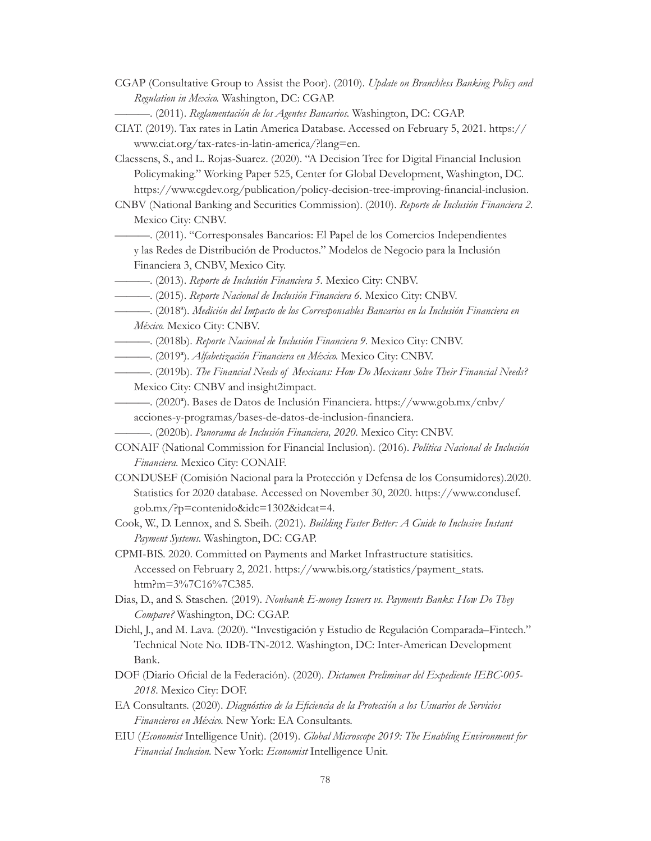CGAP (Consultative Group to Assist the Poor). (2010). *Update on Branchless Banking Policy and Regulation in Mexico.* Washington, DC: CGAP.

- Claessens, S., and L. Rojas-Suarez. (2020). "A Decision Tree for Digital Financial Inclusion Policymaking." Working Paper 525, Center for Global Development, Washington, DC. <https://www.cgdev.org/publication/policy-decision-tree-improving-financial-inclusion>.
- CNBV (National Banking and Securities Commission). (2010). *Reporte de Inclusión Financiera 2.* Mexico City: CNBV.
	- ———. (2011). "Corresponsales Bancarios: El Papel de los Comercios Independientes y las Redes de Distribución de Productos." Modelos de Negocio para la Inclusión Financiera 3, CNBV, Mexico City.
- ———. (2013). *Reporte de Inclusión Financiera 5.* Mexico City: CNBV.
	- ———. (2015). *Reporte Nacional de Inclusión Financiera 6.* Mexico City: CNBV.
- ———. (2018ª). *Medición del Impacto de los Corresponsables Bancarios en la Inclusión Financiera en México.* Mexico City: CNBV.
- ———. (2018b). *Reporte Nacional de Inclusión Financiera 9.* Mexico City: CNBV.
- ———. (2019ª). *Alfabetización Financiera en México.* Mexico City: CNBV.
- ———. (2019b). *The Financial Needs of Mexicans: How Do Mexicans Solve Their Financial Needs?* Mexico City: CNBV and insight2impact.
	- ———. (2020ª). Bases de Datos de Inclusión Financiera. [https://www.gob.mx/cnbv/](https://www.gob.mx/cnbv/acciones-y-programas/bases-de-datos-de-inclusion-financiera)

[acciones-y-programas/bases-de-datos-de-inclusion-financiera.](https://www.gob.mx/cnbv/acciones-y-programas/bases-de-datos-de-inclusion-financiera)

- ———. (2020b). *Panorama de Inclusión Financiera, 2020.* Mexico City: CNBV.
- CONAIF (National Commission for Financial Inclusion). (2016). *Política Nacional de Inclusión Financiera.* Mexico City: CONAIF.
- CONDUSEF (Comisión Nacional para la Protección y Defensa de los Consumidores).2020. Statistics for 2020 database. Accessed on November 30, 2020. [https://www.condusef.](https://www.condusef.gob.mx/?p=contenido&idc=1302&idcat=4) [gob.mx/?p=contenido&idc=1302&idcat=4.](https://www.condusef.gob.mx/?p=contenido&idc=1302&idcat=4)
- Cook, W., D. Lennox, and S. Sbeih. (2021). *Building Faster Better: A Guide to Inclusive Instant Payment Systems.* Washington, DC: CGAP.
- CPMI-BIS. 2020. Committed on Payments and Market Infrastructure statisitics. Accessed on February 2, 2021. [https://www.bis.org/statistics/payment\\_stats.](https://www.bis.org/statistics/payment_stats.htm?m=3%7C16%7C385) [htm?m=3%7C16%7C385](https://www.bis.org/statistics/payment_stats.htm?m=3%7C16%7C385).
- Dias, D., and S. Staschen. (2019). *Nonbank E-money Issuers vs. Payments Banks: How Do They Compare?* Washington, DC: CGAP.
- Diehl, J., and M. Lava. (2020). "Investigación y Estudio de Regulación Comparada–Fintech." Technical Note No. IDB-TN-2012. Washington, DC: Inter-American Development Bank.
- DOF (Diario Oficial de la Federación). (2020). *Dictamen Preliminar del Expediente IEBC-005- 2018.* Mexico City: DOF.
- EA Consultants. (2020). *Diagnóstico de la Eficiencia de la Protección a los Usuarios de Servicios Financieros en México.* New York: EA Consultants.
- EIU (*Economist* Intelligence Unit). (2019). *Global Microscope 2019: The Enabling Environment for Financial Inclusion.* New York: *Economist* Intelligence Unit.

<sup>———. (2011).</sup> *Reglamentación de los Agentes Bancarios.* Washington, DC: CGAP.

CIAT. (2019). Tax rates in Latin America Database. Accessed on February 5, 2021. [https://](https://www.ciat.org/tax-rates-in-latin-america/?lang=en) [www.ciat.org/tax-rates-in-latin-america/?lang=en.](https://www.ciat.org/tax-rates-in-latin-america/?lang=en)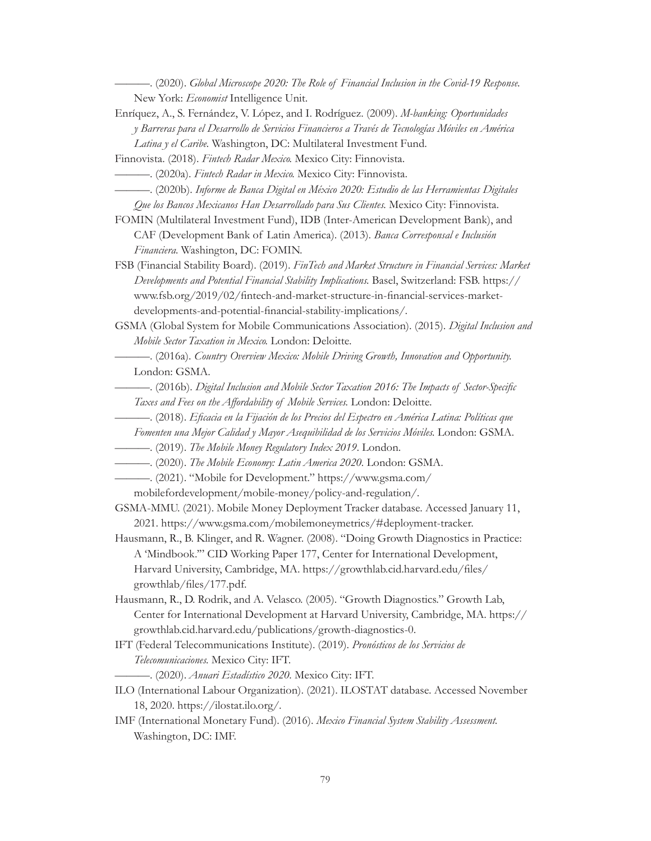———. (2020). *Global Microscope 2020: The Role of Financial Inclusion in the Covid-19 Response.* New York: *Economist* Intelligence Unit.

Enríquez, A., S. Fernández, V. López, and I. Rodríguez. (2009). *M-banking: Oportunidades y Barreras para el Desarrollo de Servicios Financieros a Través de Tecnologías Móviles en América Latina y el Caribe.* Washington, DC: Multilateral Investment Fund.

Finnovista. (2018). *Fintech Radar Mexico.* Mexico City: Finnovista.

- ———. (2020a). *Fintech Radar in Mexico.* Mexico City: Finnovista.
- ———. (2020b). *Informe de Banca Digital en México 2020: Estudio de las Herramientas Digitales Que los Bancos Mexicanos Han Desarrollado para Sus Clientes.* Mexico City: Finnovista.

FOMIN (Multilateral Investment Fund), IDB (Inter-American Development Bank), and CAF (Development Bank of Latin America). (2013). *Banca Corresponsal e Inclusión Financiera.* Washington, DC: FOMIN.

FSB (Financial Stability Board). (2019). *FinTech and Market Structure in Financial Services: Market Developments and Potential Financial Stability Implications.* Basel, Switzerland: FSB. [https://](https://www.fsb.org/2019/02/fintech-and-market-structure-in-financial-services-market-developments-and-potential-financial-stability-implications/) [www.fsb.org/2019/02/fintech-and-market-structure-in-financial-services-market](https://www.fsb.org/2019/02/fintech-and-market-structure-in-financial-services-market-developments-and-potential-financial-stability-implications/)[developments-and-potential-financial-stability-implications/](https://www.fsb.org/2019/02/fintech-and-market-structure-in-financial-services-market-developments-and-potential-financial-stability-implications/).

GSMA (Global System for Mobile Communications Association). (2015). *Digital Inclusion and Mobile Sector Taxation in Mexico.* London: Deloitte.

———. (2016a). *Country Overview Mexico: Mobile Driving Growth, Innovation and Opportunity.* London: GSMA.

- ———. (2016b). *Digital Inclusion and Mobile Sector Taxation 2016: The Impacts of Sector-Specific Taxes and Fees on the Affordability of Mobile Services.* London: Deloitte.
	- ———. (2018). *Eficacia en la Fijación de los Precios del Espectro en América Latina: Políticas que*
	- *Fomenten una Mejor Calidad y Mayor Asequibilidad de los Servicios Móviles.* London: GSMA.
- ———. (2019). *The Mobile Money Regulatory Index 2019*. London.
- ———. (2020). *The Mobile Economy: Latin America 2020.* London: GSMA.
- ———. (2021). "Mobile for Development." [https://www.gsma.com/](https://www.gsma.com/mobilefordevelopment/mobile-money/policy-and-regulation/)
	- [mobilefordevelopment/mobile-money/policy-and-regulation/](https://www.gsma.com/mobilefordevelopment/mobile-money/policy-and-regulation/).
- GSMA-MMU. (2021). Mobile Money Deployment Tracker database. Accessed January 11, 2021. <https://www.gsma.com/mobilemoneymetrics/#deployment-tracker>.
- Hausmann, R., B. Klinger, and R. Wagner. (2008). "Doing Growth Diagnostics in Practice: A 'Mindbook.'" CID Working Paper 177, Center for International Development, Harvard University, Cambridge, MA. [https://growthlab.cid.harvard.edu/files/](https://growthlab.cid.harvard.edu/files/growthlab/files/177.pdf) [growthlab/files/177.pdf.](https://growthlab.cid.harvard.edu/files/growthlab/files/177.pdf)
- Hausmann, R., D. Rodrik, and A. Velasco. (2005). "Growth Diagnostics." Growth Lab, Center for International Development at Harvard University, Cambridge, MA. [https://](https://growthlab.cid.harvard.edu/publications/growth-diagnostics-0) [growthlab.cid.harvard.edu/publications/growth-diagnostics-0](https://growthlab.cid.harvard.edu/publications/growth-diagnostics-0).
- IFT (Federal Telecommunications Institute). (2019). *Pronósticos de los Servicios de Telecomunicaciones.* Mexico City: IFT. ———. (2020). *Anuari Estadístico 2020.* Mexico City: IFT.
- ILO (International Labour Organization). (2021). ILOSTAT database. Accessed November 18, 2020. [https://ilostat.ilo.org/.](https://ilostat.ilo.org/)
- IMF (International Monetary Fund). (2016). *Mexico Financial System Stability Assessment.* Washington, DC: IMF.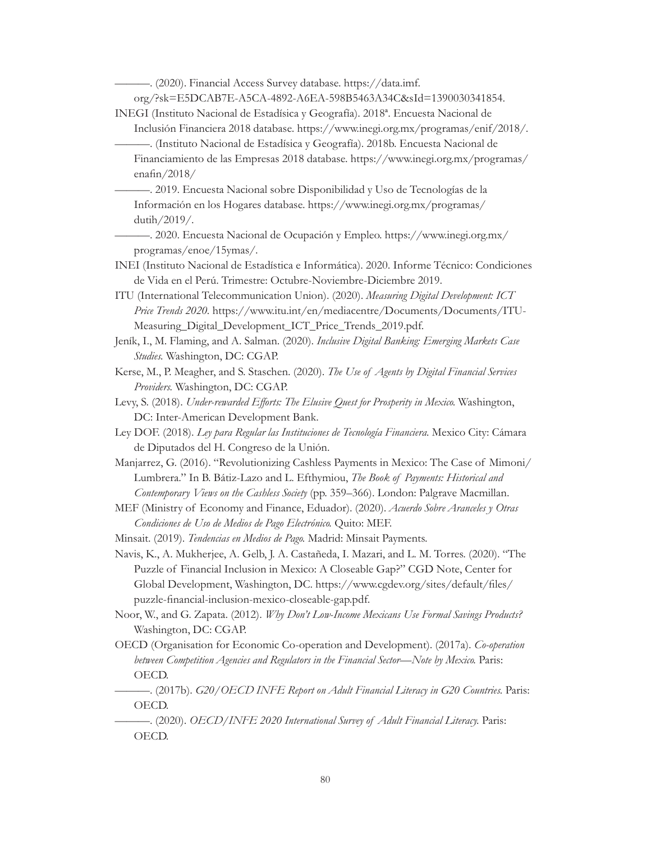———. (2020). Financial Access Survey database. [https://data.imf.](https://data.imf.org/?sk=E5DCAB7E-A5CA-4892-A6EA-598B5463A34C&sId=1390030341854)

[org/?sk=E5DCAB7E-A5CA-4892-A6EA-598B5463A34C&sId=1390030341854.](https://data.imf.org/?sk=E5DCAB7E-A5CA-4892-A6EA-598B5463A34C&sId=1390030341854)

INEGI (Instituto Nacional de Estadísica y Geografía). 2018ª. Encuesta Nacional de

- Inclusión Financiera 2018 database. [https://www.inegi.org.mx/programas/enif/2018/.](https://www.inegi.org.mx/programas/enif/2018/) ———. (Instituto Nacional de Estadísica y Geografía). 2018b. Encuesta Nacional de
- Financiamiento de las Empresas 2018 database. [https://www.inegi.org.mx/programas/](https://www.inegi.org.mx/programas/enafin/2018/) [enafin/2018/](https://www.inegi.org.mx/programas/enafin/2018/)
- ———. 2019. Encuesta Nacional sobre Disponibilidad y Uso de Tecnologías de la Información en los Hogares database. [https://www.inegi.org.mx/programas/](https://www.inegi.org.mx/programas/dutih/2019/) [dutih/2019/](https://www.inegi.org.mx/programas/dutih/2019/).
- ———. 2020. Encuesta Nacional de Ocupación y Empleo. [https://www.inegi.org.mx/](https://www.inegi.org.mx/programas/enoe/15ymas/) [programas/enoe/15ymas/](https://www.inegi.org.mx/programas/enoe/15ymas/).
- INEI (Instituto Nacional de Estadística e Informática). 2020. Informe Técnico: Condiciones de Vida en el Perú. Trimestre: Octubre-Noviembre-Diciembre 2019.
- ITU (International Telecommunication Union). (2020). *Measuring Digital Development: ICT Price Trends 2020.* [https://www.itu.int/en/mediacentre/Documents/Documents/ITU-](https://www.itu.int/en/mediacentre/Documents/Documents/ITU-Measuring_Digital_Development_ICT_Price_Trends_2019.pdf)[Measuring\\_Digital\\_Development\\_ICT\\_Price\\_Trends\\_2019.pdf](https://www.itu.int/en/mediacentre/Documents/Documents/ITU-Measuring_Digital_Development_ICT_Price_Trends_2019.pdf).
- Jeník, I., M. Flaming, and A. Salman. (2020). *Inclusive Digital Banking: Emerging Markets Case Studies.* Washington, DC: CGAP.
- Kerse, M., P. Meagher, and S. Staschen. (2020). *The Use of Agents by Digital Financial Services Providers.* Washington, DC: CGAP.
- Levy, S. (2018). *Under-rewarded Efforts: The Elusive Quest for Prosperity in Mexico.* Washington, DC: Inter-American Development Bank.
- Ley DOF. (2018). *Ley para Regular las Instituciones de Tecnología Financiera.* Mexico City: Cámara de Diputados del H. Congreso de la Unión.
- Manjarrez, G. (2016). "Revolutionizing Cashless Payments in Mexico: The Case of Mimoni/ Lumbrera." In B. Bátiz-Lazo and L. Efthymiou, *The Book of Payments: Historical and Contemporary Views on the Cashless Society* (pp. 359–366). London: Palgrave Macmillan.
- MEF (Ministry of Economy and Finance, Eduador). (2020). *Acuerdo Sobre Aranceles y Otras Condiciones de Uso de Medios de Pago Electrónico.* Quito: MEF.
- Minsait. (2019). *Tendencias en Medios de Pago.* Madrid: Minsait Payments.
- Navis, K., A. Mukherjee, A. Gelb, J. A. Castañeda, I. Mazari, and L. M. Torres. (2020). "The Puzzle of Financial Inclusion in Mexico: A Closeable Gap?" CGD Note, Center for Global Development, Washington, DC. [https://www.cgdev.org/sites/default/files/](https://www.cgdev.org/sites/default/files/puzzle-financial-inclusion-mexico-closeable-gap.pdf) [puzzle-financial-inclusion-mexico-closeable-gap.pdf.](https://www.cgdev.org/sites/default/files/puzzle-financial-inclusion-mexico-closeable-gap.pdf)
- Noor, W., and G. Zapata. (2012). *Why Don't Low-Income Mexicans Use Formal Savings Products?* Washington, DC: CGAP.
- OECD (Organisation for Economic Co-operation and Development). (2017a). *Co-operation between Competition Agencies and Regulators in the Financial Sector—Note by Mexico.* Paris: OECD.
	- ———. (2017b). *G20/OECD INFE Report on Adult Financial Literacy in G20 Countries.* Paris: OECD.
- ———. (2020). *OECD/INFE 2020 International Survey of Adult Financial Literacy.* Paris: OECD.